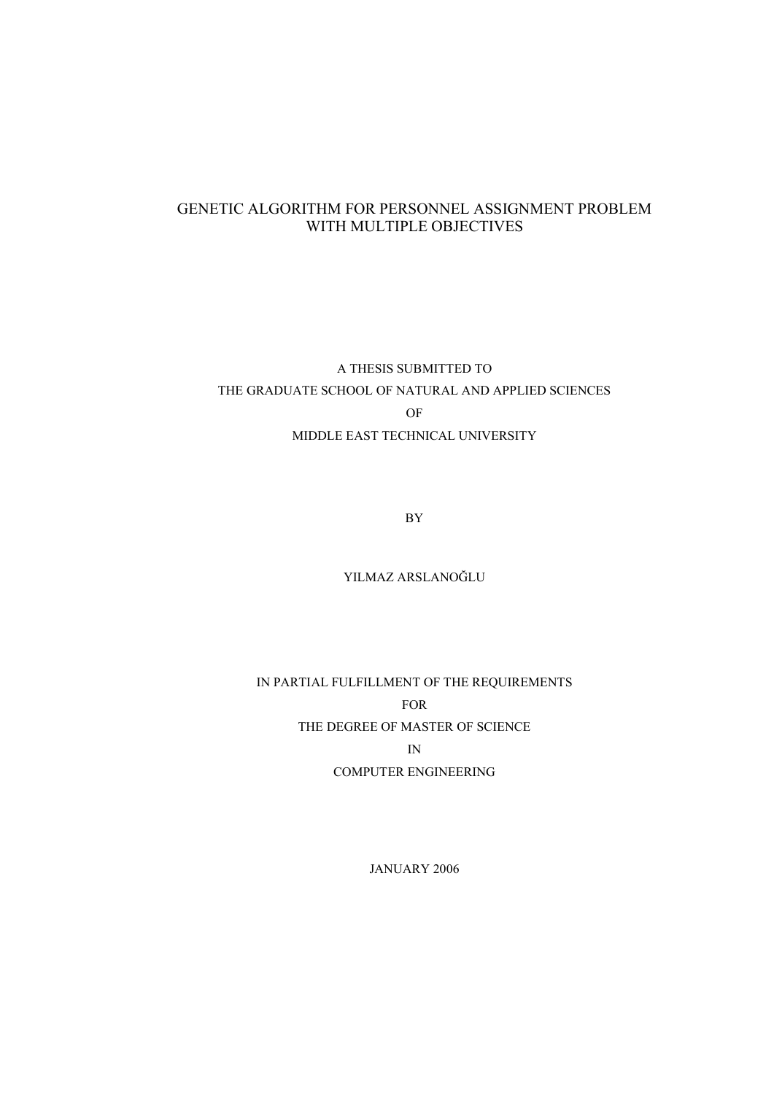# GENETIC ALGORITHM FOR PERSONNEL ASSIGNMENT PROBLEM WITH MULTIPLE OBJECTIVES

# A THESIS SUBMITTED TO THE GRADUATE SCHOOL OF NATURAL AND APPLIED SCIENCES OF MIDDLE EAST TECHNICAL UNIVERSITY

BY

YILMAZ ARSLANOĞLU

IN PARTIAL FULFILLMENT OF THE REQUIREMENTS FOR THE DEGREE OF MASTER OF SCIENCE IN COMPUTER ENGINEERING

JANUARY 2006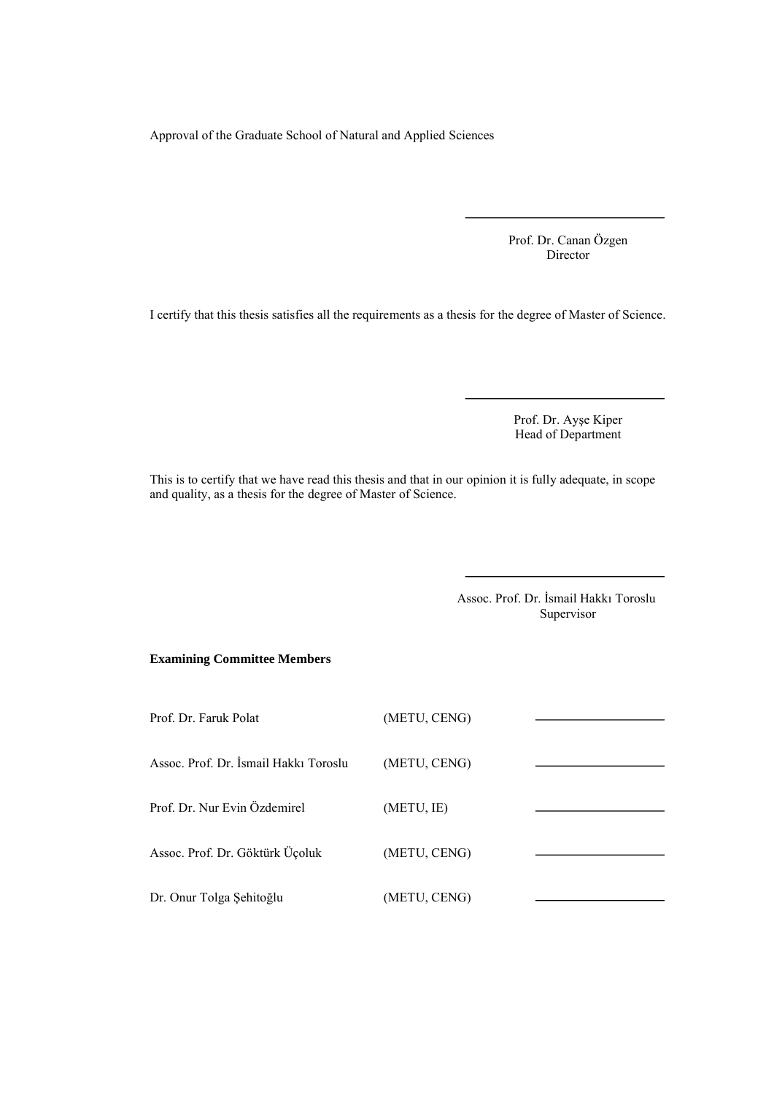Approval of the Graduate School of Natural and Applied Sciences

Prof. Dr. Canan Özgen Director

I certify that this thesis satisfies all the requirements as a thesis for the degree of Master of Science.

Prof. Dr. Ayşe Kiper Head of Department

This is to certify that we have read this thesis and that in our opinion it is fully adequate, in scope and quality, as a thesis for the degree of Master of Science.

> Assoc. Prof. Dr. İsmail Hakkı Toroslu Supervisor

#### **Examining Committee Members**

| Prof. Dr. Faruk Polat                 | (METU, CENG) |  |
|---------------------------------------|--------------|--|
| Assoc. Prof. Dr. İsmail Hakkı Toroslu | (METU, CENG) |  |
| Prof. Dr. Nur Evin Özdemirel          | (METU, IE)   |  |
| Assoc. Prof. Dr. Göktürk Üçoluk       | (METU, CENG) |  |
| Dr. Onur Tolga Şehitoğlu              | (METU, CENG) |  |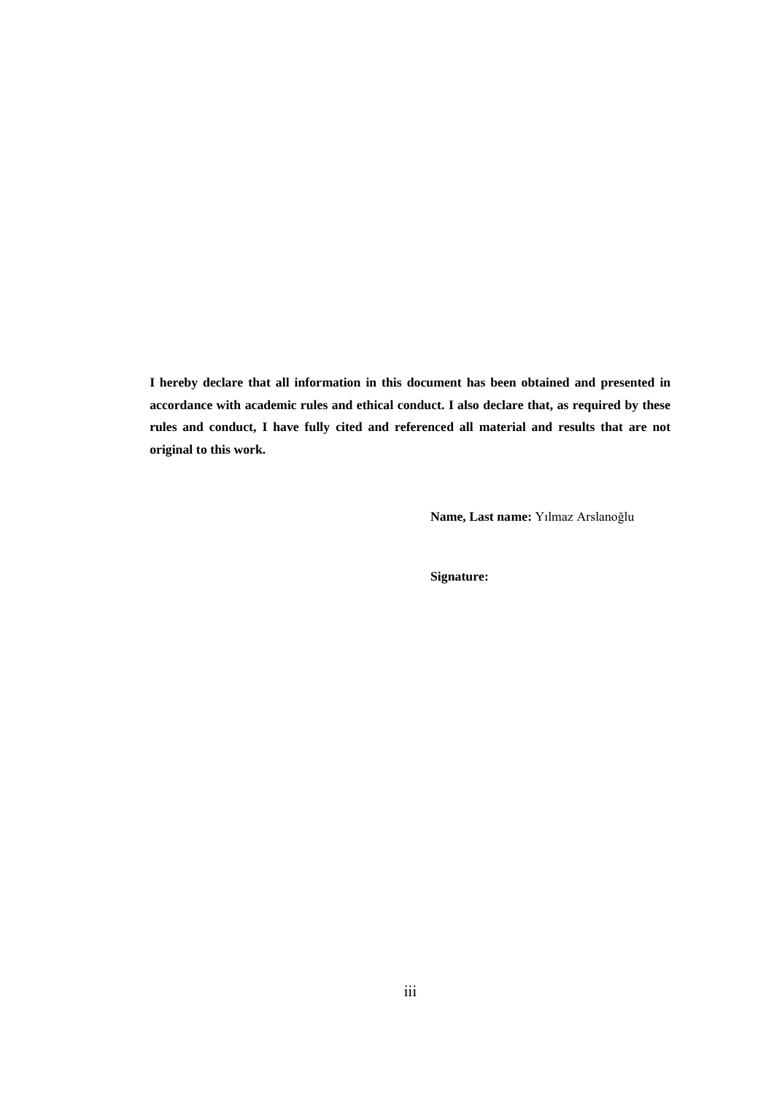**I hereby declare that all information in this document has been obtained and presented in accordance with academic rules and ethical conduct. I also declare that, as required by these rules and conduct, I have fully cited and referenced all material and results that are not original to this work.**

**Name, Last name:** Yılmaz Arslanoğlu

**Signature:**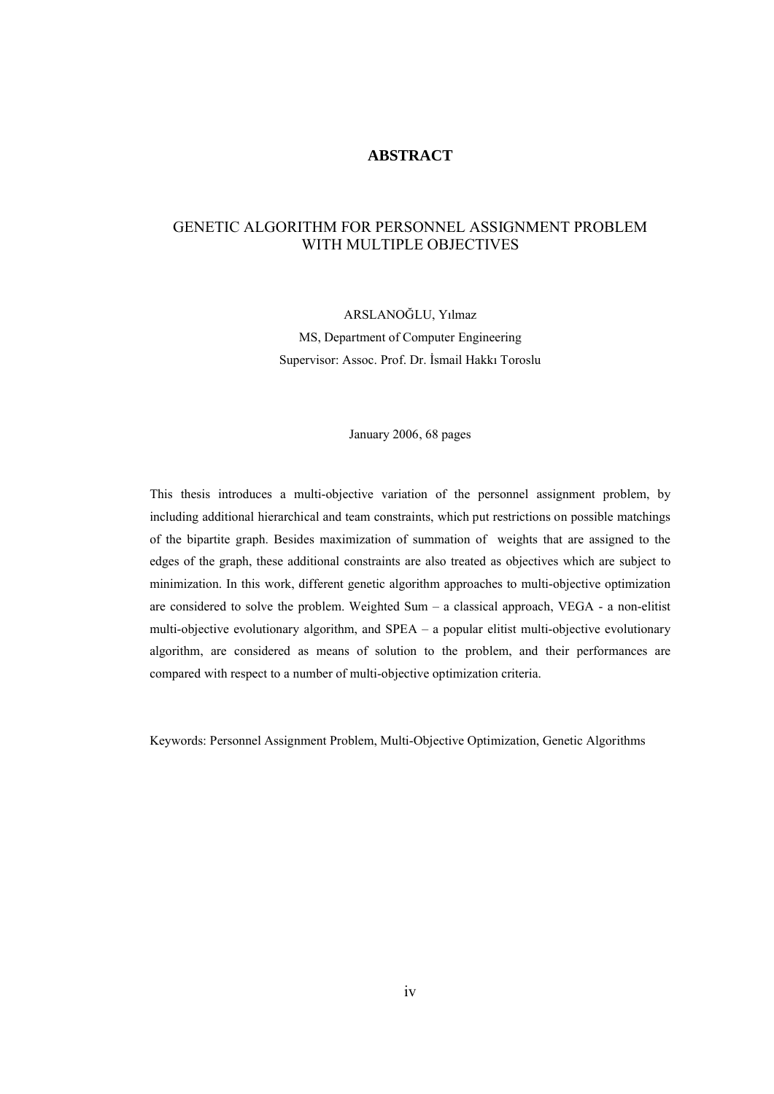## **ABSTRACT**

# GENETIC ALGORITHM FOR PERSONNEL ASSIGNMENT PROBLEM WITH MULTIPLE OBJECTIVES

ARSLANOĞLU, Yılmaz MS, Department of Computer Engineering Supervisor: Assoc. Prof. Dr. İsmail Hakkı Toroslu

January 2006, 68 pages

This thesis introduces a multi-objective variation of the personnel assignment problem, by including additional hierarchical and team constraints, which put restrictions on possible matchings of the bipartite graph. Besides maximization of summation of weights that are assigned to the edges of the graph, these additional constraints are also treated as objectives which are subject to minimization. In this work, different genetic algorithm approaches to multi-objective optimization are considered to solve the problem. Weighted Sum – a classical approach, VEGA - a non-elitist multi-objective evolutionary algorithm, and SPEA – a popular elitist multi-objective evolutionary algorithm, are considered as means of solution to the problem, and their performances are compared with respect to a number of multi-objective optimization criteria.

Keywords: Personnel Assignment Problem, Multi-Objective Optimization, Genetic Algorithms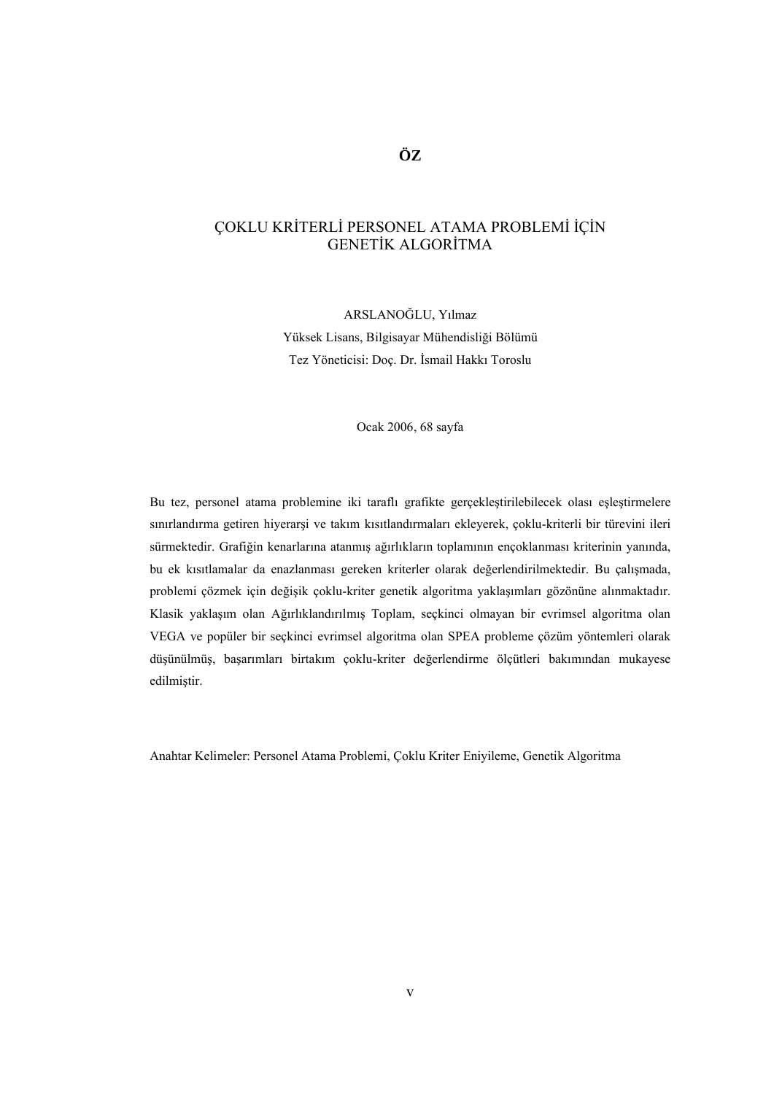# **ÖZ**

# ÇOKLU KRİTERLİ PERSONEL ATAMA PROBLEMİ İÇİN GENETİK ALGORİTMA

ARSLANOĞLU, Yılmaz

Yüksek Lisans, Bilgisayar Mühendisliği Bölümü Tez Yöneticisi: Doç. Dr. İsmail Hakkı Toroslu

Ocak 2006, 68 sayfa

Bu tez, personel atama problemine iki taraflı grafikte gerçekleştirilebilecek olası eşleştirmelere sınırlandırma getiren hiyerarşi ve takım kısıtlandırmaları ekleyerek, çoklu-kriterli bir türevini ileri sürmektedir. Grafiğin kenarlarına atanmış ağırlıkların toplamının ençoklanması kriterinin yanında, bu ek kısıtlamalar da enazlanması gereken kriterler olarak değerlendirilmektedir. Bu çalışmada, problemi çözmek için değişik çoklu-kriter genetik algoritma yaklaşımları gözönüne alınmaktadır. Klasik yaklaşım olan Ağırlıklandırılmış Toplam, seçkinci olmayan bir evrimsel algoritma olan VEGA ve popüler bir seçkinci evrimsel algoritma olan SPEA probleme çözüm yöntemleri olarak düşünülmüş, başarımları birtakım çoklu-kriter değerlendirme ölçütleri bakımından mukayese edilmiştir.

Anahtar Kelimeler: Personel Atama Problemi, Çoklu Kriter Eniyileme, Genetik Algoritma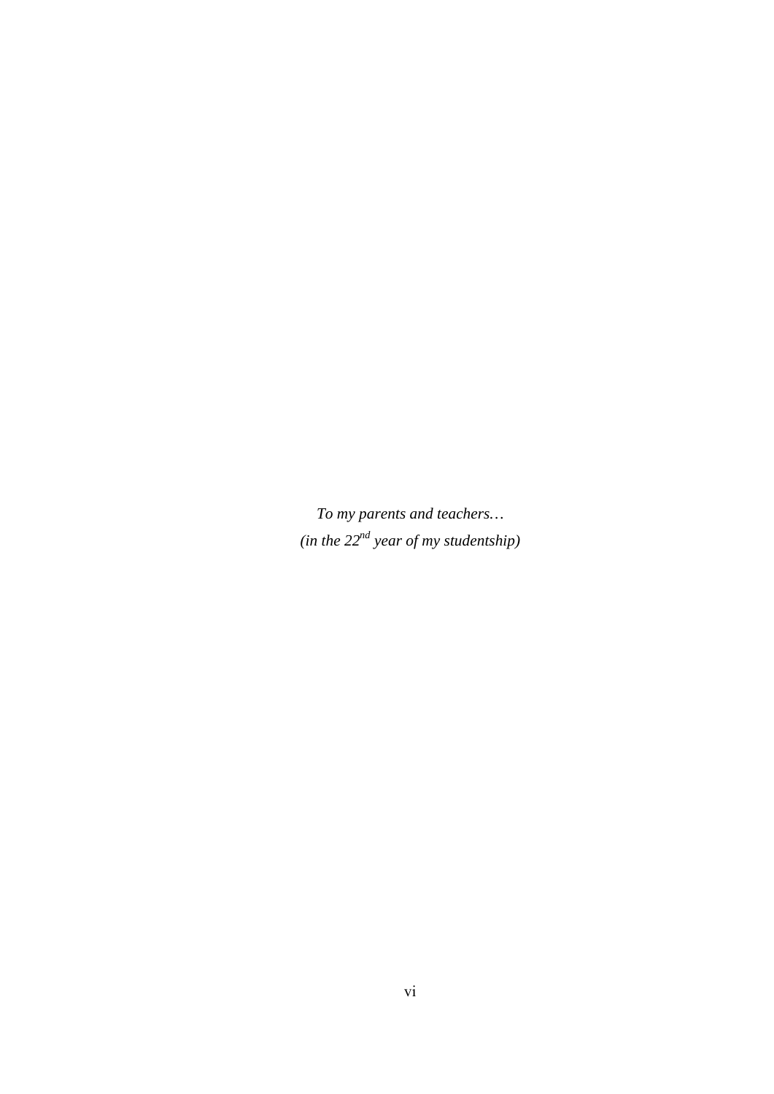*To my parents and teachers… (in the 22nd year of my studentship)*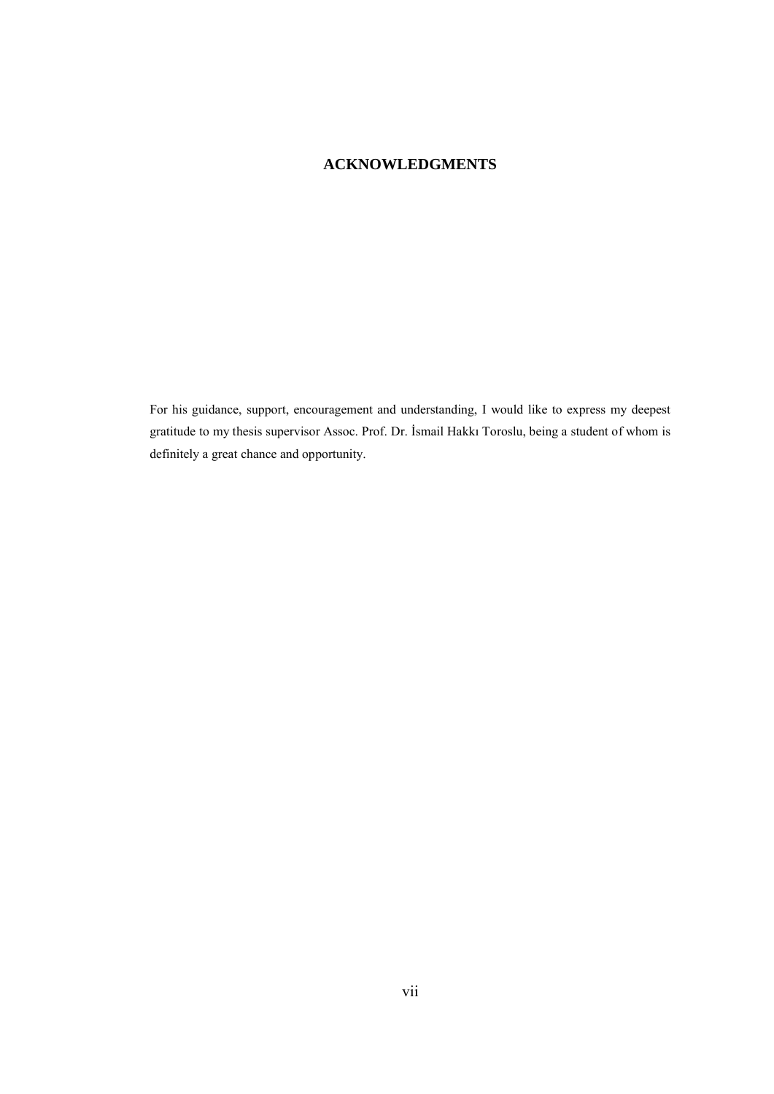# **ACKNOWLEDGMENTS**

For his guidance, support, encouragement and understanding, I would like to express my deepest gratitude to my thesis supervisor Assoc. Prof. Dr. İsmail Hakkı Toroslu, being a student of whom is definitely a great chance and opportunity.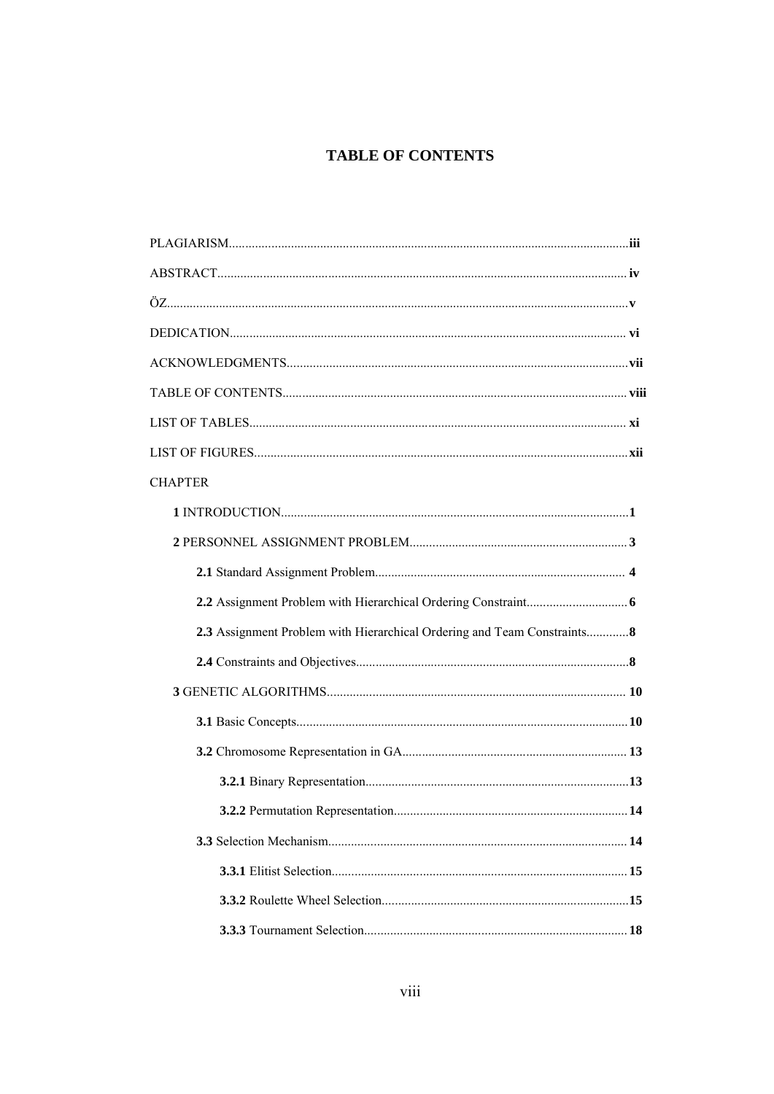# **TABLE OF CONTENTS**

| <b>CHAPTER</b> |  |
|----------------|--|
|                |  |
|                |  |
|                |  |
|                |  |
|                |  |
|                |  |
|                |  |
|                |  |
|                |  |
|                |  |
|                |  |
|                |  |
|                |  |
|                |  |
|                |  |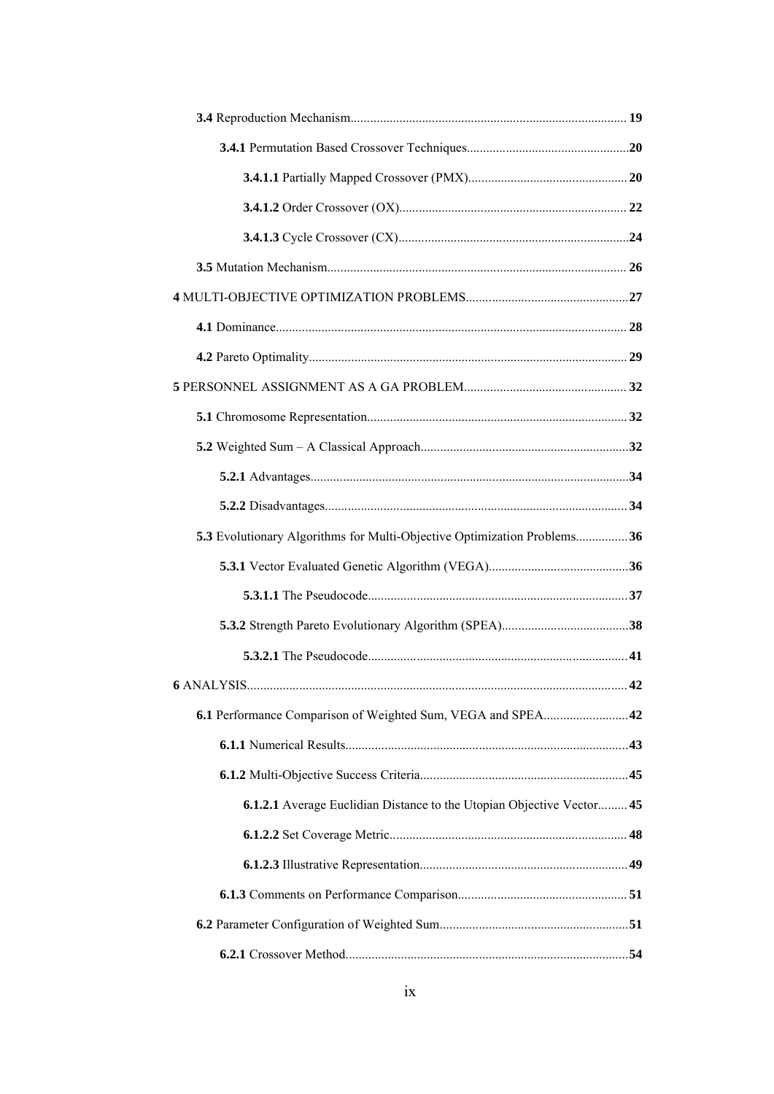| 5.3 Evolutionary Algorithms for Multi-Objective Optimization Problems 36 |  |
|--------------------------------------------------------------------------|--|
|                                                                          |  |
|                                                                          |  |
|                                                                          |  |
|                                                                          |  |
|                                                                          |  |
| 6.1 Performance Comparison of Weighted Sum, VEGA and SPEA 42             |  |
|                                                                          |  |
|                                                                          |  |
| 6.1.2.1 Average Euclidian Distance to the Utopian Objective Vector 45    |  |
|                                                                          |  |
|                                                                          |  |
|                                                                          |  |
|                                                                          |  |
|                                                                          |  |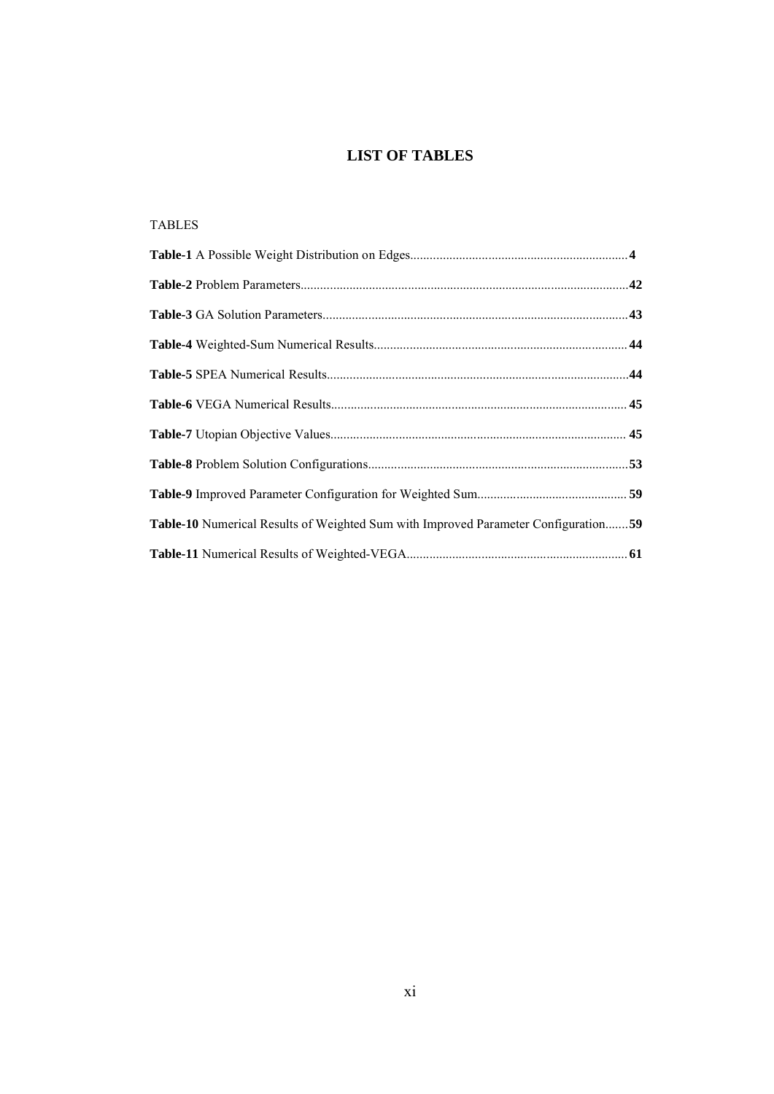# **LIST OF TABLES**

# TABLES

| <b>Table-10</b> Numerical Results of Weighted Sum with Improved Parameter Configuration 59 |  |
|--------------------------------------------------------------------------------------------|--|
|                                                                                            |  |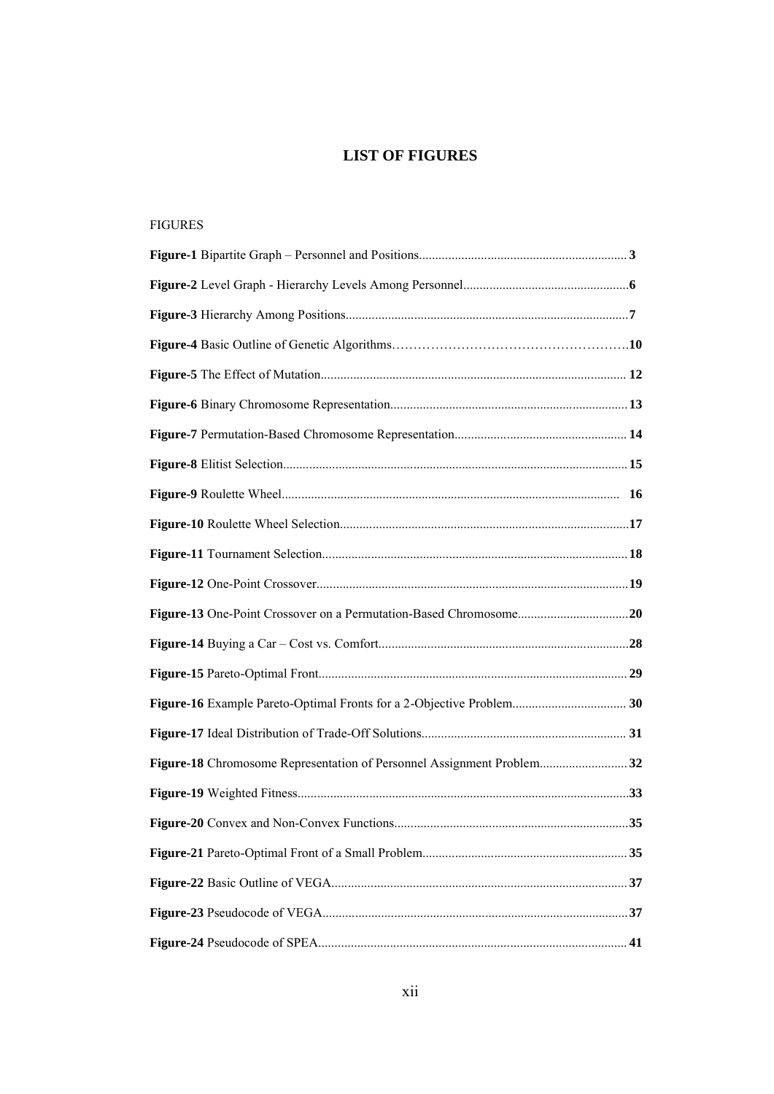# **LIST OF FIGURES**

# FIGURES

| Figure-18 Chromosome Representation of Personnel Assignment Problem32 |    |
|-----------------------------------------------------------------------|----|
|                                                                       |    |
| Figure-20 Convex and Non-Convex Functions.                            | 35 |
|                                                                       |    |
|                                                                       |    |
|                                                                       |    |
|                                                                       |    |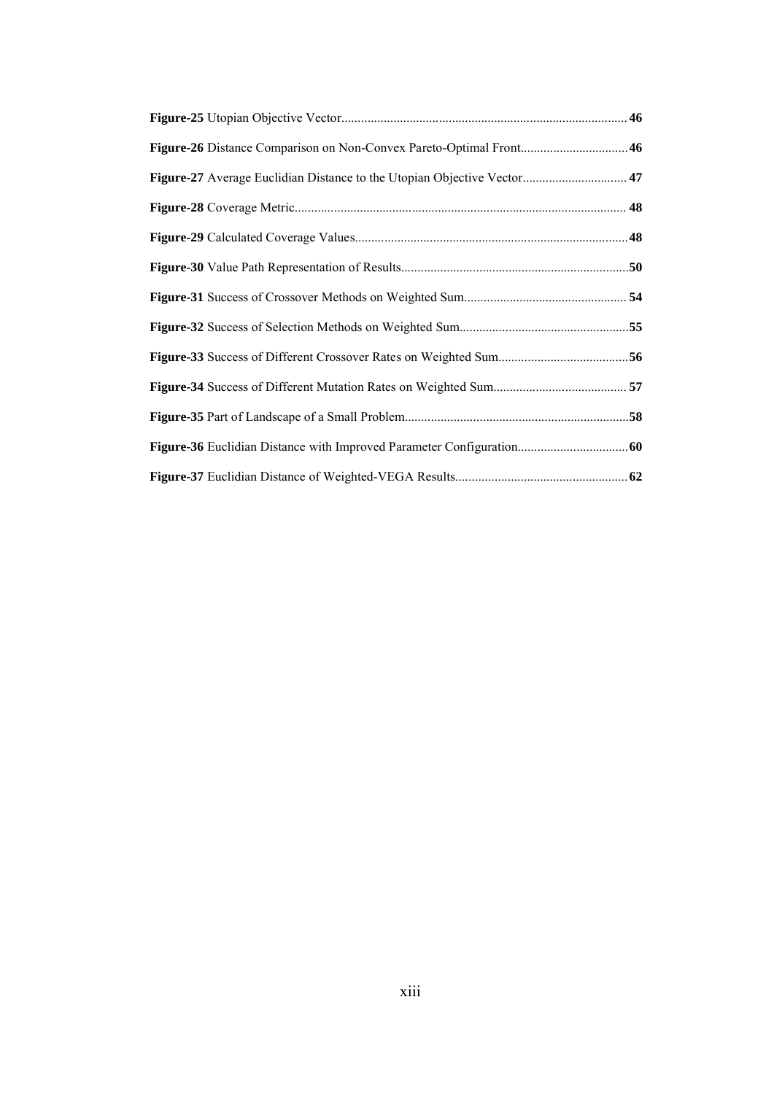| Figure-26 Distance Comparison on Non-Convex Pareto-Optimal Front 46     |  |
|-------------------------------------------------------------------------|--|
| Figure-27 Average Euclidian Distance to the Utopian Objective Vector 47 |  |
|                                                                         |  |
|                                                                         |  |
|                                                                         |  |
|                                                                         |  |
|                                                                         |  |
|                                                                         |  |
|                                                                         |  |
|                                                                         |  |
|                                                                         |  |
|                                                                         |  |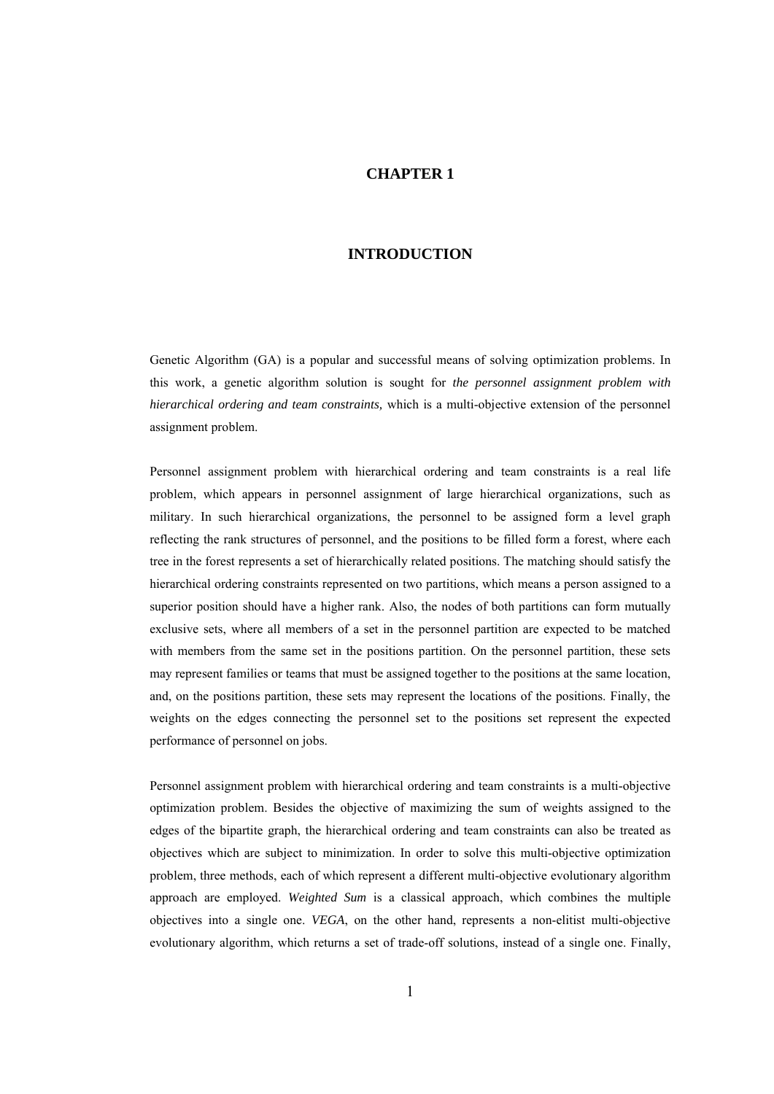### **CHAPTER 1**

### **INTRODUCTION**

Genetic Algorithm (GA) is a popular and successful means of solving optimization problems. In this work, a genetic algorithm solution is sought for *the personnel assignment problem with hierarchical ordering and team constraints,* which is a multi-objective extension of the personnel assignment problem.

Personnel assignment problem with hierarchical ordering and team constraints is a real life problem, which appears in personnel assignment of large hierarchical organizations, such as military. In such hierarchical organizations, the personnel to be assigned form a level graph reflecting the rank structures of personnel, and the positions to be filled form a forest, where each tree in the forest represents a set of hierarchically related positions. The matching should satisfy the hierarchical ordering constraints represented on two partitions, which means a person assigned to a superior position should have a higher rank. Also, the nodes of both partitions can form mutually exclusive sets, where all members of a set in the personnel partition are expected to be matched with members from the same set in the positions partition. On the personnel partition, these sets may represent families or teams that must be assigned together to the positions at the same location, and, on the positions partition, these sets may represent the locations of the positions. Finally, the weights on the edges connecting the personnel set to the positions set represent the expected performance of personnel on jobs.

Personnel assignment problem with hierarchical ordering and team constraints is a multi-objective optimization problem. Besides the objective of maximizing the sum of weights assigned to the edges of the bipartite graph, the hierarchical ordering and team constraints can also be treated as objectives which are subject to minimization. In order to solve this multi-objective optimization problem, three methods, each of which represent a different multi-objective evolutionary algorithm approach are employed. *Weighted Sum* is a classical approach, which combines the multiple objectives into a single one. *VEGA*, on the other hand, represents a non-elitist multi-objective evolutionary algorithm, which returns a set of trade-off solutions, instead of a single one. Finally,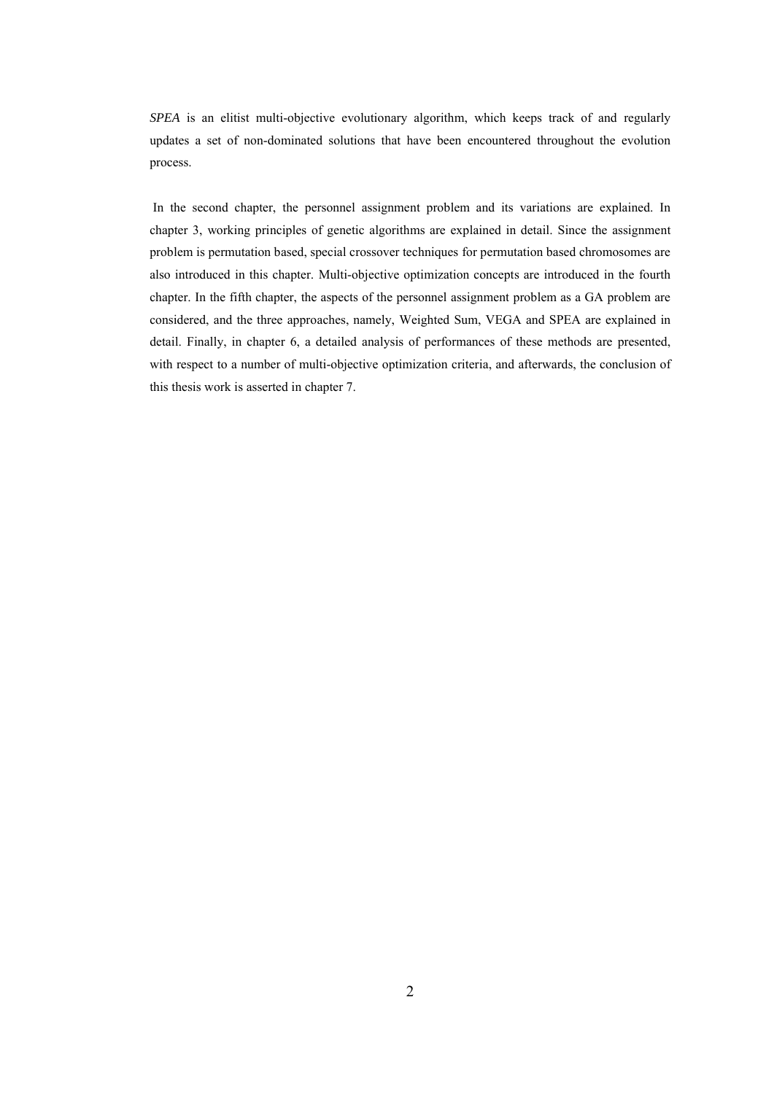*SPEA* is an elitist multi-objective evolutionary algorithm, which keeps track of and regularly updates a set of non-dominated solutions that have been encountered throughout the evolution process.

 In the second chapter, the personnel assignment problem and its variations are explained. In chapter 3, working principles of genetic algorithms are explained in detail. Since the assignment problem is permutation based, special crossover techniques for permutation based chromosomes are also introduced in this chapter. Multi-objective optimization concepts are introduced in the fourth chapter. In the fifth chapter, the aspects of the personnel assignment problem as a GA problem are considered, and the three approaches, namely, Weighted Sum, VEGA and SPEA are explained in detail. Finally, in chapter 6, a detailed analysis of performances of these methods are presented, with respect to a number of multi-objective optimization criteria, and afterwards, the conclusion of this thesis work is asserted in chapter 7.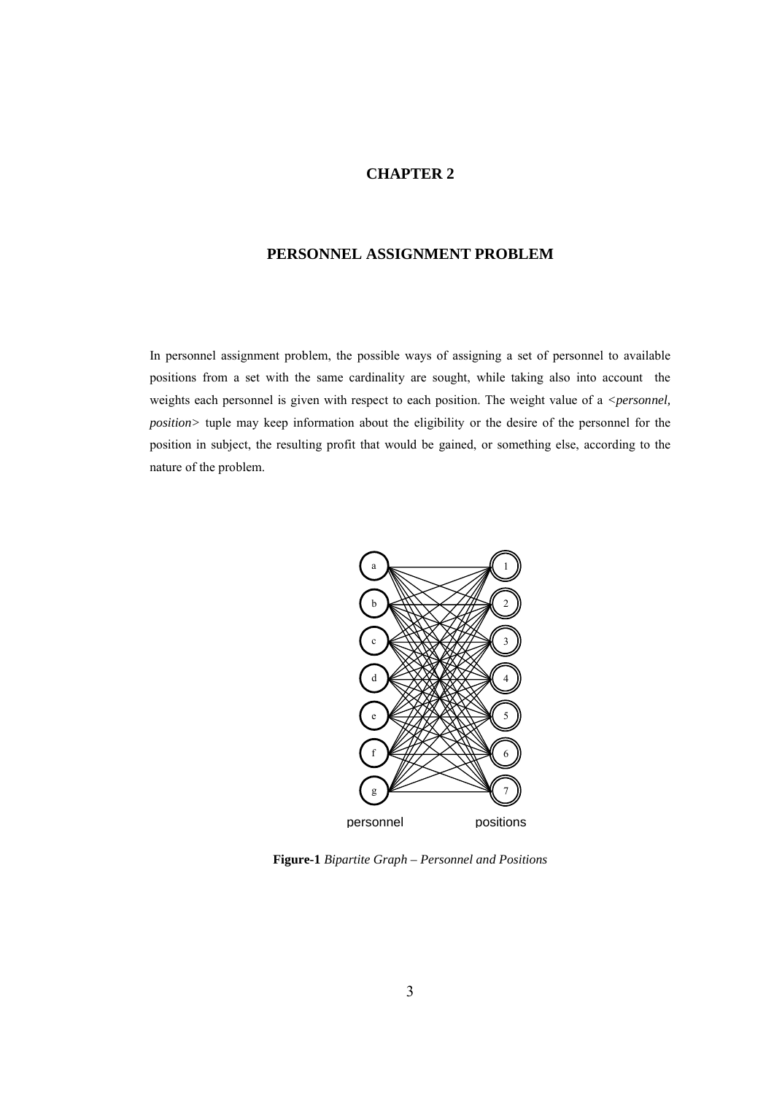## **CHAPTER 2**

## **PERSONNEL ASSIGNMENT PROBLEM**

In personnel assignment problem, the possible ways of assigning a set of personnel to available positions from a set with the same cardinality are sought, while taking also into account the weights each personnel is given with respect to each position. The weight value of a *<personnel*, *position>* tuple may keep information about the eligibility or the desire of the personnel for the position in subject, the resulting profit that would be gained, or something else, according to the nature of the problem.



**Figure-1** *Bipartite Graph – Personnel and Positions*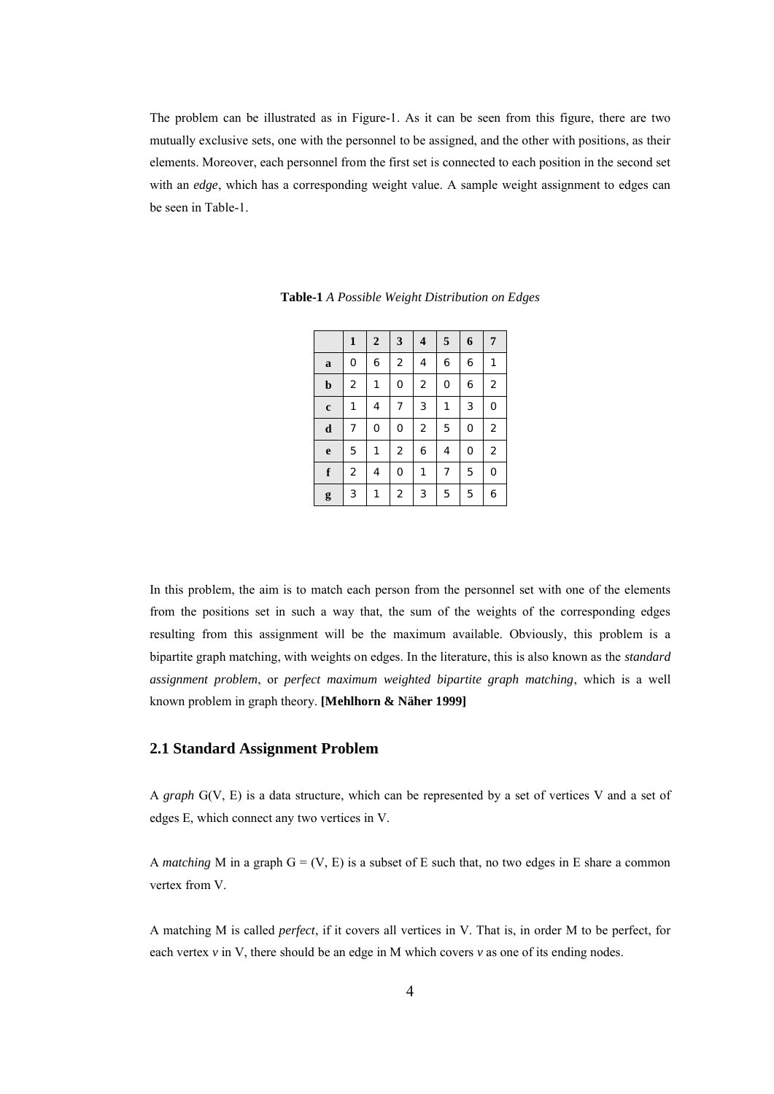The problem can be illustrated as in Figure-1. As it can be seen from this figure, there are two mutually exclusive sets, one with the personnel to be assigned, and the other with positions, as their elements. Moreover, each personnel from the first set is connected to each position in the second set with an *edge*, which has a corresponding weight value. A sample weight assignment to edges can be seen in Table-1.

|             | $\mathbf{1}$     | $\overline{2}$ | 3                | $\overline{\mathbf{4}}$ | 5            | 6        | 7                |
|-------------|------------------|----------------|------------------|-------------------------|--------------|----------|------------------|
| $\bf{a}$    | $\bf{0}$         | 6              | $\boldsymbol{2}$ | 4                       | 6            | 6        | 1                |
| $\mathbf b$ | $\boldsymbol{2}$ | $\mathbf{1}$   | $\bf{0}$         | $\boldsymbol{2}$        | $\bf{0}$     | 6        | $\boldsymbol{2}$ |
| $\mathbf c$ | $\mathbf{1}$     | 4              | 7                | 3                       | $\mathbf{1}$ | 3        | 0                |
| $\mathbf d$ | 7                | $\bf{0}$       | $\bf{0}$         | $\boldsymbol{2}$        | 5            | $\bf{0}$ | $\boldsymbol{2}$ |
| $\mathbf e$ | 5                | $\mathbf{1}$   | $\boldsymbol{2}$ | 6                       | 4            | $\bf{0}$ | $\boldsymbol{2}$ |
| f           | $\boldsymbol{2}$ | 4              | $\bf{0}$         | $\mathbf{1}$            | 7            | 5        | 0                |
| g           | 3                | 1              | $\boldsymbol{2}$ | 3                       | $\mathbf 5$  | 5        | 6                |

**Table-1** *A Possible Weight Distribution on Edges*

In this problem, the aim is to match each person from the personnel set with one of the elements from the positions set in such a way that, the sum of the weights of the corresponding edges resulting from this assignment will be the maximum available. Obviously, this problem is a bipartite graph matching, with weights on edges. In the literature, this is also known as the *standard assignment problem*, or *perfect maximum weighted bipartite graph matching*, which is a well known problem in graph theory. **[Mehlhorn & Näher 1999]**

## **2.1 Standard Assignment Problem**

A *graph* G(V, E) is a data structure, which can be represented by a set of vertices V and a set of edges E, which connect any two vertices in V.

A *matching* M in a graph  $G = (V, E)$  is a subset of E such that, no two edges in E share a common vertex from V.

A matching M is called *perfect*, if it covers all vertices in V. That is, in order M to be perfect, for each vertex  $\nu$  in V, there should be an edge in M which covers  $\nu$  as one of its ending nodes.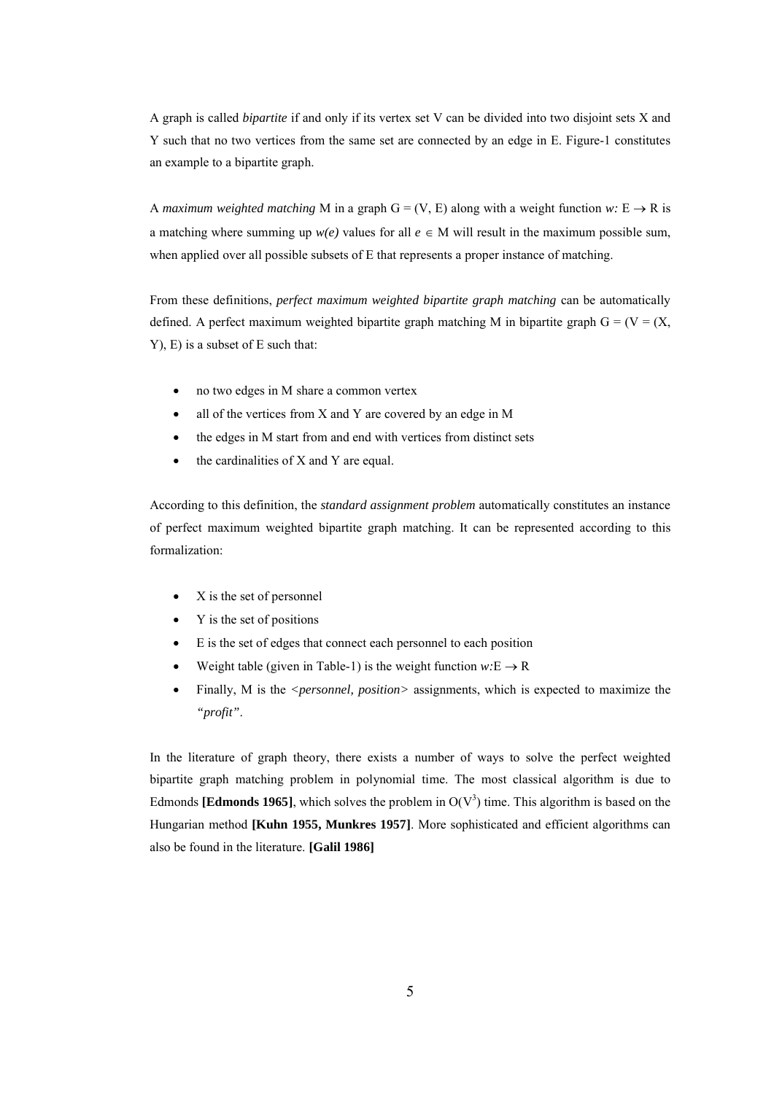A graph is called *bipartite* if and only if its vertex set V can be divided into two disjoint sets X and Y such that no two vertices from the same set are connected by an edge in E. Figure-1 constitutes an example to a bipartite graph.

A *maximum weighted matching* M in a graph  $G = (V, E)$  along with a weight function  $w: E \to R$  is a matching where summing up  $w(e)$  values for all  $e \in M$  will result in the maximum possible sum, when applied over all possible subsets of E that represents a proper instance of matching.

From these definitions, *perfect maximum weighted bipartite graph matching* can be automatically defined. A perfect maximum weighted bipartite graph matching M in bipartite graph  $G = (V = (X,$ Y), E) is a subset of E such that:

- no two edges in M share a common vertex
- all of the vertices from X and Y are covered by an edge in M
- the edges in M start from and end with vertices from distinct sets
- $\bullet$  the cardinalities of X and Y are equal.

According to this definition, the *standard assignment problem* automatically constitutes an instance of perfect maximum weighted bipartite graph matching. It can be represented according to this formalization:

- X is the set of personnel
- Y is the set of positions
- E is the set of edges that connect each personnel to each position
- Weight table (given in Table-1) is the weight function  $w: E \to R$
- Finally, M is the *<personnel, position>* assignments, which is expected to maximize the *"profit"*.

In the literature of graph theory, there exists a number of ways to solve the perfect weighted bipartite graph matching problem in polynomial time. The most classical algorithm is due to Edmonds [**Edmonds 1965**], which solves the problem in  $O(V^3)$  time. This algorithm is based on the Hungarian method **[Kuhn 1955, Munkres 1957]**. More sophisticated and efficient algorithms can also be found in the literature. **[Galil 1986]**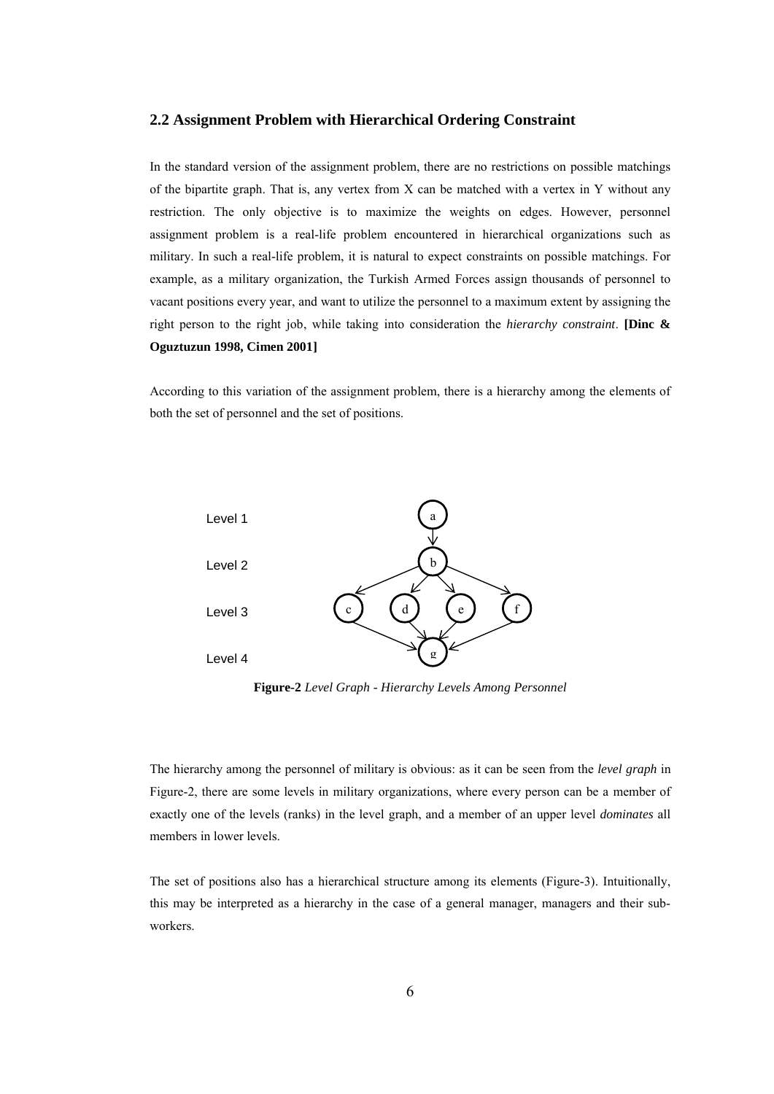### **2.2 Assignment Problem with Hierarchical Ordering Constraint**

In the standard version of the assignment problem, there are no restrictions on possible matchings of the bipartite graph. That is, any vertex from  $X$  can be matched with a vertex in Y without any restriction. The only objective is to maximize the weights on edges. However, personnel assignment problem is a real-life problem encountered in hierarchical organizations such as military. In such a real-life problem, it is natural to expect constraints on possible matchings. For example, as a military organization, the Turkish Armed Forces assign thousands of personnel to vacant positions every year, and want to utilize the personnel to a maximum extent by assigning the right person to the right job, while taking into consideration the *hierarchy constraint*. **[Dinc & Oguztuzun 1998, Cimen 2001]**

According to this variation of the assignment problem, there is a hierarchy among the elements of both the set of personnel and the set of positions.



**Figure-2** *Level Graph - Hierarchy Levels Among Personnel*

The hierarchy among the personnel of military is obvious: as it can be seen from the *level graph* in Figure-2, there are some levels in military organizations, where every person can be a member of exactly one of the levels (ranks) in the level graph, and a member of an upper level *dominates* all members in lower levels.

The set of positions also has a hierarchical structure among its elements (Figure-3). Intuitionally, this may be interpreted as a hierarchy in the case of a general manager, managers and their subworkers.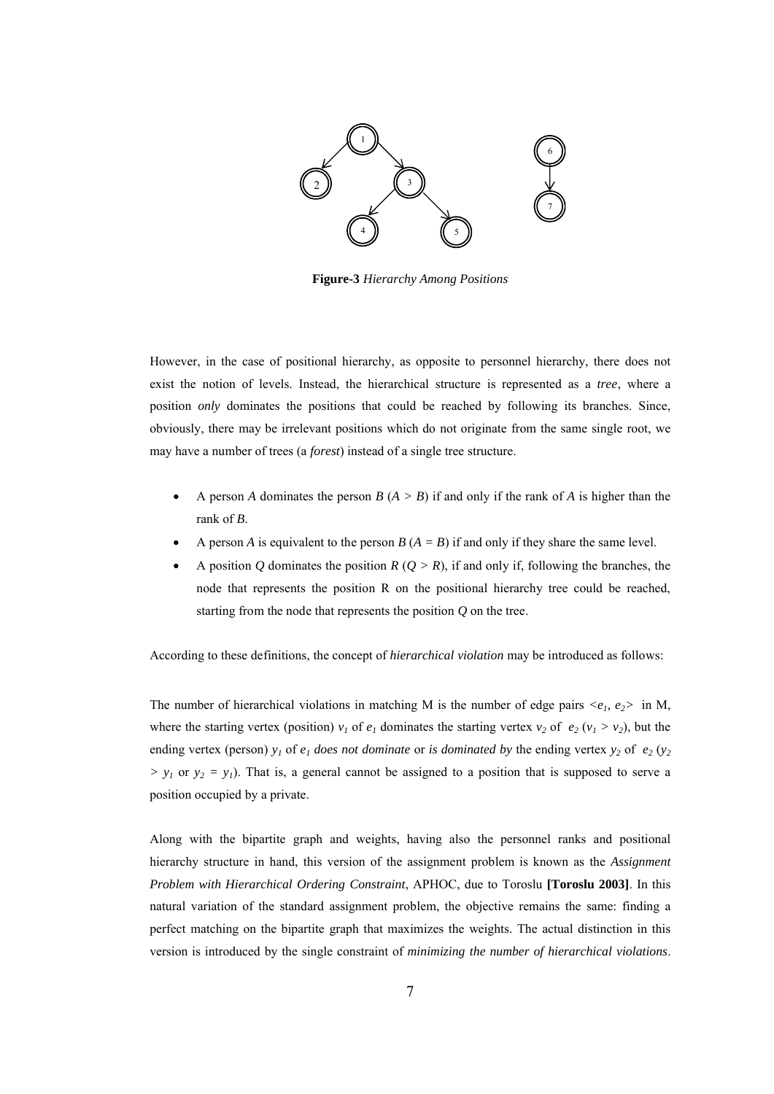

**Figure-3** *Hierarchy Among Positions*

However, in the case of positional hierarchy, as opposite to personnel hierarchy, there does not exist the notion of levels. Instead, the hierarchical structure is represented as a *tree*, where a position *only* dominates the positions that could be reached by following its branches. Since, obviously, there may be irrelevant positions which do not originate from the same single root, we may have a number of trees (a *forest*) instead of a single tree structure.

- A person *A* dominates the person *B* (*A > B*) if and only if the rank of *A* is higher than the rank of *B*.
- A person *A* is equivalent to the person *B* ( $A = B$ ) if and only if they share the same level.
- A position *Q* dominates the position *R* ( $Q > R$ ), if and only if, following the branches, the node that represents the position R on the positional hierarchy tree could be reached, starting from the node that represents the position *Q* on the tree.

According to these definitions, the concept of *hierarchical violation* may be introduced as follows:

The number of hierarchical violations in matching M is the number of edge pairs  $\langle e_1, e_2 \rangle$  in M, where the starting vertex (position)  $v_1$  of  $e_1$  dominates the starting vertex  $v_2$  of  $e_2$  ( $v_1 > v_2$ ), but the ending vertex (person)  $y_1$  of  $e_1$  *does not dominate* or *is dominated by* the ending vertex  $y_2$  of  $e_2$  ( $y_2$  $> y_1$  or  $y_2 = y_1$ ). That is, a general cannot be assigned to a position that is supposed to serve a position occupied by a private.

Along with the bipartite graph and weights, having also the personnel ranks and positional hierarchy structure in hand, this version of the assignment problem is known as the *Assignment Problem with Hierarchical Ordering Constraint*, APHOC, due to Toroslu **[Toroslu 2003]**. In this natural variation of the standard assignment problem, the objective remains the same: finding a perfect matching on the bipartite graph that maximizes the weights. The actual distinction in this version is introduced by the single constraint of *minimizing the number of hierarchical violations*.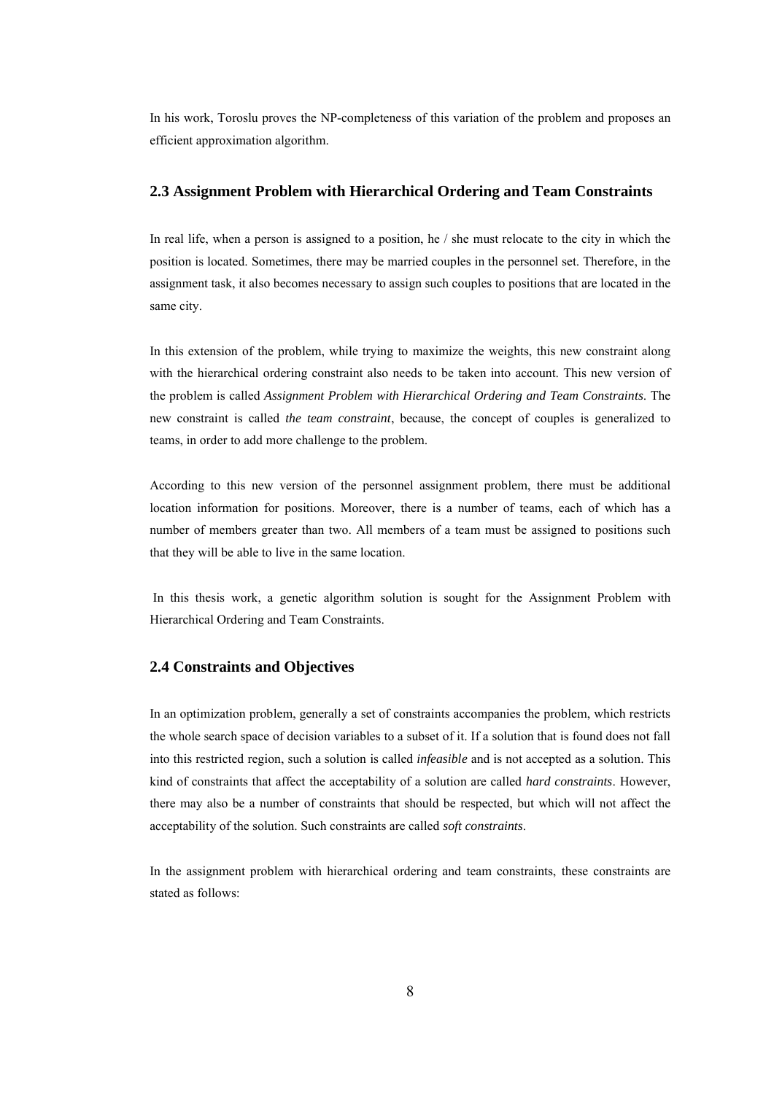In his work, Toroslu proves the NP-completeness of this variation of the problem and proposes an efficient approximation algorithm.

#### **2.3 Assignment Problem with Hierarchical Ordering and Team Constraints**

In real life, when a person is assigned to a position, he / she must relocate to the city in which the position is located. Sometimes, there may be married couples in the personnel set. Therefore, in the assignment task, it also becomes necessary to assign such couples to positions that are located in the same city.

In this extension of the problem, while trying to maximize the weights, this new constraint along with the hierarchical ordering constraint also needs to be taken into account. This new version of the problem is called *Assignment Problem with Hierarchical Ordering and Team Constraints*. The new constraint is called *the team constraint*, because, the concept of couples is generalized to teams, in order to add more challenge to the problem.

According to this new version of the personnel assignment problem, there must be additional location information for positions. Moreover, there is a number of teams, each of which has a number of members greater than two. All members of a team must be assigned to positions such that they will be able to live in the same location.

 In this thesis work, a genetic algorithm solution is sought for the Assignment Problem with Hierarchical Ordering and Team Constraints.

#### **2.4 Constraints and Objectives**

In an optimization problem, generally a set of constraints accompanies the problem, which restricts the whole search space of decision variables to a subset of it. If a solution that is found does not fall into this restricted region, such a solution is called *infeasible* and is not accepted as a solution. This kind of constraints that affect the acceptability of a solution are called *hard constraints*. However, there may also be a number of constraints that should be respected, but which will not affect the acceptability of the solution. Such constraints are called *soft constraints*.

In the assignment problem with hierarchical ordering and team constraints, these constraints are stated as follows: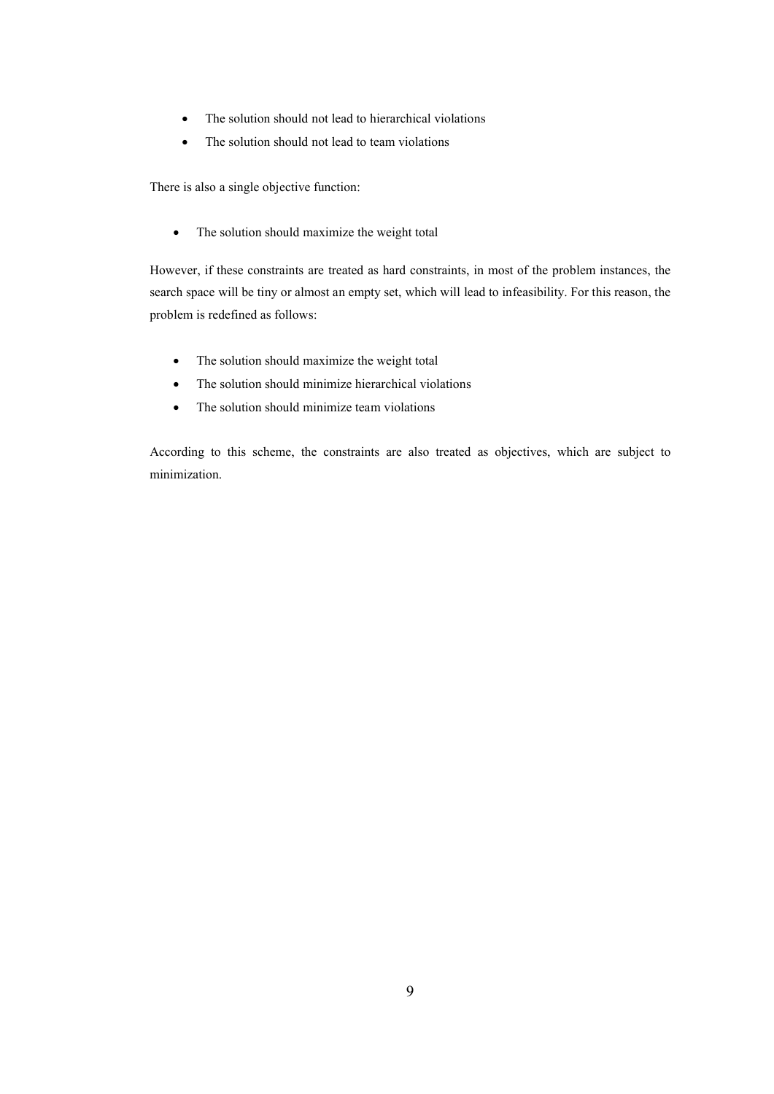- The solution should not lead to hierarchical violations
- The solution should not lead to team violations

There is also a single objective function:

• The solution should maximize the weight total

However, if these constraints are treated as hard constraints, in most of the problem instances, the search space will be tiny or almost an empty set, which will lead to infeasibility. For this reason, the problem is redefined as follows:

- The solution should maximize the weight total
- The solution should minimize hierarchical violations
- The solution should minimize team violations

According to this scheme, the constraints are also treated as objectives, which are subject to minimization.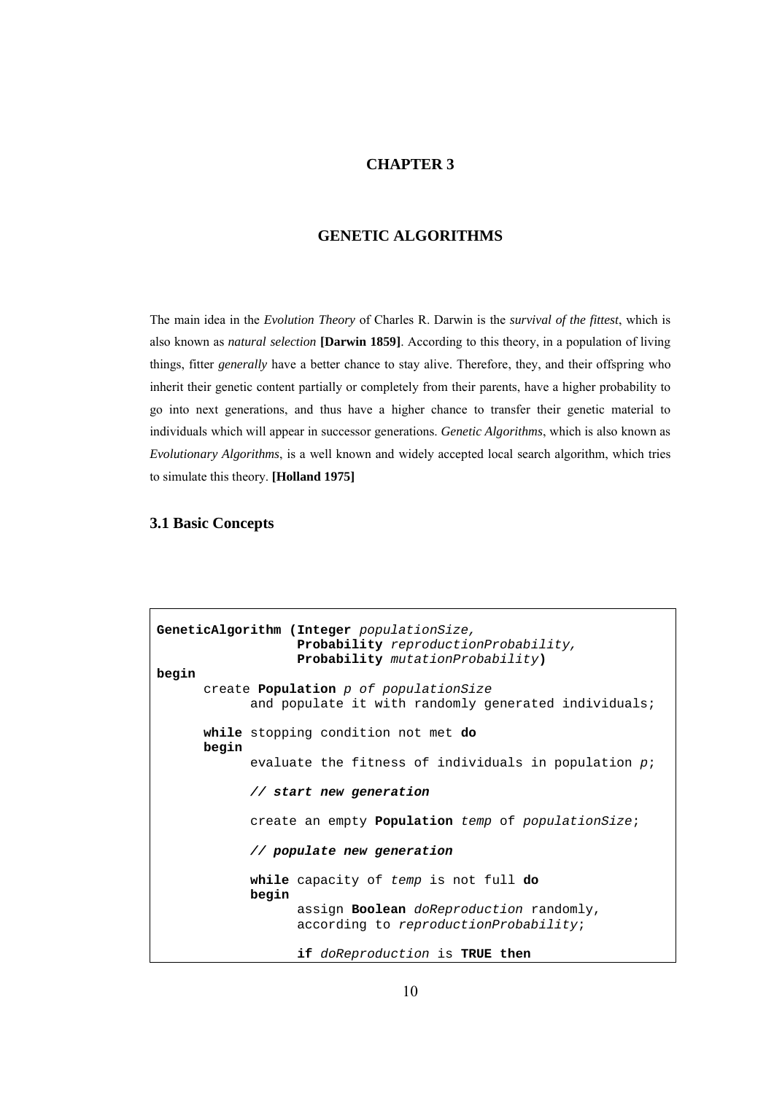#### **CHAPTER 3**

## **GENETIC ALGORITHMS**

The main idea in the *Evolution Theory* of Charles R. Darwin is the *survival of the fittest*, which is also known as *natural selection* **[Darwin 1859]**. According to this theory, in a population of living things, fitter *generally* have a better chance to stay alive. Therefore, they, and their offspring who inherit their genetic content partially or completely from their parents, have a higher probability to go into next generations, and thus have a higher chance to transfer their genetic material to individuals which will appear in successor generations. *Genetic Algorithms*, which is also known as *Evolutionary Algorithms*, is a well known and widely accepted local search algorithm, which tries to simulate this theory. **[Holland 1975]**

### **3.1 Basic Concepts**

```
GeneticAlgorithm (Integer populationSize,
                  Probability reproductionProbability,
                  Probability mutationProbability)
begin
      create Population p of populationSize
            and populate it with randomly generated individuals;
     while stopping condition not met do
      begin
            evaluate the fitness of individuals in population p;
            // start new generation
            create an empty Population temp of populationSize;
            // populate new generation
            while capacity of temp is not full do
            begin
                  assign Boolean doReproduction randomly,
                  according to reproductionProbability; 
                  if doReproduction is TRUE then
```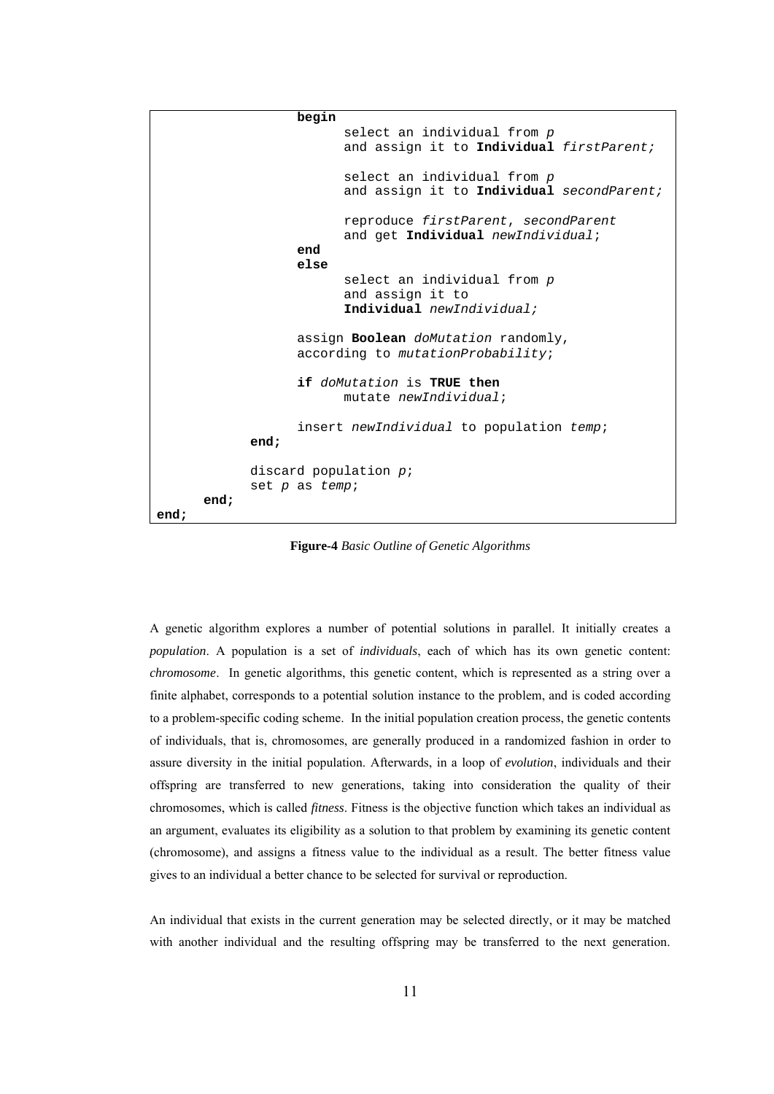```
begin
                        select an individual from p
                        and assign it to Individual firstParent;
                        select an individual from p
                        and assign it to Individual secondParent;
                        reproduce firstParent, secondParent
                        and get Individual newIndividual;
                  end
                  else
                        select an individual from p
                        and assign it to 
                        Individual newIndividual;
                  assign Boolean doMutation randomly,
                  according to mutationProbability;
                  if doMutation is TRUE then
                        mutate newIndividual;
                  insert newIndividual to population temp;
            end;
            discard population p;
            set p as temp;
      end; 
end;
```
**Figure-4** *Basic Outline of Genetic Algorithms*

A genetic algorithm explores a number of potential solutions in parallel. It initially creates a *population*. A population is a set of *individuals*, each of which has its own genetic content: *chromosome*. In genetic algorithms, this genetic content, which is represented as a string over a finite alphabet, corresponds to a potential solution instance to the problem, and is coded according to a problem-specific coding scheme. In the initial population creation process, the genetic contents of individuals, that is, chromosomes, are generally produced in a randomized fashion in order to assure diversity in the initial population. Afterwards, in a loop of *evolution*, individuals and their offspring are transferred to new generations, taking into consideration the quality of their chromosomes, which is called *fitness*. Fitness is the objective function which takes an individual as an argument, evaluates its eligibility as a solution to that problem by examining its genetic content (chromosome), and assigns a fitness value to the individual as a result. The better fitness value gives to an individual a better chance to be selected for survival or reproduction.

An individual that exists in the current generation may be selected directly, or it may be matched with another individual and the resulting offspring may be transferred to the next generation.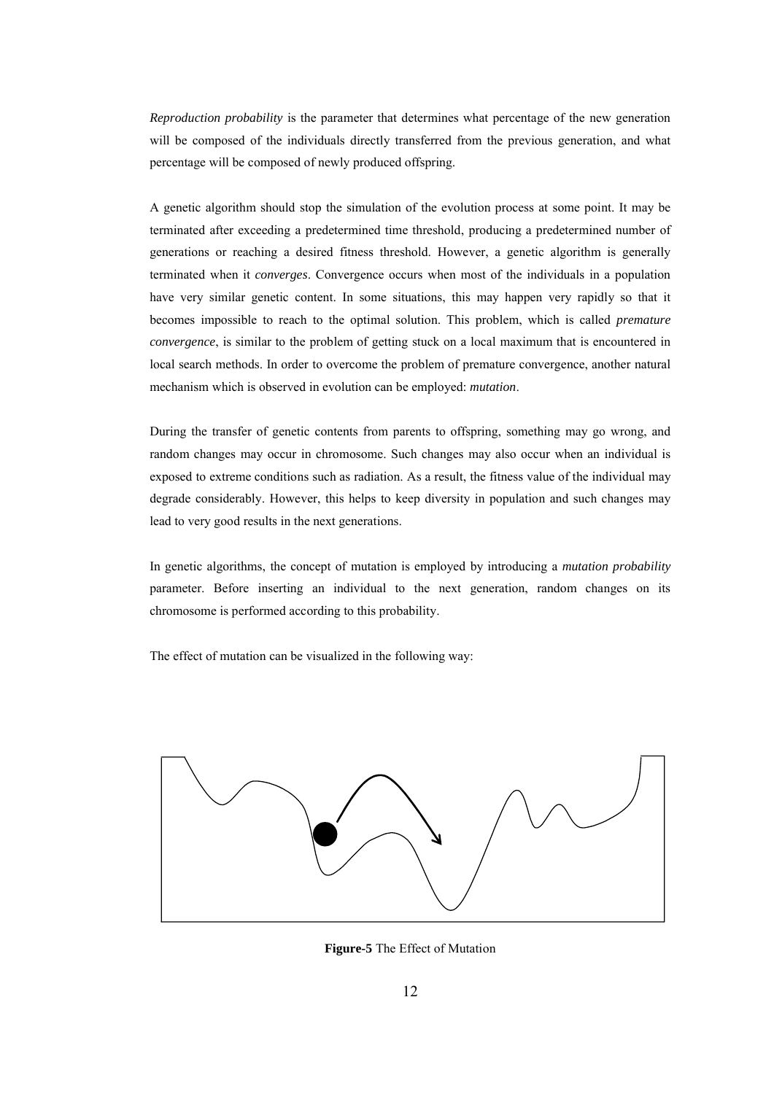*Reproduction probability* is the parameter that determines what percentage of the new generation will be composed of the individuals directly transferred from the previous generation, and what percentage will be composed of newly produced offspring.

A genetic algorithm should stop the simulation of the evolution process at some point. It may be terminated after exceeding a predetermined time threshold, producing a predetermined number of generations or reaching a desired fitness threshold. However, a genetic algorithm is generally terminated when it *converges*. Convergence occurs when most of the individuals in a population have very similar genetic content. In some situations, this may happen very rapidly so that it becomes impossible to reach to the optimal solution. This problem, which is called *premature convergence*, is similar to the problem of getting stuck on a local maximum that is encountered in local search methods. In order to overcome the problem of premature convergence, another natural mechanism which is observed in evolution can be employed: *mutation*.

During the transfer of genetic contents from parents to offspring, something may go wrong, and random changes may occur in chromosome. Such changes may also occur when an individual is exposed to extreme conditions such as radiation. As a result, the fitness value of the individual may degrade considerably. However, this helps to keep diversity in population and such changes may lead to very good results in the next generations.

In genetic algorithms, the concept of mutation is employed by introducing a *mutation probability* parameter. Before inserting an individual to the next generation, random changes on its chromosome is performed according to this probability.

The effect of mutation can be visualized in the following way:



**Figure-5** The Effect of Mutation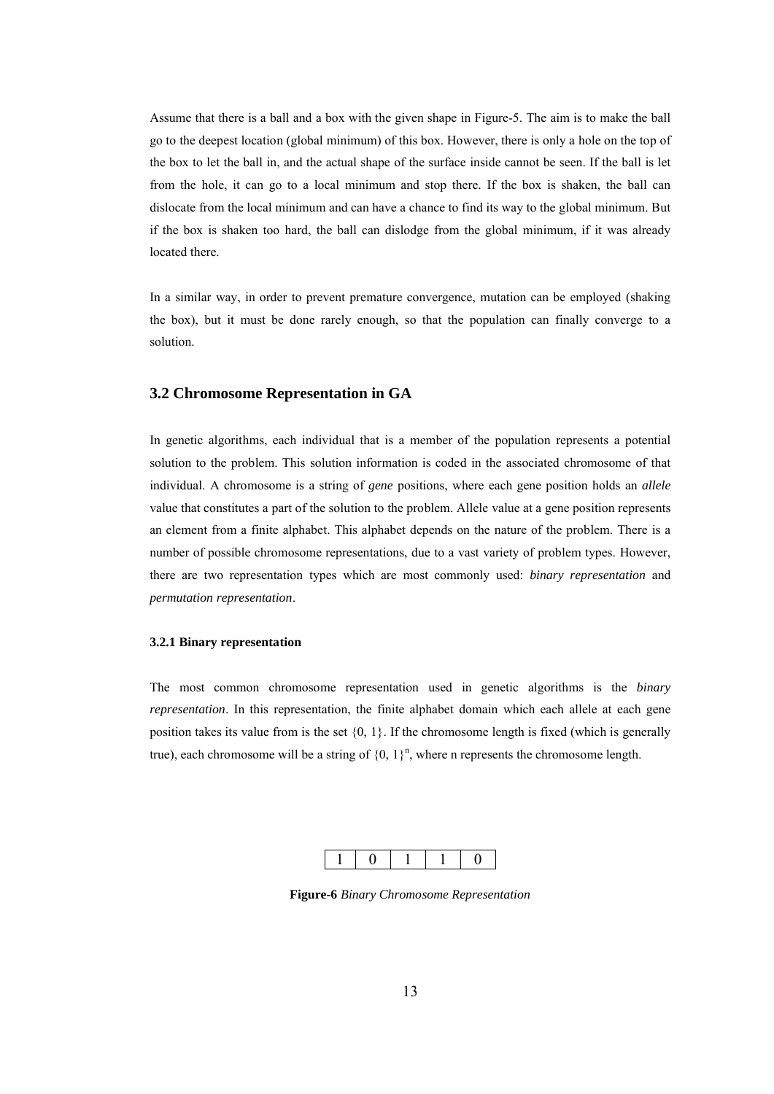Assume that there is a ball and a box with the given shape in Figure-5. The aim is to make the ball go to the deepest location (global minimum) of this box. However, there is only a hole on the top of the box to let the ball in, and the actual shape of the surface inside cannot be seen. If the ball is let from the hole, it can go to a local minimum and stop there. If the box is shaken, the ball can dislocate from the local minimum and can have a chance to find its way to the global minimum. But if the box is shaken too hard, the ball can dislodge from the global minimum, if it was already located there.

In a similar way, in order to prevent premature convergence, mutation can be employed (shaking the box), but it must be done rarely enough, so that the population can finally converge to a solution.

## **3.2 Chromosome Representation in GA**

In genetic algorithms, each individual that is a member of the population represents a potential solution to the problem. This solution information is coded in the associated chromosome of that individual. A chromosome is a string of *gene* positions, where each gene position holds an *allele*  value that constitutes a part of the solution to the problem. Allele value at a gene position represents an element from a finite alphabet. This alphabet depends on the nature of the problem. There is a number of possible chromosome representations, due to a vast variety of problem types. However, there are two representation types which are most commonly used: *binary representation* and *permutation representation*.

#### **3.2.1 Binary representation**

The most common chromosome representation used in genetic algorithms is the *binary representation*. In this representation, the finite alphabet domain which each allele at each gene position takes its value from is the set  $\{0, 1\}$ . If the chromosome length is fixed (which is generally true), each chromosome will be a string of  $\{0, 1\}^n$ , where n represents the chromosome length.



**Figure-6** *Binary Chromosome Representation*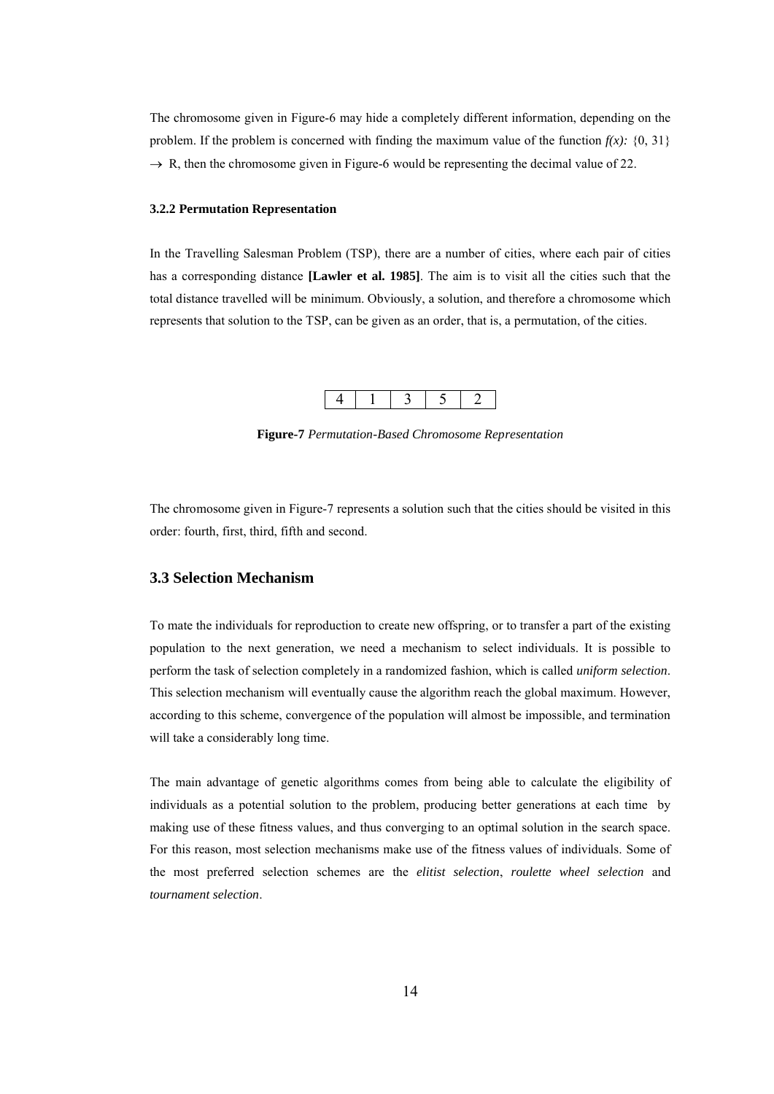The chromosome given in Figure-6 may hide a completely different information, depending on the problem. If the problem is concerned with finding the maximum value of the function  $f(x)$ :  $\{0, 31\}$  $\rightarrow$  R, then the chromosome given in Figure-6 would be representing the decimal value of 22.

#### **3.2.2 Permutation Representation**

In the Travelling Salesman Problem (TSP), there are a number of cities, where each pair of cities has a corresponding distance **[Lawler et al. 1985]**. The aim is to visit all the cities such that the total distance travelled will be minimum. Obviously, a solution, and therefore a chromosome which represents that solution to the TSP, can be given as an order, that is, a permutation, of the cities.

|--|

**Figure-7** *Permutation-Based Chromosome Representation*

The chromosome given in Figure-7 represents a solution such that the cities should be visited in this order: fourth, first, third, fifth and second.

## **3.3 Selection Mechanism**

To mate the individuals for reproduction to create new offspring, or to transfer a part of the existing population to the next generation, we need a mechanism to select individuals. It is possible to perform the task of selection completely in a randomized fashion, which is called *uniform selection*. This selection mechanism will eventually cause the algorithm reach the global maximum. However, according to this scheme, convergence of the population will almost be impossible, and termination will take a considerably long time.

The main advantage of genetic algorithms comes from being able to calculate the eligibility of individuals as a potential solution to the problem, producing better generations at each time by making use of these fitness values, and thus converging to an optimal solution in the search space. For this reason, most selection mechanisms make use of the fitness values of individuals. Some of the most preferred selection schemes are the *elitist selection*, *roulette wheel selection* and *tournament selection*.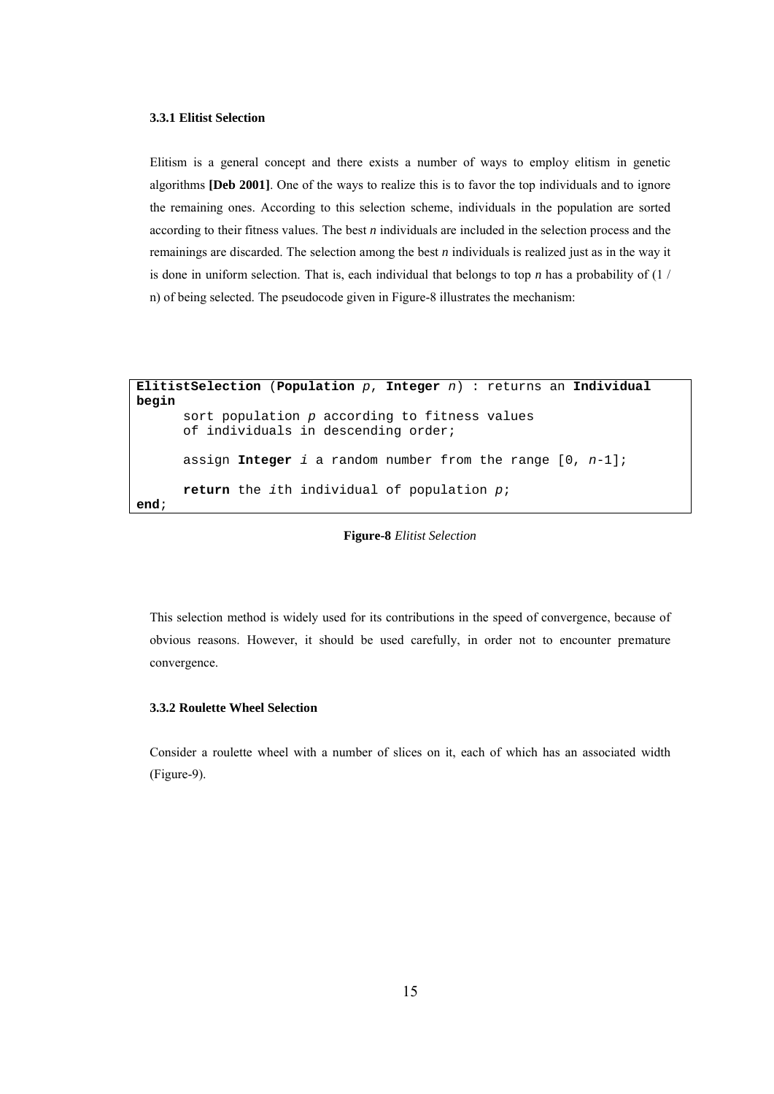#### **3.3.1 Elitist Selection**

Elitism is a general concept and there exists a number of ways to employ elitism in genetic algorithms **[Deb 2001]**. One of the ways to realize this is to favor the top individuals and to ignore the remaining ones. According to this selection scheme, individuals in the population are sorted according to their fitness values. The best *n* individuals are included in the selection process and the remainings are discarded. The selection among the best *n* individuals is realized just as in the way it is done in uniform selection. That is, each individual that belongs to top *n* has a probability of (1 / n) of being selected. The pseudocode given in Figure-8 illustrates the mechanism:

```
ElitistSelection (Population p, Integer n) : returns an Individual
begin
      sort population p according to fitness values 
      of individuals in descending order;
      assign Integer i a random number from the range [0, n-1];
      return the ith individual of population p; 
end;
```
#### **Figure-8** *Elitist Selection*

This selection method is widely used for its contributions in the speed of convergence, because of obvious reasons. However, it should be used carefully, in order not to encounter premature convergence.

#### **3.3.2 Roulette Wheel Selection**

Consider a roulette wheel with a number of slices on it, each of which has an associated width (Figure-9).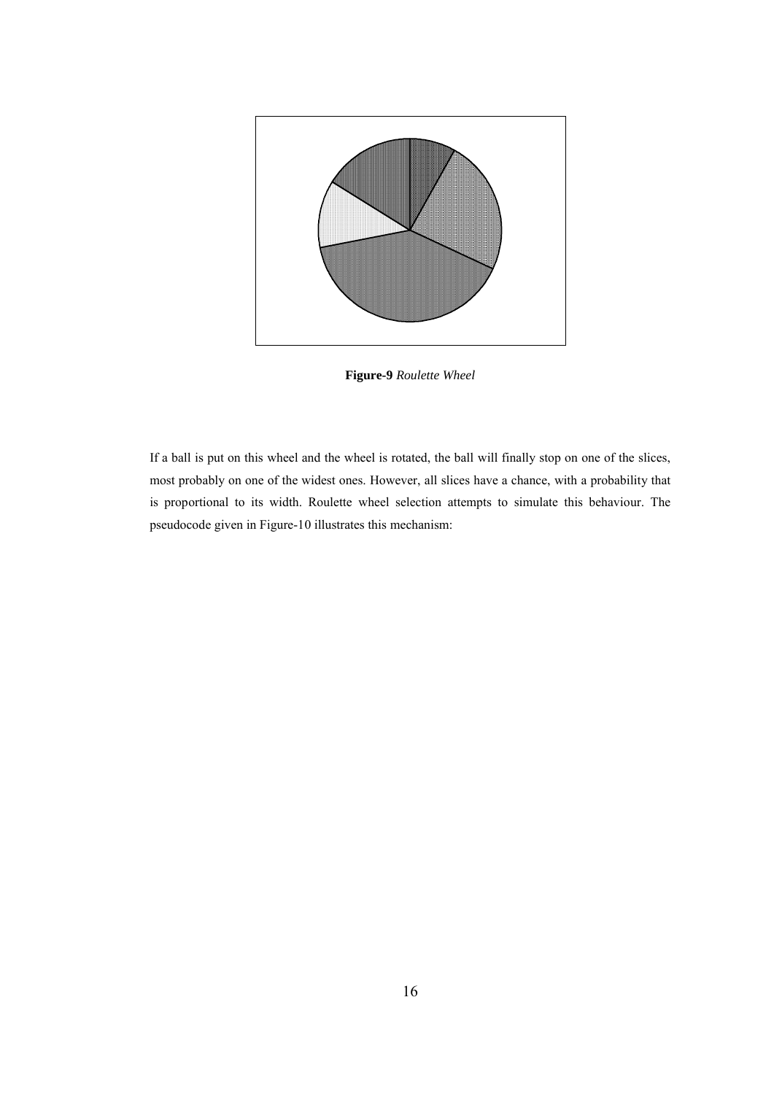

**Figure-9** *Roulette Wheel*

If a ball is put on this wheel and the wheel is rotated, the ball will finally stop on one of the slices, most probably on one of the widest ones. However, all slices have a chance, with a probability that is proportional to its width. Roulette wheel selection attempts to simulate this behaviour. The pseudocode given in Figure-10 illustrates this mechanism: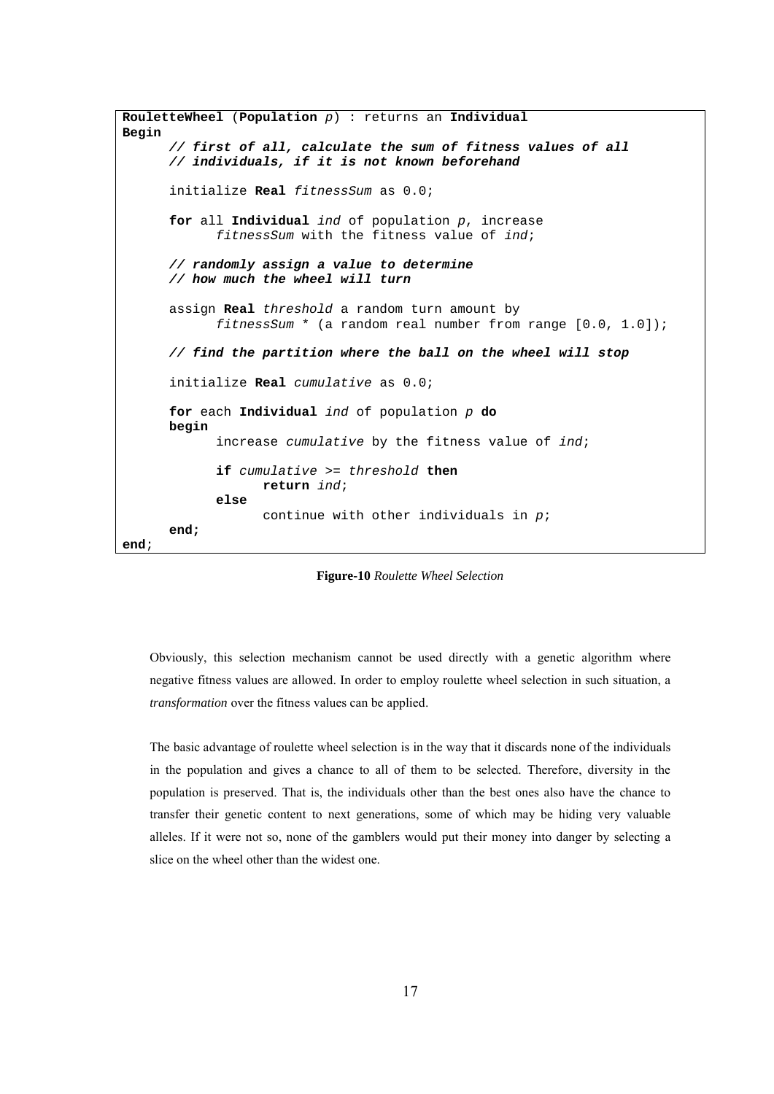```
RouletteWheel (Population p) : returns an Individual
Begin
      // first of all, calculate the sum of fitness values of all
      // individuals, if it is not known beforehand
      initialize Real fitnessSum as 0.0;
      for all Individual ind of population p, increase
            fitnessSum with the fitness value of ind;
      // randomly assign a value to determine 
      // how much the wheel will turn
      assign Real threshold a random turn amount by
            fitnessSum * (a random real number from range [0.0, 1.0]);
      // find the partition where the ball on the wheel will stop
      initialize Real cumulative as 0.0;
      for each Individual ind of population p do
      begin 
            increase cumulative by the fitness value of ind;
            if cumulative >= threshold then
                  return ind; 
            else
                  continue with other individuals in p;
      end; 
end;
```
**Figure-10** *Roulette Wheel Selection*

Obviously, this selection mechanism cannot be used directly with a genetic algorithm where negative fitness values are allowed. In order to employ roulette wheel selection in such situation, a *transformation* over the fitness values can be applied.

The basic advantage of roulette wheel selection is in the way that it discards none of the individuals in the population and gives a chance to all of them to be selected. Therefore, diversity in the population is preserved. That is, the individuals other than the best ones also have the chance to transfer their genetic content to next generations, some of which may be hiding very valuable alleles. If it were not so, none of the gamblers would put their money into danger by selecting a slice on the wheel other than the widest one.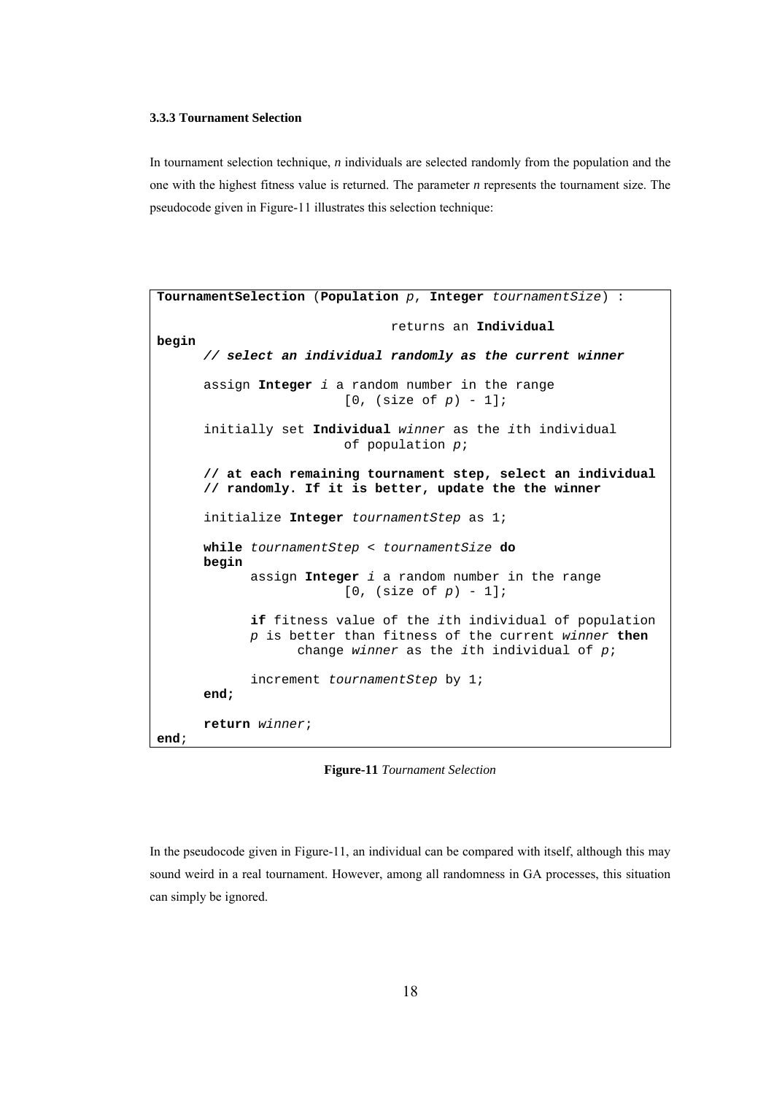#### **3.3.3 Tournament Selection**

In tournament selection technique, *n* individuals are selected randomly from the population and the one with the highest fitness value is returned. The parameter *n* represents the tournament size. The pseudocode given in Figure-11 illustrates this selection technique:

```
TournamentSelection (Population p, Integer tournamentSize) : 
                              returns an Individual
begin
      // select an individual randomly as the current winner
      assign Integer i a random number in the range
                        [0, (size of p) - 1];
      initially set Individual winner as the ith individual
                        of population p; 
      // at each remaining tournament step, select an individual 
      // randomly. If it is better, update the the winner
      initialize Integer tournamentStep as 1;
      while tournamentStep < tournamentSize do
      begin
            assign Integer i a random number in the range
                        [0, (size of p) - 1];
            if fitness value of the ith individual of population
            p is better than fitness of the current winner then
                  change winner as the ith individual of p;
            increment tournamentStep by 1;
      end;
      return winner;
end;
```
**Figure-11** *Tournament Selection*

In the pseudocode given in Figure-11, an individual can be compared with itself, although this may sound weird in a real tournament. However, among all randomness in GA processes, this situation can simply be ignored.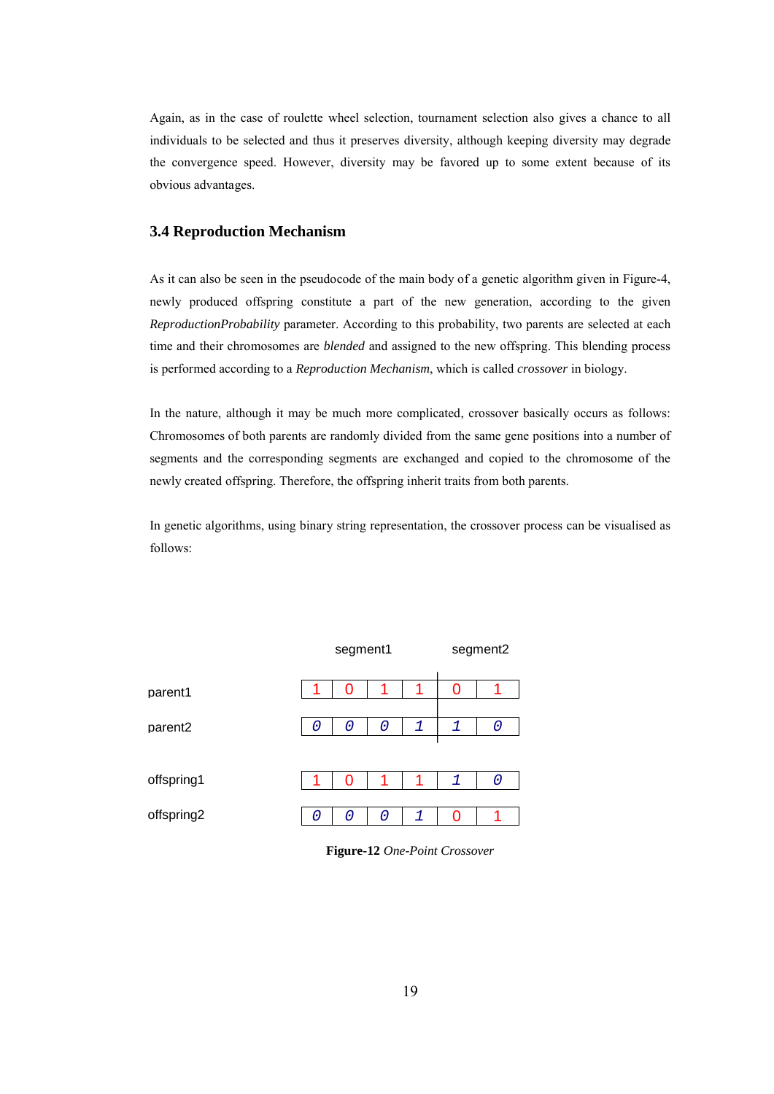Again, as in the case of roulette wheel selection, tournament selection also gives a chance to all individuals to be selected and thus it preserves diversity, although keeping diversity may degrade the convergence speed. However, diversity may be favored up to some extent because of its obvious advantages.

#### **3.4 Reproduction Mechanism**

As it can also be seen in the pseudocode of the main body of a genetic algorithm given in Figure-4, newly produced offspring constitute a part of the new generation, according to the given *ReproductionProbability* parameter. According to this probability, two parents are selected at each time and their chromosomes are *blended* and assigned to the new offspring. This blending process is performed according to a *Reproduction Mechanism*, which is called *crossover* in biology.

In the nature, although it may be much more complicated, crossover basically occurs as follows: Chromosomes of both parents are randomly divided from the same gene positions into a number of segments and the corresponding segments are exchanged and copied to the chromosome of the newly created offspring. Therefore, the offspring inherit traits from both parents.

In genetic algorithms, using binary string representation, the crossover process can be visualised as follows:



**Figure-12** *One-Point Crossover*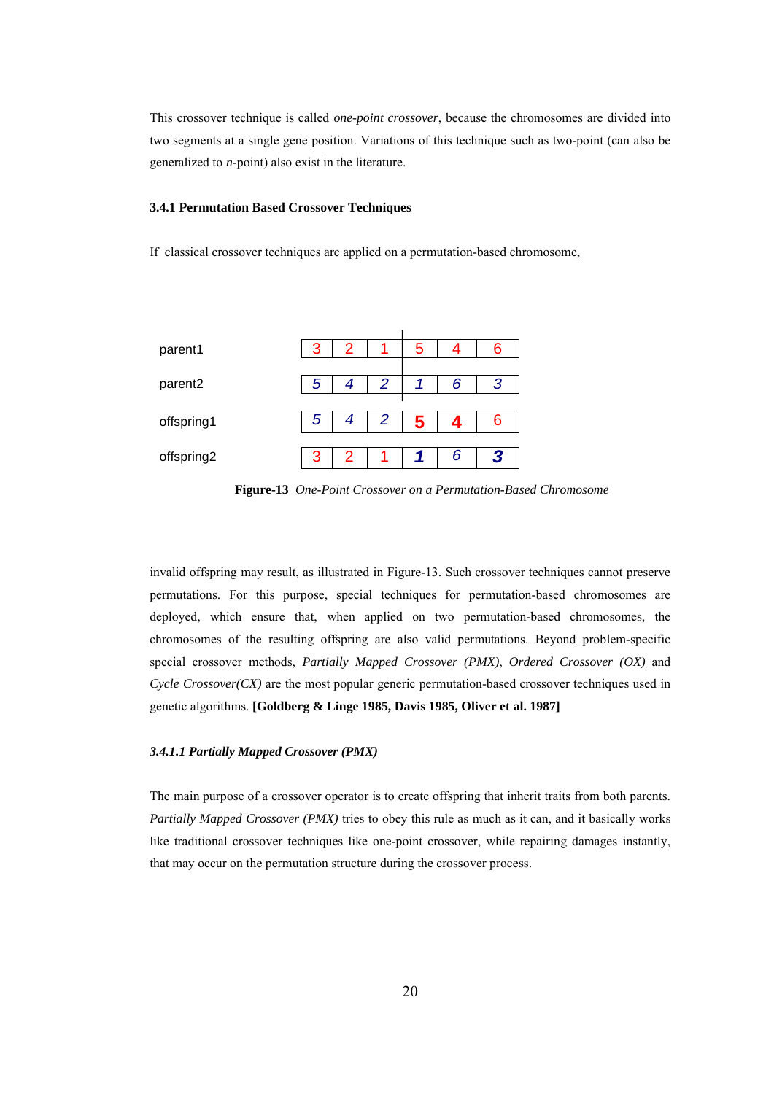This crossover technique is called *one-point crossover*, because the chromosomes are divided into two segments at a single gene position. Variations of this technique such as two-point (can also be generalized to *n*-point) also exist in the literature.

#### **3.4.1 Permutation Based Crossover Techniques**

If classical crossover techniques are applied on a permutation-based chromosome,



**Figure-13** *One-Point Crossover on a Permutation-Based Chromosome*

invalid offspring may result, as illustrated in Figure-13. Such crossover techniques cannot preserve permutations. For this purpose, special techniques for permutation-based chromosomes are deployed, which ensure that, when applied on two permutation-based chromosomes, the chromosomes of the resulting offspring are also valid permutations. Beyond problem-specific special crossover methods, *Partially Mapped Crossover (PMX)*, *Ordered Crossover (OX)* and *Cycle Crossover(CX)* are the most popular generic permutation-based crossover techniques used in genetic algorithms. **[Goldberg & Linge 1985, Davis 1985, Oliver et al. 1987]**

#### *3.4.1.1 Partially Mapped Crossover (PMX)*

The main purpose of a crossover operator is to create offspring that inherit traits from both parents. *Partially Mapped Crossover (PMX)* tries to obey this rule as much as it can, and it basically works like traditional crossover techniques like one-point crossover, while repairing damages instantly, that may occur on the permutation structure during the crossover process.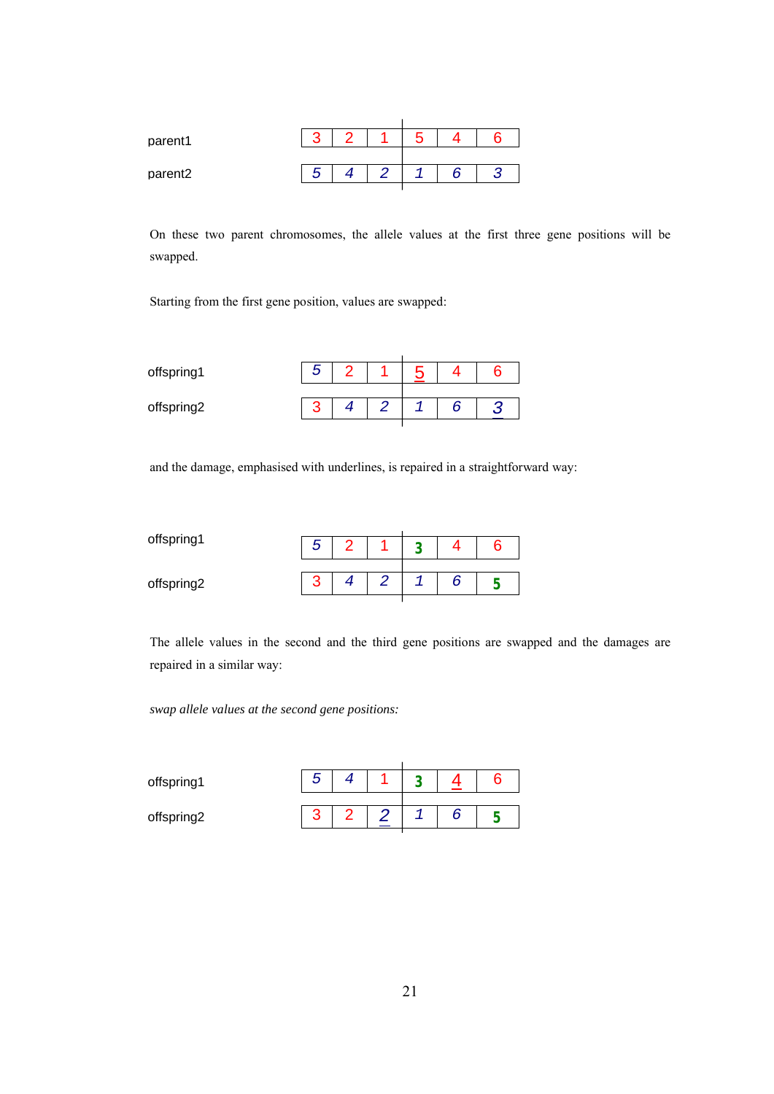| parent1 |  |  |  |
|---------|--|--|--|
| parent2 |  |  |  |

On these two parent chromosomes, the allele values at the first three gene positions will be swapped.

 $\overline{1}$ 

Starting from the first gene position, values are swapped:

| offspring1 |  |  |  |
|------------|--|--|--|
| offspring2 |  |  |  |

and the damage, emphasised with underlines, is repaired in a straightforward way:

| offspring1 |  |  |  |
|------------|--|--|--|
| offspring2 |  |  |  |
|            |  |  |  |

The allele values in the second and the third gene positions are swapped and the damages are repaired in a similar way:

*swap allele values at the second gene positions:*

| offspring1 |  |  |  |
|------------|--|--|--|
| offspring2 |  |  |  |
|            |  |  |  |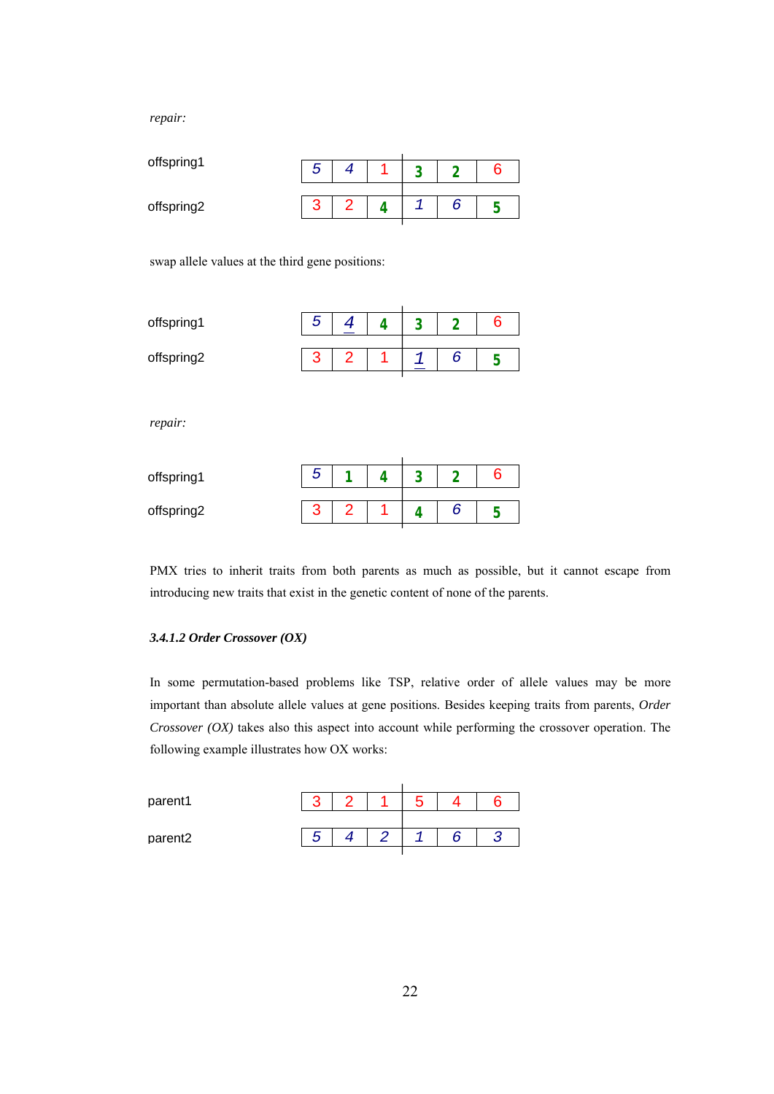*repair:*

| offspring1 | כ |  |  |  |
|------------|---|--|--|--|
|            |   |  |  |  |
| offspring2 | ⌒ |  |  |  |
|            |   |  |  |  |

swap allele values at the third gene positions:

| offspring1 | 5 | 4 | 4 | 3 | $\overline{2}$ | 6 |
|------------|---|---|---|---|----------------|---|
|            |   |   |   |   |                |   |
| offspring2 | 3 | 2 | 1 | 1 | 6              | 5 |
| repair:    |   |   |   |   |                |   |
| offspring1 | 5 | ◀ | 4 | 3 | $\overline{2}$ | 6 |
|            |   |   |   |   |                |   |
| offspring2 | 3 | 2 |   | 4 | 6              | 5 |

PMX tries to inherit traits from both parents as much as possible, but it cannot escape from introducing new traits that exist in the genetic content of none of the parents.

### *3.4.1.2 Order Crossover (OX)*

In some permutation-based problems like TSP, relative order of allele values may be more important than absolute allele values at gene positions. Besides keeping traits from parents, *Order Crossover (OX)* takes also this aspect into account while performing the crossover operation. The following example illustrates how OX works:

| parent1 |  |  |  |
|---------|--|--|--|
| parent2 |  |  |  |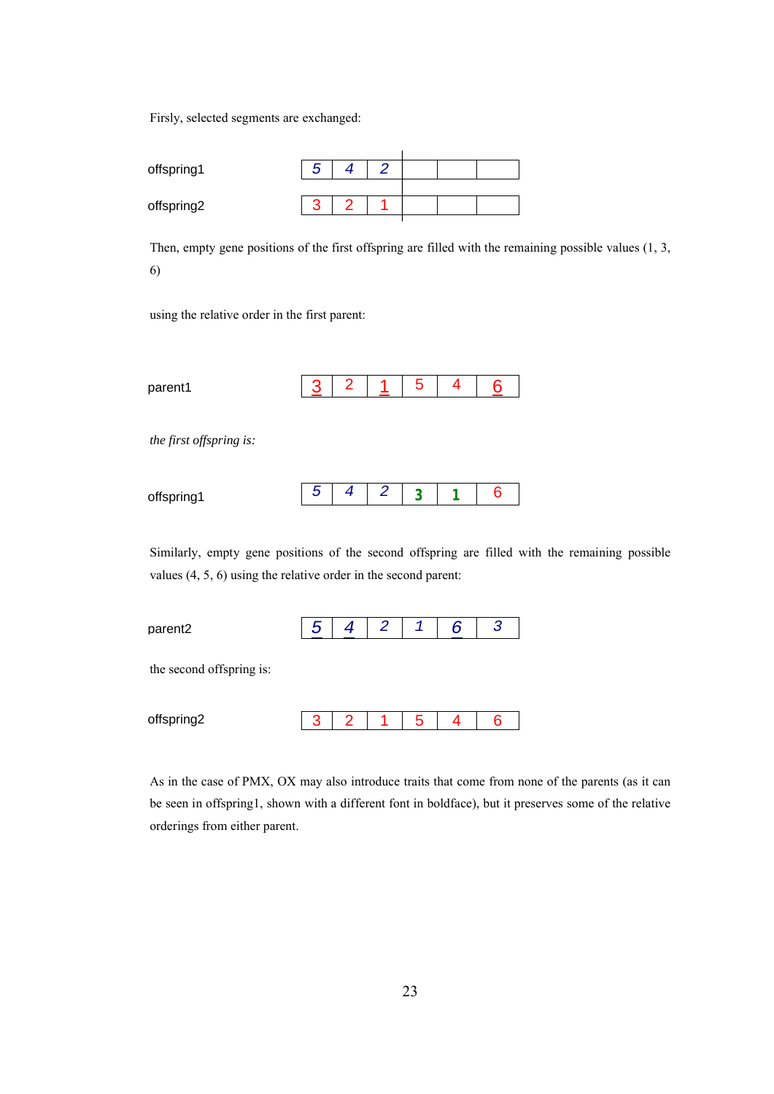Firsly, selected segments are exchanged:

| offspring1 | ∽ |  |  |  |
|------------|---|--|--|--|
| offspring2 |   |  |  |  |

Then, empty gene positions of the first offspring are filled with the remaining possible values (1, 3, 6)

using the relative order in the first parent:

| parent1                 |   |   |   | C |  |
|-------------------------|---|---|---|---|--|
| the first offspring is: |   |   |   |   |  |
| offspring1              | 5 | 4 | 2 | ર |  |

Similarly, empty gene positions of the second offspring are filled with the remaining possible values (4, 5, 6) using the relative order in the second parent:

| parent <sub>2</sub>      |  | 2 |   |  |
|--------------------------|--|---|---|--|
| the second offspring is: |  |   |   |  |
| offspring2               |  |   | 5 |  |

As in the case of PMX, OX may also introduce traits that come from none of the parents (as it can be seen in offspring1, shown with a different font in boldface), but it preserves some of the relative orderings from either parent.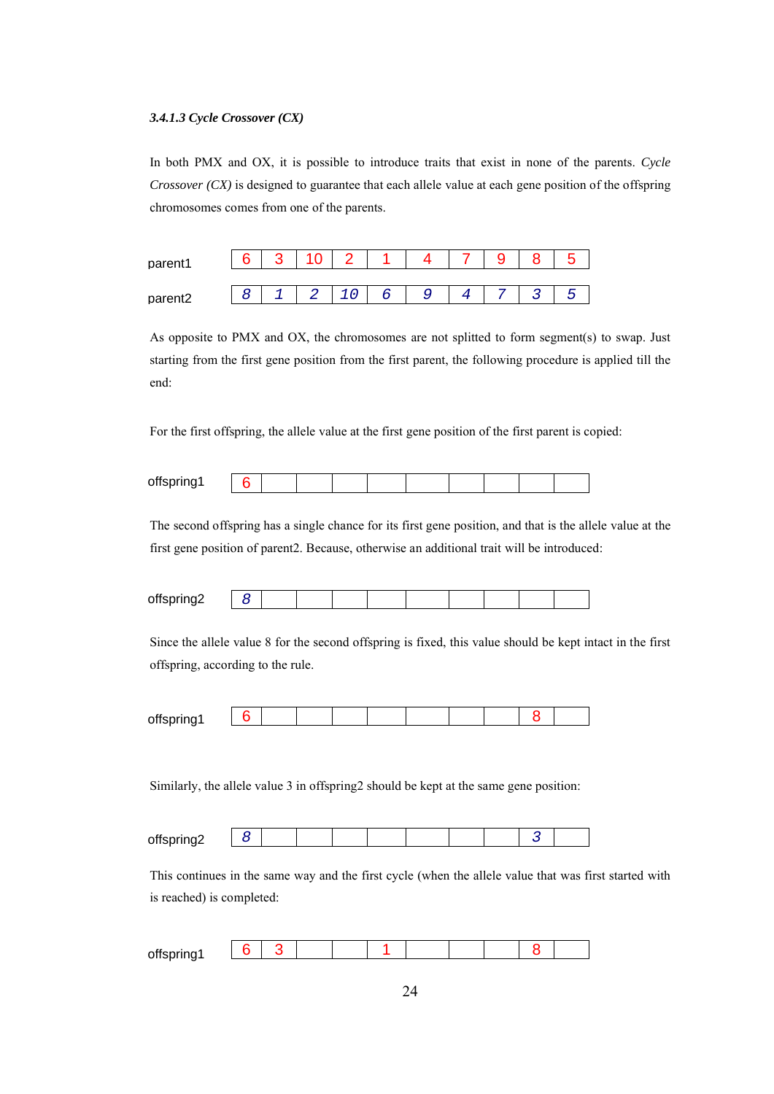#### *3.4.1.3 Cycle Crossover (CX)*

In both PMX and OX, it is possible to introduce traits that exist in none of the parents. *Cycle Crossover (CX)* is designed to guarantee that each allele value at each gene position of the offspring chromosomes comes from one of the parents.

| parent1 | e             |        | Ē |   |                |                               |        |
|---------|---------------|--------|---|---|----------------|-------------------------------|--------|
| parent2 | $\Omega$<br>c | $\sim$ |   | a | $\overline{ }$ | $\overline{\phantom{0}}$<br>۔ | -<br>∽ |

As opposite to PMX and OX, the chromosomes are not splitted to form segment(s) to swap. Just starting from the first gene position from the first parent, the following procedure is applied till the end:

For the first offspring, the allele value at the first gene position of the first parent is copied:

| nffsnring1 |  |  |  |  |  |
|------------|--|--|--|--|--|
|            |  |  |  |  |  |

The second offspring has a single chance for its first gene position, and that is the allele value at the first gene position of parent2. Because, otherwise an additional trait will be introduced:

| ~"<br>$- \cdot -$ |  |  |  |  |  |  |
|-------------------|--|--|--|--|--|--|
|                   |  |  |  |  |  |  |

Since the allele value 8 for the second offspring is fixed, this value should be kept intact in the first offspring, according to the rule.

| nffsnring1 |  |  |  |  |  |
|------------|--|--|--|--|--|
|            |  |  |  |  |  |

Similarly, the allele value 3 in offspring2 should be kept at the same gene position:

| offenring? |           |  |  |  |  |  |
|------------|-----------|--|--|--|--|--|
|            | $\ddotsc$ |  |  |  |  |  |

This continues in the same way and the first cycle (when the allele value that was first started with is reached) is completed:

| offspring1 |  |  |  |  |  |
|------------|--|--|--|--|--|
|            |  |  |  |  |  |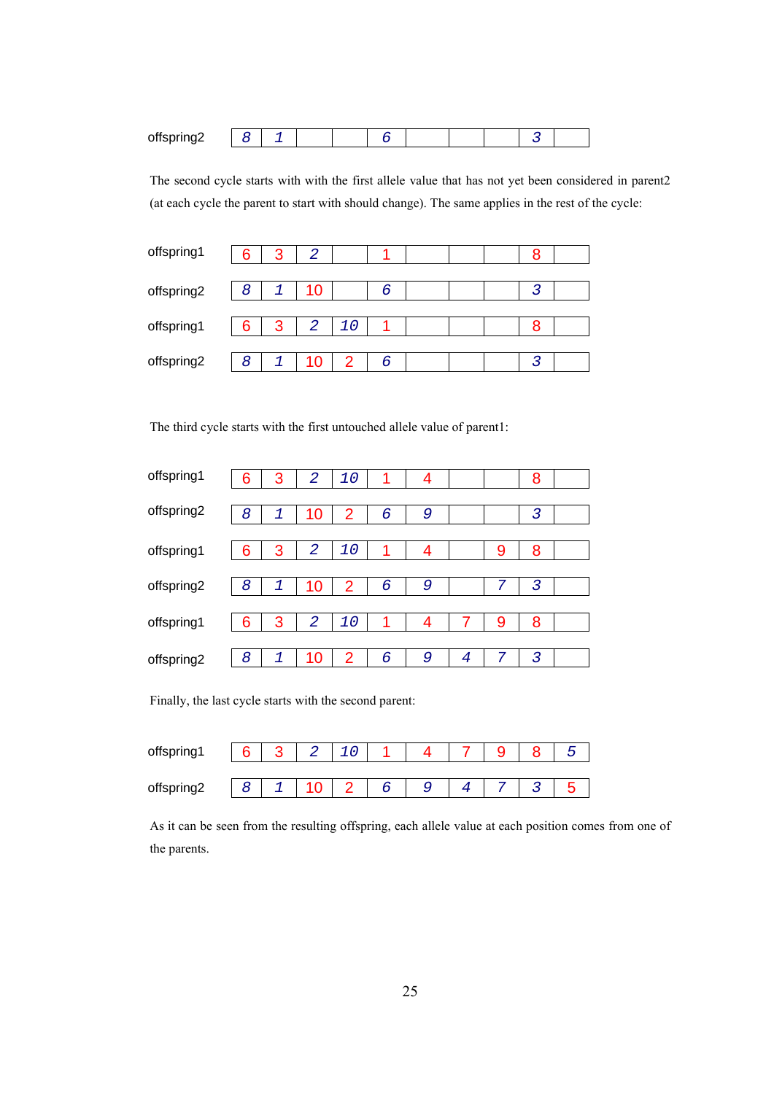| offspring?<br>$\cup \cdots \cup \cup$ |  |  |  |  |  |  |  |  |  |  |
|---------------------------------------|--|--|--|--|--|--|--|--|--|--|
|---------------------------------------|--|--|--|--|--|--|--|--|--|--|

The second cycle starts with with the first allele value that has not yet been considered in parent2 (at each cycle the parent to start with should change). The same applies in the rest of the cycle:

| offspring1 | 6 | 3 | 2  |    |   |  | ŏ |  |
|------------|---|---|----|----|---|--|---|--|
| offspring2 | 8 |   | 10 |    | 6 |  | 3 |  |
| offspring1 | 6 | 3 | 2  | 10 |   |  |   |  |
| offspring2 | 8 |   | 10 |    | 6 |  | 3 |  |

The third cycle starts with the first untouched allele value of parent1:

| offspring1 | 6 | 3 | 2              | 10             |   | 4 |   |   | 8 |  |
|------------|---|---|----------------|----------------|---|---|---|---|---|--|
|            |   |   |                |                |   |   |   |   |   |  |
| offspring2 | 8 | 1 | 10             | 2              | 6 | 9 |   |   | 3 |  |
|            |   |   |                |                |   |   |   |   |   |  |
| offspring1 | 6 | 3 | $\overline{2}$ | 10             | 1 | 4 |   | 9 | 8 |  |
|            |   |   |                |                |   |   |   |   |   |  |
| offspring2 | 8 | 1 | 10             | $\overline{2}$ | 6 | 9 |   | 7 | 3 |  |
|            |   |   |                |                |   |   |   |   |   |  |
| offspring1 | 6 | 3 | $\overline{2}$ | 10             | 1 | 4 |   | 9 | 8 |  |
|            |   |   |                |                |   |   |   |   |   |  |
| offspring2 | 8 | 1 | 10             | 2              | 6 | 9 | 4 | 7 | 3 |  |

Finally, the last cycle starts with the second parent:

| offspring1 | ຨ             | ◠ | $7\cap$ |  |  |                          | - |
|------------|---------------|---|---------|--|--|--------------------------|---|
|            |               |   |         |  |  |                          |   |
| offspring2 | $\mathcal{R}$ |   |         |  |  | $\overline{\phantom{0}}$ |   |

As it can be seen from the resulting offspring, each allele value at each position comes from one of the parents.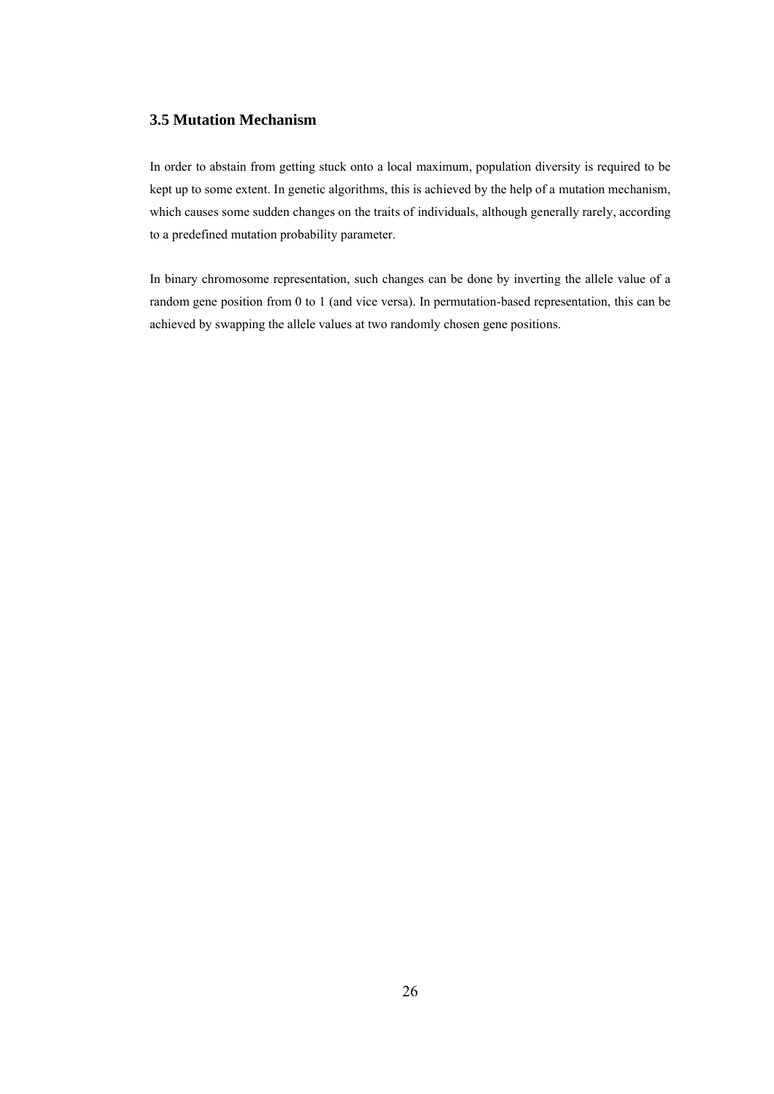# **3.5 Mutation Mechanism**

In order to abstain from getting stuck onto a local maximum, population diversity is required to be kept up to some extent. In genetic algorithms, this is achieved by the help of a mutation mechanism, which causes some sudden changes on the traits of individuals, although generally rarely, according to a predefined mutation probability parameter.

In binary chromosome representation, such changes can be done by inverting the allele value of a random gene position from 0 to 1 (and vice versa). In permutation-based representation, this can be achieved by swapping the allele values at two randomly chosen gene positions.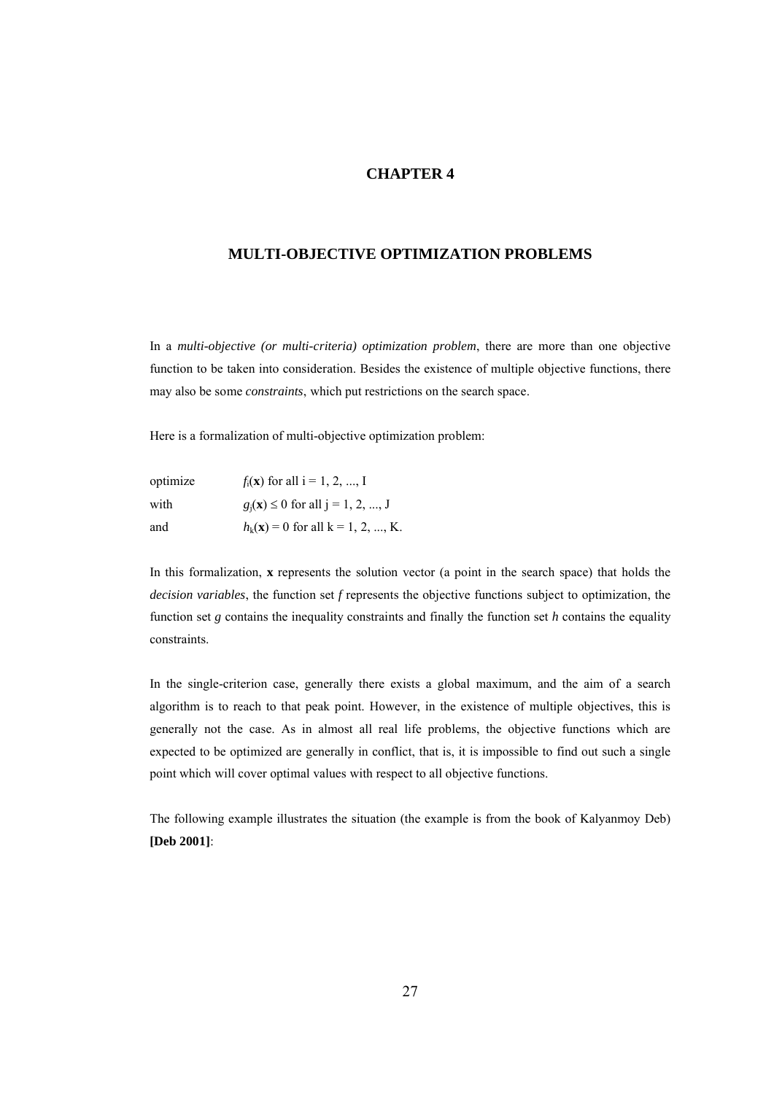## **CHAPTER 4**

# **MULTI-OBJECTIVE OPTIMIZATION PROBLEMS**

In a *multi-objective (or multi-criteria) optimization problem*, there are more than one objective function to be taken into consideration. Besides the existence of multiple objective functions, there may also be some *constraints*, which put restrictions on the search space.

Here is a formalization of multi-objective optimization problem:

| optimize | $f_i(\mathbf{x})$ for all $i = 1, 2, , I$        |
|----------|--------------------------------------------------|
| with     | $g_i(\mathbf{x}) \leq 0$ for all $j = 1, 2, , J$ |
| and      | $h_k(\mathbf{x}) = 0$ for all $k = 1, 2, , K$ .  |

In this formalization, **x** represents the solution vector (a point in the search space) that holds the *decision variables*, the function set *f* represents the objective functions subject to optimization, the function set *g* contains the inequality constraints and finally the function set *h* contains the equality constraints.

In the single-criterion case, generally there exists a global maximum, and the aim of a search algorithm is to reach to that peak point. However, in the existence of multiple objectives, this is generally not the case. As in almost all real life problems, the objective functions which are expected to be optimized are generally in conflict, that is, it is impossible to find out such a single point which will cover optimal values with respect to all objective functions.

The following example illustrates the situation (the example is from the book of Kalyanmoy Deb) **[Deb 2001]**: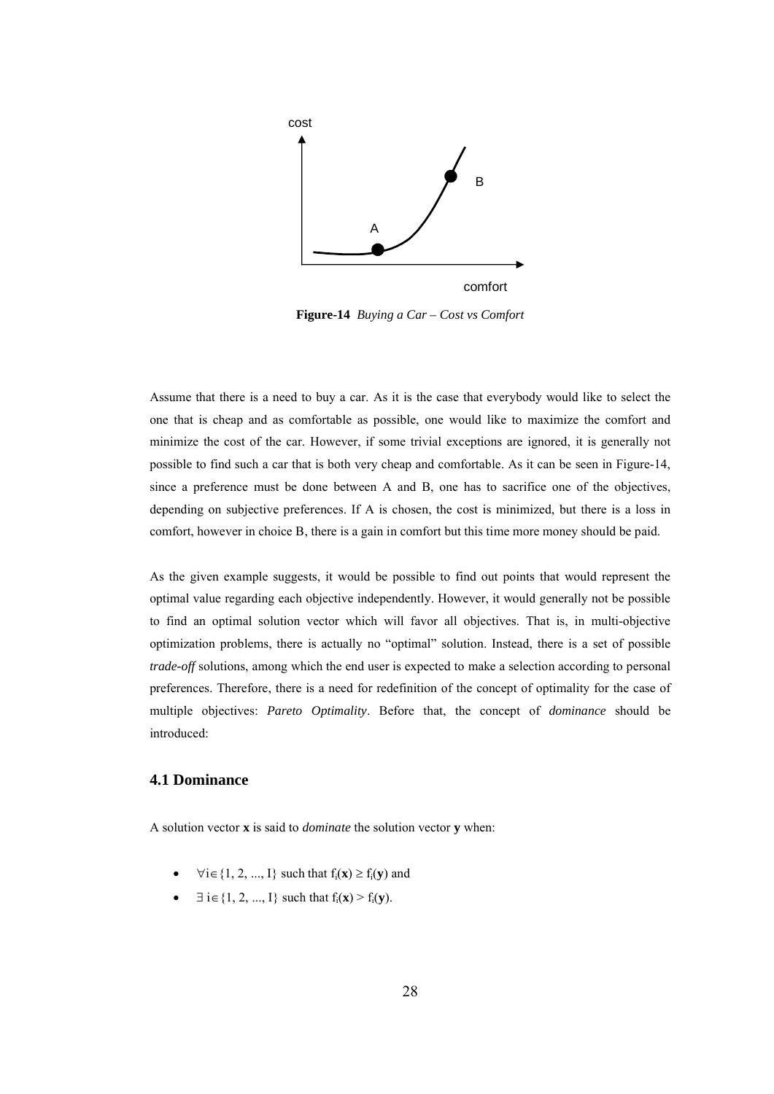

**Figure-14** *Buying a Car – Cost vs Comfort*

Assume that there is a need to buy a car. As it is the case that everybody would like to select the one that is cheap and as comfortable as possible, one would like to maximize the comfort and minimize the cost of the car. However, if some trivial exceptions are ignored, it is generally not possible to find such a car that is both very cheap and comfortable. As it can be seen in Figure-14, since a preference must be done between A and B, one has to sacrifice one of the objectives, depending on subjective preferences. If A is chosen, the cost is minimized, but there is a loss in comfort, however in choice B, there is a gain in comfort but this time more money should be paid.

As the given example suggests, it would be possible to find out points that would represent the optimal value regarding each objective independently. However, it would generally not be possible to find an optimal solution vector which will favor all objectives. That is, in multi-objective optimization problems, there is actually no "optimal" solution. Instead, there is a set of possible *trade-off* solutions, among which the end user is expected to make a selection according to personal preferences. Therefore, there is a need for redefinition of the concept of optimality for the case of multiple objectives: *Pareto Optimality*. Before that, the concept of *dominance* should be introduced:

# **4.1 Dominance**

A solution vector **x** is said to *dominate* the solution vector **y** when:

- $\forall i \in \{1, 2, ..., I\}$  such that  $f_i(\mathbf{x}) \ge f_i(\mathbf{y})$  and
- $\exists i \in \{1, 2, ..., I\}$  such that  $f_i(\mathbf{x}) > f_i(\mathbf{y})$ .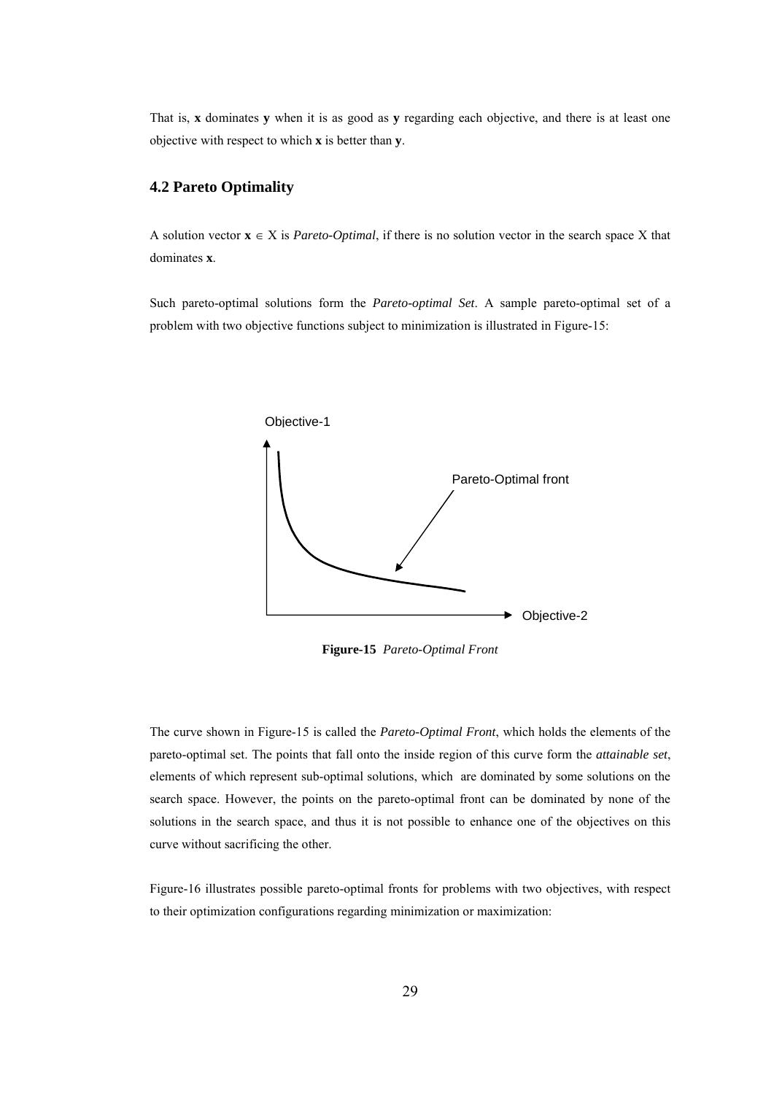That is, **x** dominates **y** when it is as good as **y** regarding each objective, and there is at least one objective with respect to which **x** is better than **y**.

# **4.2 Pareto Optimality**

A solution vector  $\mathbf{x} \in X$  is *Pareto-Optimal*, if there is no solution vector in the search space X that dominates **x**.

Such pareto-optimal solutions form the *Pareto-optimal Set*. A sample pareto-optimal set of a problem with two objective functions subject to minimization is illustrated in Figure-15:



**Figure-15** *Pareto-Optimal Front*

The curve shown in Figure-15 is called the *Pareto-Optimal Front*, which holds the elements of the pareto-optimal set. The points that fall onto the inside region of this curve form the *attainable set*, elements of which represent sub-optimal solutions, which are dominated by some solutions on the search space. However, the points on the pareto-optimal front can be dominated by none of the solutions in the search space, and thus it is not possible to enhance one of the objectives on this curve without sacrificing the other.

Figure-16 illustrates possible pareto-optimal fronts for problems with two objectives, with respect to their optimization configurations regarding minimization or maximization: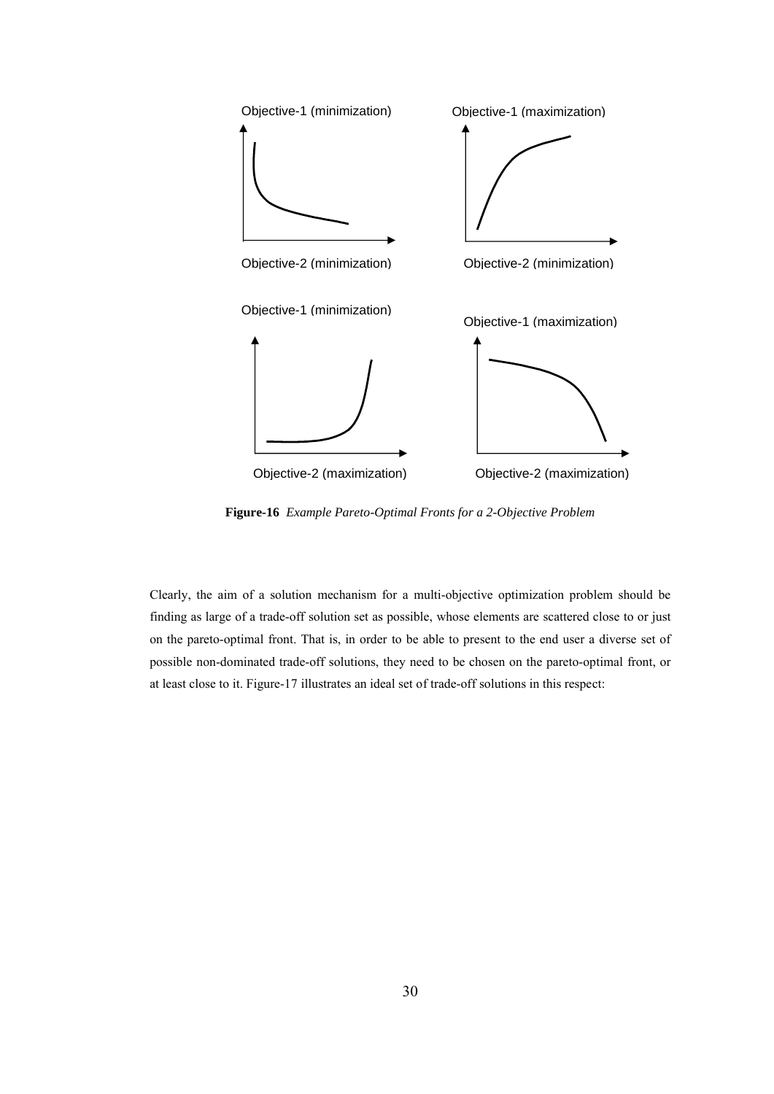

**Figure-16** *Example Pareto-Optimal Fronts for a 2-Objective Problem*

Clearly, the aim of a solution mechanism for a multi-objective optimization problem should be finding as large of a trade-off solution set as possible, whose elements are scattered close to or just on the pareto-optimal front. That is, in order to be able to present to the end user a diverse set of possible non-dominated trade-off solutions, they need to be chosen on the pareto-optimal front, or at least close to it. Figure-17 illustrates an ideal set of trade-off solutions in this respect: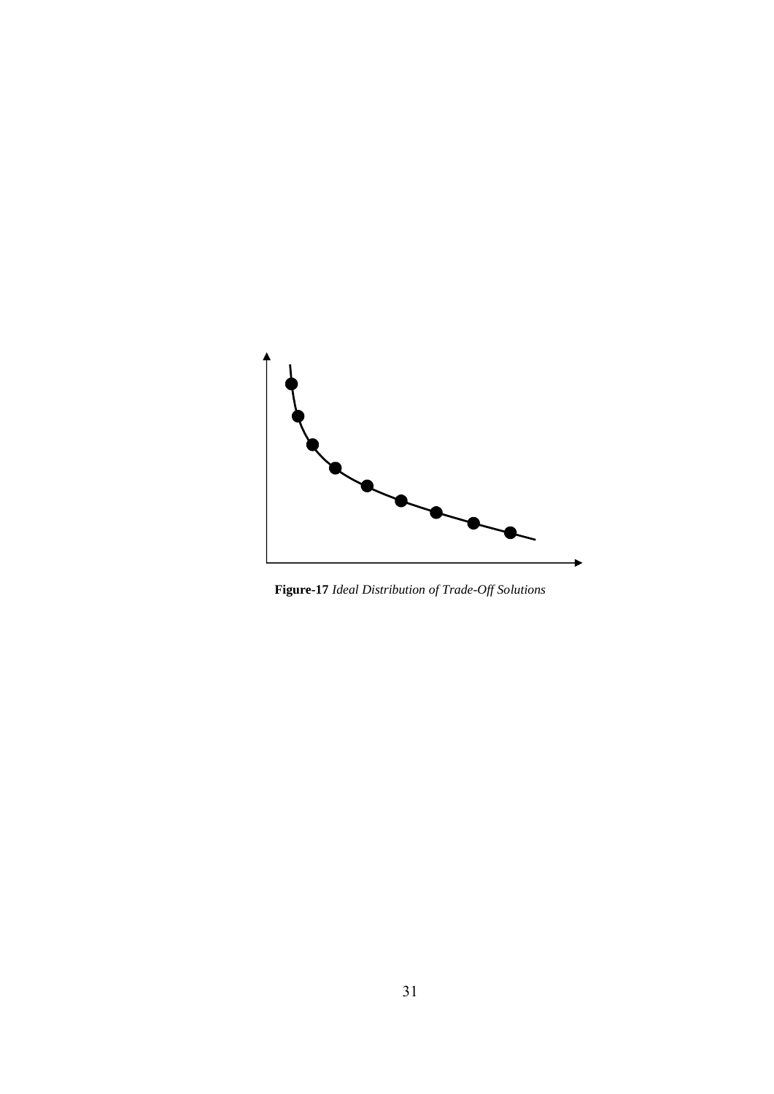

**Figure-17** *Ideal Distribution of Trade-Off Solutions*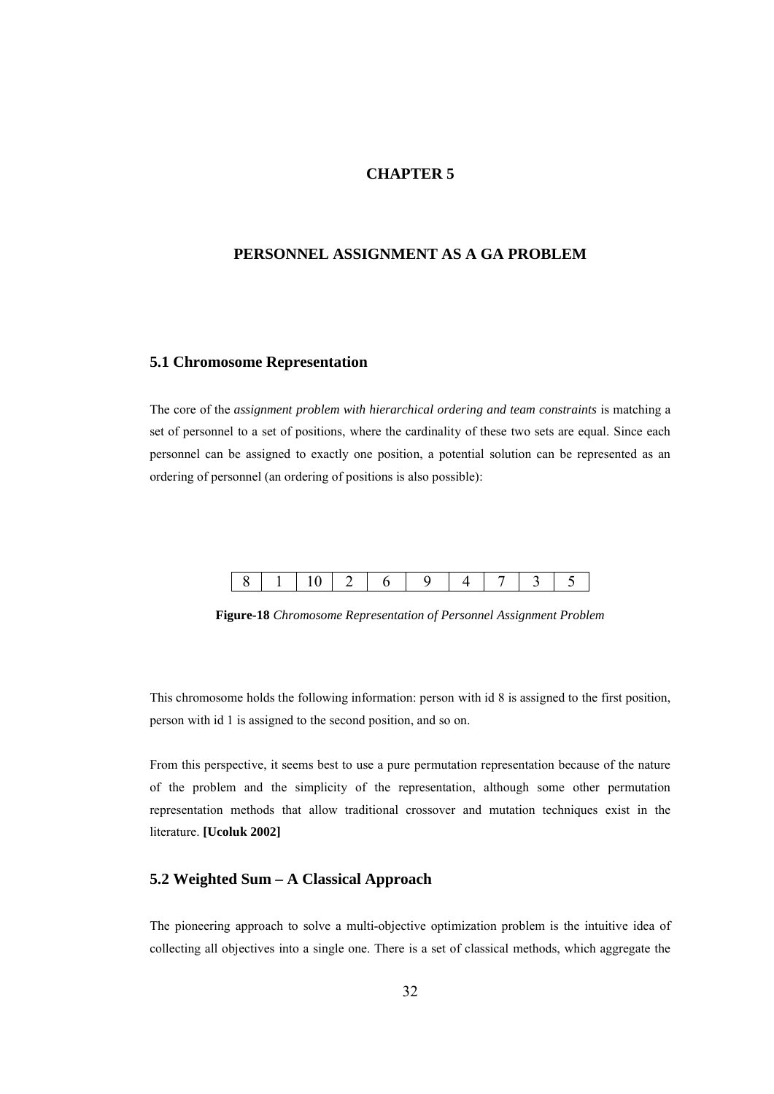## **CHAPTER 5**

# **PERSONNEL ASSIGNMENT AS A GA PROBLEM**

## **5.1 Chromosome Representation**

The core of the *assignment problem with hierarchical ordering and team constraints* is matching a set of personnel to a set of positions, where the cardinality of these two sets are equal. Since each personnel can be assigned to exactly one position, a potential solution can be represented as an ordering of personnel (an ordering of positions is also possible):

|--|--|--|--|--|--|--|--|--|--|--|

**Figure-18** *Chromosome Representation of Personnel Assignment Problem*

This chromosome holds the following information: person with id 8 is assigned to the first position, person with id 1 is assigned to the second position, and so on.

From this perspective, it seems best to use a pure permutation representation because of the nature of the problem and the simplicity of the representation, although some other permutation representation methods that allow traditional crossover and mutation techniques exist in the literature. **[Ucoluk 2002]**

# **5.2 Weighted Sum – A Classical Approach**

The pioneering approach to solve a multi-objective optimization problem is the intuitive idea of collecting all objectives into a single one. There is a set of classical methods, which aggregate the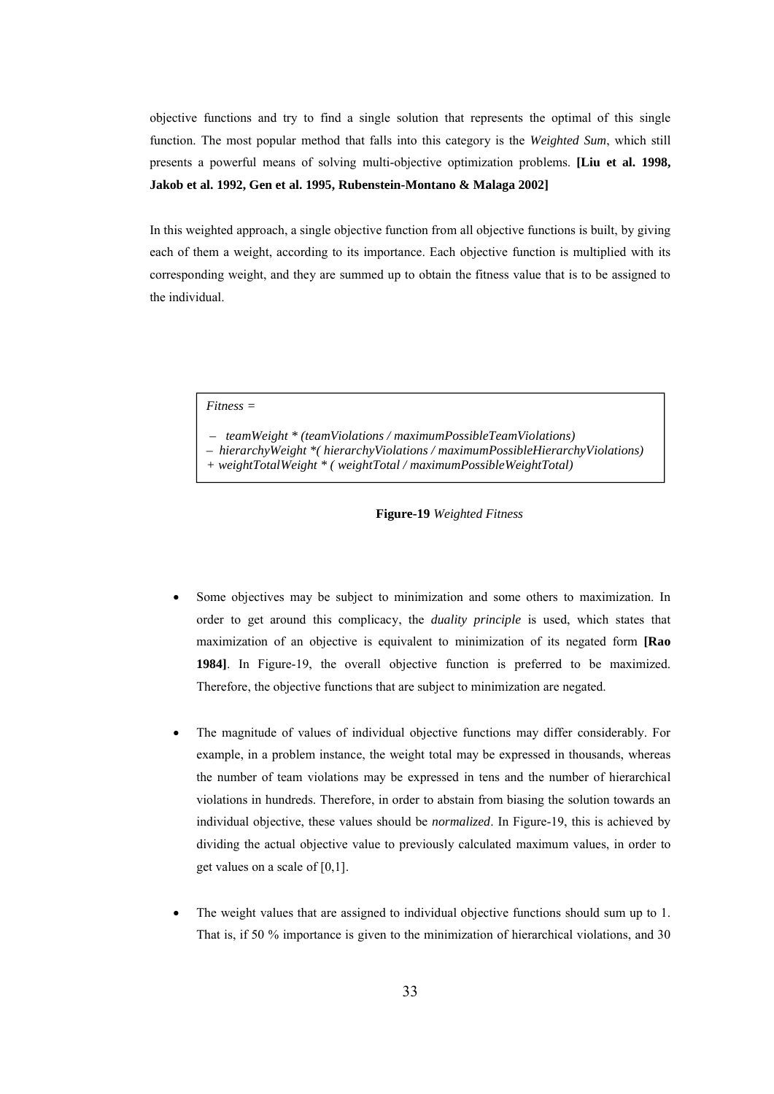objective functions and try to find a single solution that represents the optimal of this single function. The most popular method that falls into this category is the *Weighted Sum*, which still presents a powerful means of solving multi-objective optimization problems. **[Liu et al. 1998, Jakob et al. 1992, Gen et al. 1995, Rubenstein-Montano & Malaga 2002]**

In this weighted approach, a single objective function from all objective functions is built, by giving each of them a weight, according to its importance. Each objective function is multiplied with its corresponding weight, and they are summed up to obtain the fitness value that is to be assigned to the individual.

- *Fitness =*
- *teamWeight \* (teamViolations / maximumPossibleTeamViolations)*
- *hierarchyWeight \*( hierarchyViolations / maximumPossibleHierarchyViolations)*
- *+ weightTotalWeight \* ( weightTotal / maximumPossibleWeightTotal)*

### **Figure-19** *Weighted Fitness*

- Some objectives may be subject to minimization and some others to maximization. In order to get around this complicacy, the *duality principle* is used, which states that maximization of an objective is equivalent to minimization of its negated form **[Rao 1984]**. In Figure-19, the overall objective function is preferred to be maximized. Therefore, the objective functions that are subject to minimization are negated.
- The magnitude of values of individual objective functions may differ considerably. For example, in a problem instance, the weight total may be expressed in thousands, whereas the number of team violations may be expressed in tens and the number of hierarchical violations in hundreds. Therefore, in order to abstain from biasing the solution towards an individual objective, these values should be *normalized*. In Figure-19, this is achieved by dividing the actual objective value to previously calculated maximum values, in order to get values on a scale of [0,1].
- The weight values that are assigned to individual objective functions should sum up to 1. That is, if 50 % importance is given to the minimization of hierarchical violations, and 30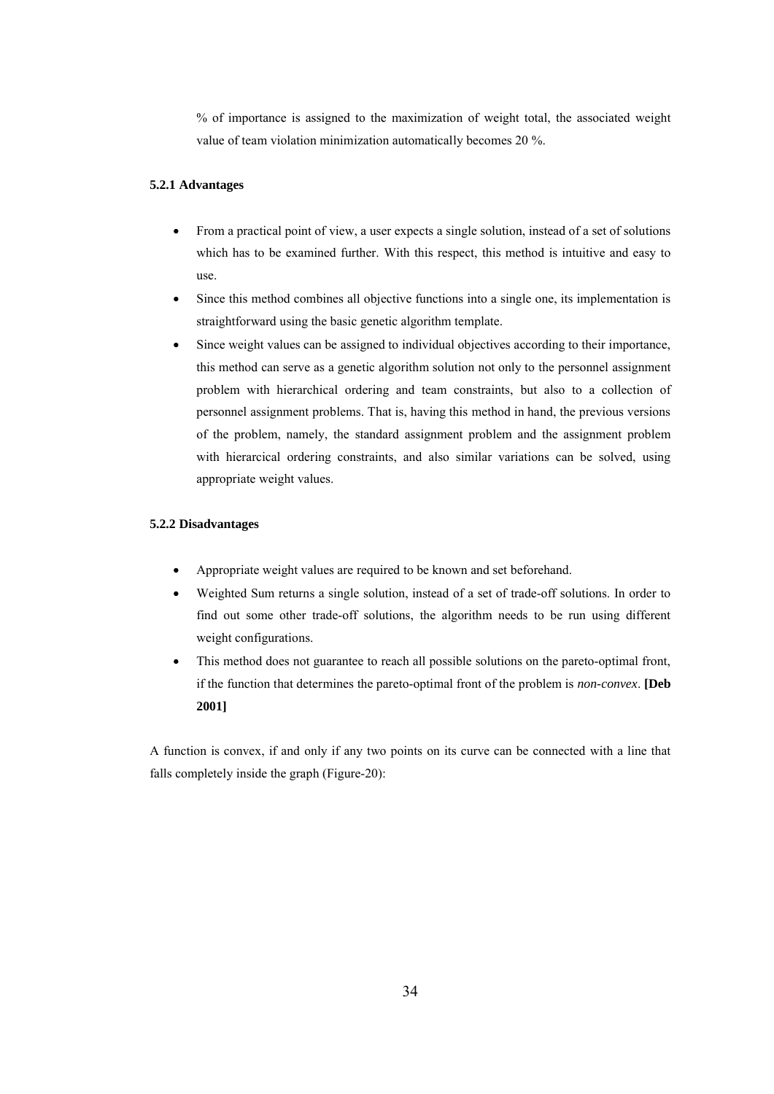% of importance is assigned to the maximization of weight total, the associated weight value of team violation minimization automatically becomes 20 %.

### **5.2.1 Advantages**

- From a practical point of view, a user expects a single solution, instead of a set of solutions which has to be examined further. With this respect, this method is intuitive and easy to use.
- Since this method combines all objective functions into a single one, its implementation is straightforward using the basic genetic algorithm template.
- Since weight values can be assigned to individual objectives according to their importance, this method can serve as a genetic algorithm solution not only to the personnel assignment problem with hierarchical ordering and team constraints, but also to a collection of personnel assignment problems. That is, having this method in hand, the previous versions of the problem, namely, the standard assignment problem and the assignment problem with hierarcical ordering constraints, and also similar variations can be solved, using appropriate weight values.

### **5.2.2 Disadvantages**

- Appropriate weight values are required to be known and set beforehand.
- Weighted Sum returns a single solution, instead of a set of trade-off solutions. In order to find out some other trade-off solutions, the algorithm needs to be run using different weight configurations.
- This method does not guarantee to reach all possible solutions on the pareto-optimal front, if the function that determines the pareto-optimal front of the problem is *non-convex*. **[Deb 2001]**

A function is convex, if and only if any two points on its curve can be connected with a line that falls completely inside the graph (Figure-20):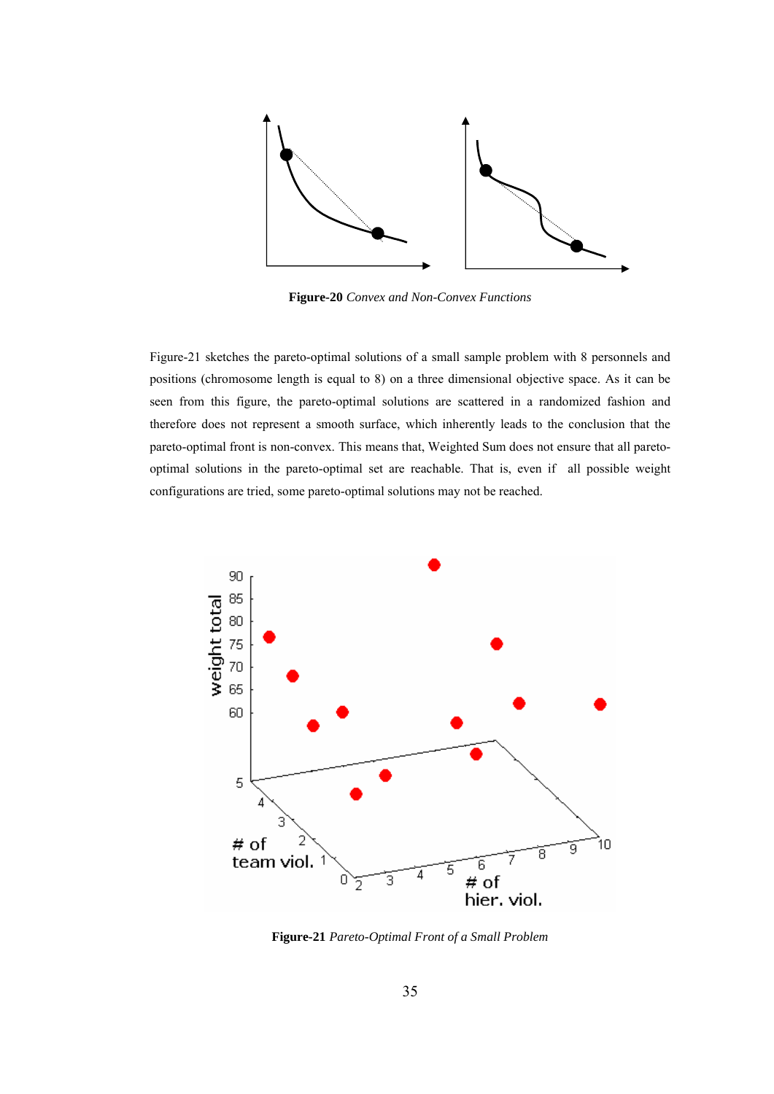

**Figure-20** *Convex and Non-Convex Functions*

Figure-21 sketches the pareto-optimal solutions of a small sample problem with 8 personnels and positions (chromosome length is equal to 8) on a three dimensional objective space. As it can be seen from this figure, the pareto-optimal solutions are scattered in a randomized fashion and therefore does not represent a smooth surface, which inherently leads to the conclusion that the pareto-optimal front is non-convex. This means that, Weighted Sum does not ensure that all paretooptimal solutions in the pareto-optimal set are reachable. That is, even if all possible weight configurations are tried, some pareto-optimal solutions may not be reached.



**Figure-21** *Pareto-Optimal Front of a Small Problem*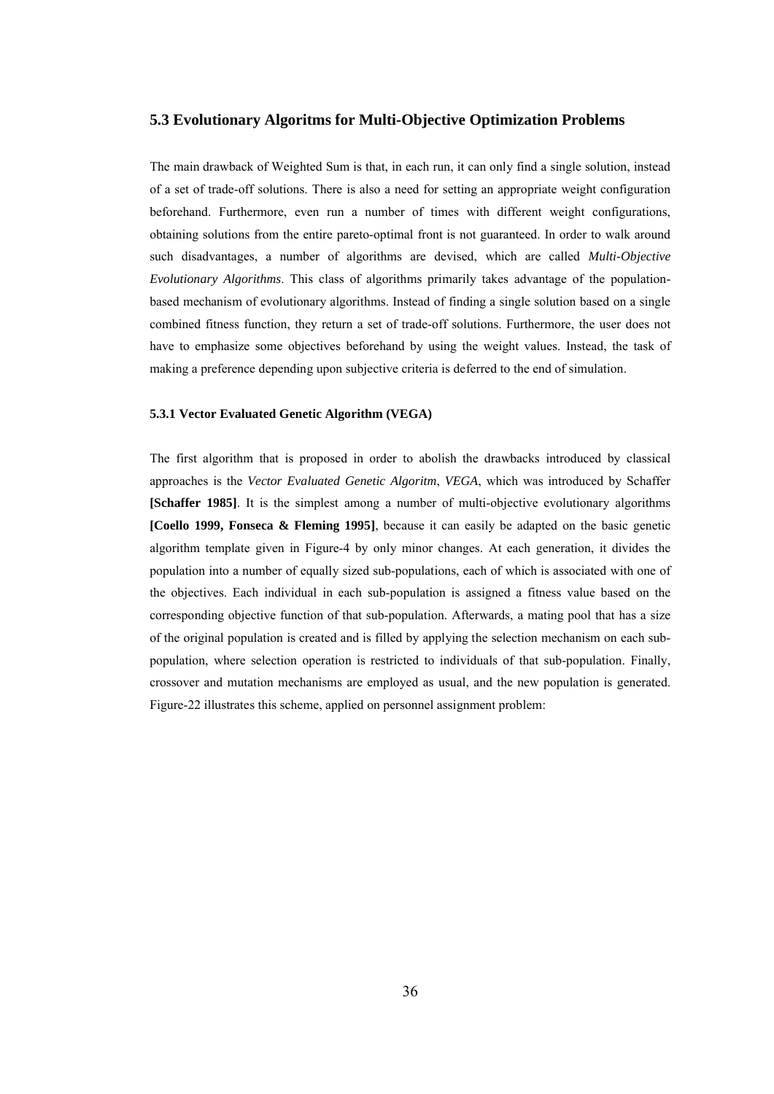## **5.3 Evolutionary Algoritms for Multi-Objective Optimization Problems**

The main drawback of Weighted Sum is that, in each run, it can only find a single solution, instead of a set of trade-off solutions. There is also a need for setting an appropriate weight configuration beforehand. Furthermore, even run a number of times with different weight configurations, obtaining solutions from the entire pareto-optimal front is not guaranteed. In order to walk around such disadvantages, a number of algorithms are devised, which are called *Multi-Objective Evolutionary Algorithms*. This class of algorithms primarily takes advantage of the populationbased mechanism of evolutionary algorithms. Instead of finding a single solution based on a single combined fitness function, they return a set of trade-off solutions. Furthermore, the user does not have to emphasize some objectives beforehand by using the weight values. Instead, the task of making a preference depending upon subjective criteria is deferred to the end of simulation.

#### **5.3.1 Vector Evaluated Genetic Algorithm (VEGA)**

The first algorithm that is proposed in order to abolish the drawbacks introduced by classical approaches is the *Vector Evaluated Genetic Algoritm*, *VEGA*, which was introduced by Schaffer **[Schaffer 1985]**. It is the simplest among a number of multi-objective evolutionary algorithms **[Coello 1999, Fonseca & Fleming 1995]**, because it can easily be adapted on the basic genetic algorithm template given in Figure-4 by only minor changes. At each generation, it divides the population into a number of equally sized sub-populations, each of which is associated with one of the objectives. Each individual in each sub-population is assigned a fitness value based on the corresponding objective function of that sub-population. Afterwards, a mating pool that has a size of the original population is created and is filled by applying the selection mechanism on each subpopulation, where selection operation is restricted to individuals of that sub-population. Finally, crossover and mutation mechanisms are employed as usual, and the new population is generated. Figure-22 illustrates this scheme, applied on personnel assignment problem: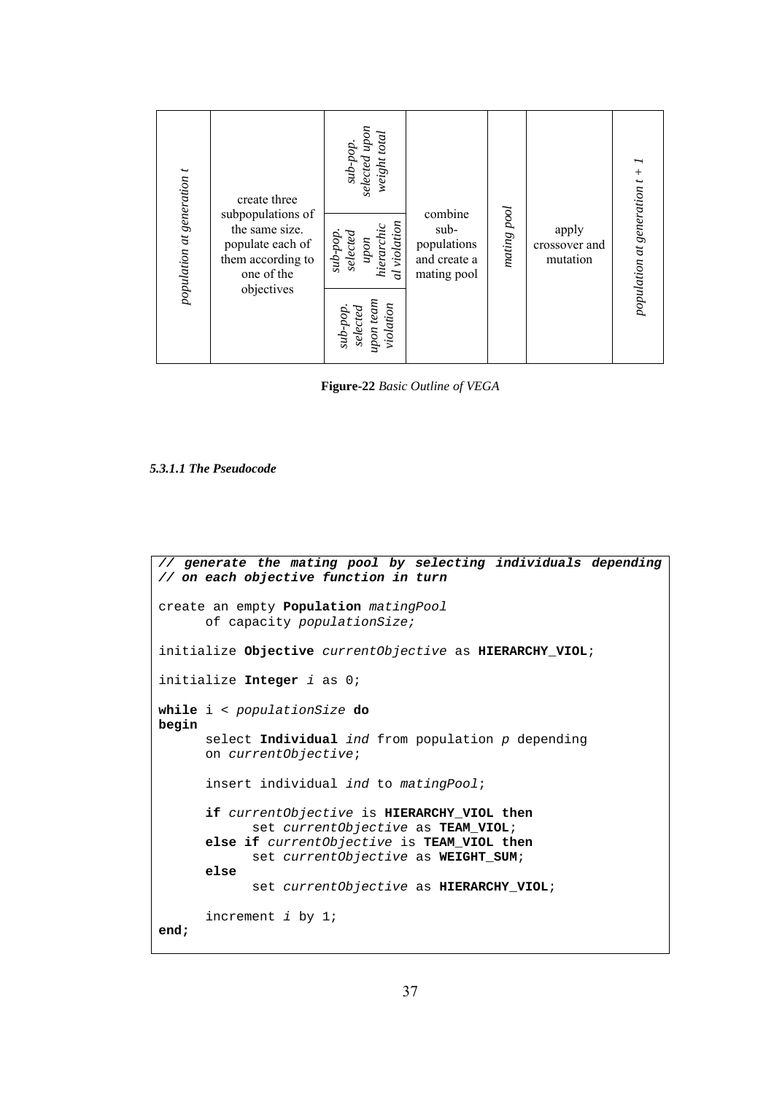| population at generation t<br>create three<br>subpopulations of<br>the same size.<br>populate each of<br>them according to<br>one of the<br>objectives | selected upon<br>weight total<br>sub-pop.<br>al violation<br>hierarchic<br>$selected$<br>sub-pop.<br>upon<br>upon team<br>violation<br>selected<br>sub-pop. | combine<br>sub-<br>populations<br>and create a<br>mating pool | mating pool | apply<br>crossover and<br>mutation | population at generation t |
|--------------------------------------------------------------------------------------------------------------------------------------------------------|-------------------------------------------------------------------------------------------------------------------------------------------------------------|---------------------------------------------------------------|-------------|------------------------------------|----------------------------|
|--------------------------------------------------------------------------------------------------------------------------------------------------------|-------------------------------------------------------------------------------------------------------------------------------------------------------------|---------------------------------------------------------------|-------------|------------------------------------|----------------------------|

**Figure-22** *Basic Outline of VEGA*

### *5.3.1.1 The Pseudocode*

```
// generate the mating pool by selecting individuals depending 
// on each objective function in turn
create an empty Population matingPool
     of capacity populationSize;
initialize Objective currentObjective as HIERARCHY_VIOL;
initialize Integer i as 0;
while i < populationSize do
begin
     select Individual ind from population p depending
     on currentObjective;
      insert individual ind to matingPool; 
      if currentObjective is HIERARCHY_VIOL then
            set currentObjective as TEAM_VIOL;
      else if currentObjective is TEAM_VIOL then
            set currentObjective as WEIGHT_SUM;
      else
            set currentObjective as HIERARCHY_VIOL;
      increment i by 1;
end;
```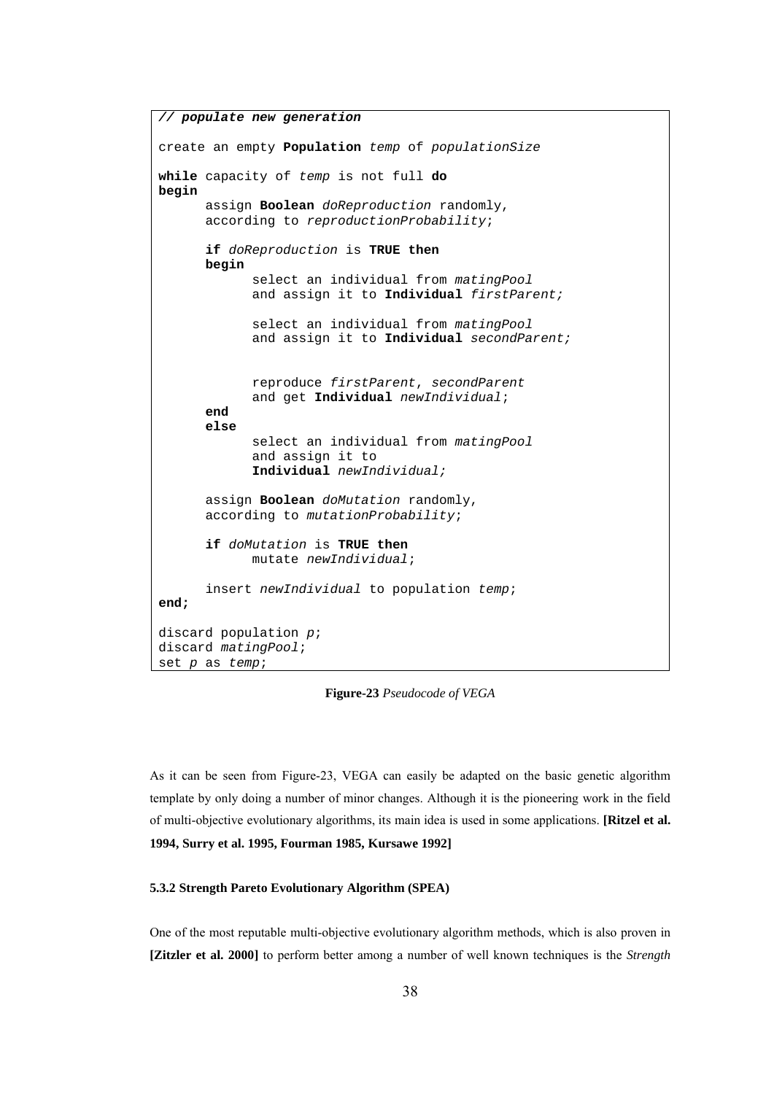```
// populate new generation
create an empty Population temp of populationSize
while capacity of temp is not full do
begin
      assign Boolean doReproduction randomly,
      according to reproductionProbability; 
      if doReproduction is TRUE then
      begin
            select an individual from matingPool
            and assign it to Individual firstParent;
            select an individual from matingPool
            and assign it to Individual secondParent;
            reproduce firstParent, secondParent
            and get Individual newIndividual;
      end
      else
            select an individual from matingPool
            and assign it to 
            Individual newIndividual;
      assign Boolean doMutation randomly,
      according to mutationProbability;
      if doMutation is TRUE then
            mutate newIndividual;
      insert newIndividual to population temp;
end;
discard population p;
discard matingPool;
set p as temp;
```
**Figure-23** *Pseudocode of VEGA*

As it can be seen from Figure-23, VEGA can easily be adapted on the basic genetic algorithm template by only doing a number of minor changes. Although it is the pioneering work in the field of multi-objective evolutionary algorithms, its main idea is used in some applications. **[Ritzel et al. 1994, Surry et al. 1995, Fourman 1985, Kursawe 1992]**

### **5.3.2 Strength Pareto Evolutionary Algorithm (SPEA)**

One of the most reputable multi-objective evolutionary algorithm methods, which is also proven in **[Zitzler et al. 2000]** to perform better among a number of well known techniques is the *Strength*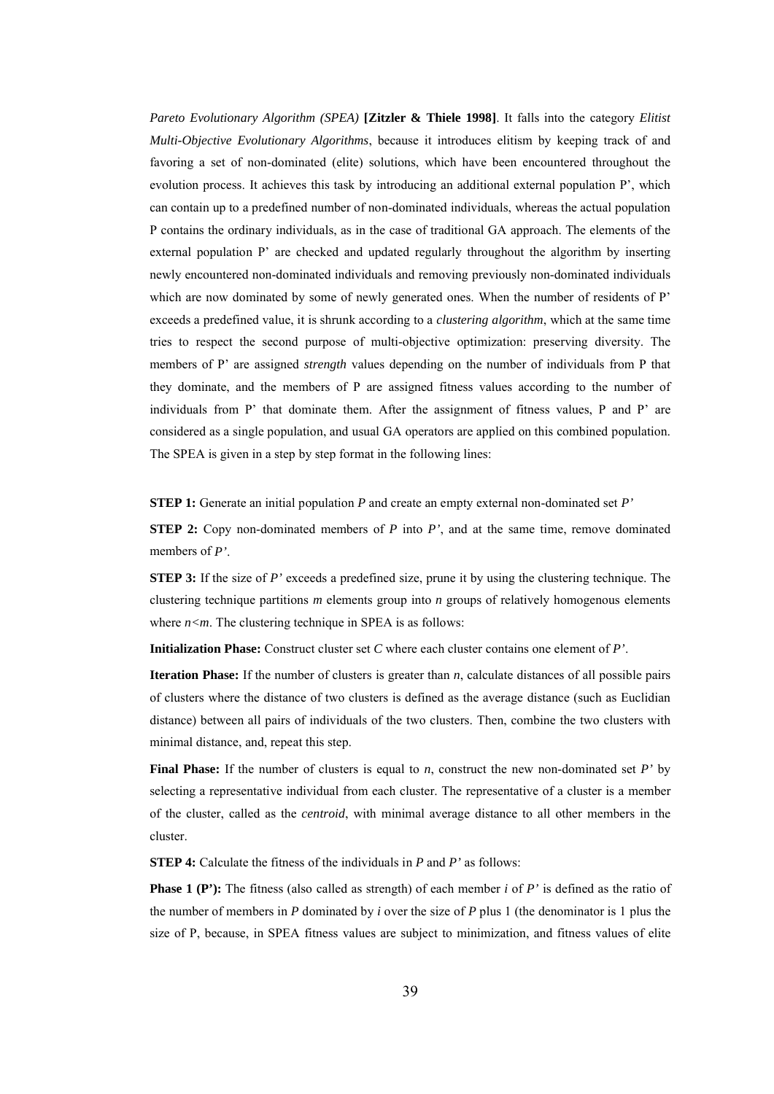*Pareto Evolutionary Algorithm (SPEA)* **[Zitzler & Thiele 1998]**. It falls into the category *Elitist Multi-Objective Evolutionary Algorithms*, because it introduces elitism by keeping track of and favoring a set of non-dominated (elite) solutions, which have been encountered throughout the evolution process. It achieves this task by introducing an additional external population P', which can contain up to a predefined number of non-dominated individuals, whereas the actual population P contains the ordinary individuals, as in the case of traditional GA approach. The elements of the external population P' are checked and updated regularly throughout the algorithm by inserting newly encountered non-dominated individuals and removing previously non-dominated individuals which are now dominated by some of newly generated ones. When the number of residents of P' exceeds a predefined value, it is shrunk according to a *clustering algorithm*, which at the same time tries to respect the second purpose of multi-objective optimization: preserving diversity. The members of P' are assigned *strength* values depending on the number of individuals from P that they dominate, and the members of P are assigned fitness values according to the number of individuals from P' that dominate them. After the assignment of fitness values, P and P' are considered as a single population, and usual GA operators are applied on this combined population. The SPEA is given in a step by step format in the following lines:

**STEP 1:** Generate an initial population *P* and create an empty external non-dominated set *P'*

**STEP 2:** Copy non-dominated members of *P* into *P'*, and at the same time, remove dominated members of *P'*.

**STEP 3:** If the size of *P'* exceeds a predefined size, prune it by using the clustering technique. The clustering technique partitions *m* elements group into *n* groups of relatively homogenous elements where  $n < m$ . The clustering technique in SPEA is as follows:

**Initialization Phase:** Construct cluster set *C* where each cluster contains one element of *P'*.

**Iteration Phase:** If the number of clusters is greater than *n*, calculate distances of all possible pairs of clusters where the distance of two clusters is defined as the average distance (such as Euclidian distance) between all pairs of individuals of the two clusters. Then, combine the two clusters with minimal distance, and, repeat this step.

**Final Phase:** If the number of clusters is equal to *n*, construct the new non-dominated set *P'* by selecting a representative individual from each cluster. The representative of a cluster is a member of the cluster, called as the *centroid*, with minimal average distance to all other members in the cluster.

**STEP 4:** Calculate the fitness of the individuals in *P* and *P'* as follows:

**Phase 1 (P'):** The fitness (also called as strength) of each member *i* of *P*' is defined as the ratio of the number of members in *P* dominated by *i* over the size of *P* plus 1 (the denominator is 1 plus the size of P, because, in SPEA fitness values are subject to minimization, and fitness values of elite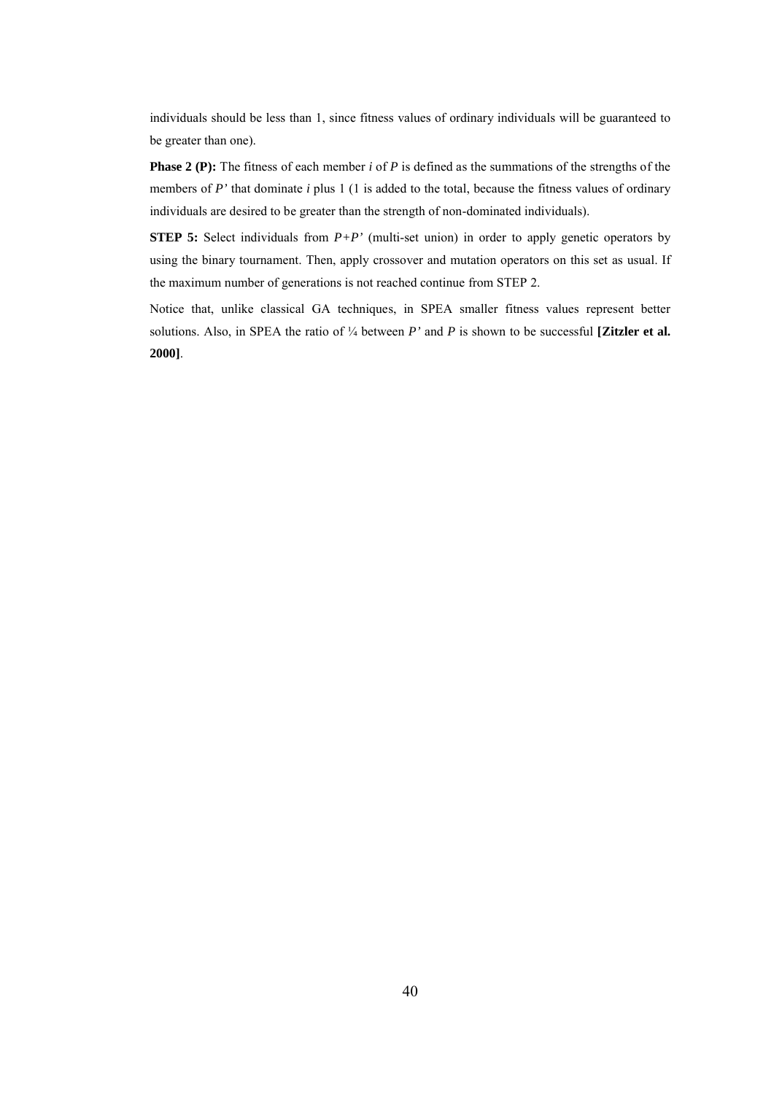individuals should be less than 1, since fitness values of ordinary individuals will be guaranteed to be greater than one).

**Phase 2 (P):** The fitness of each member *i* of *P* is defined as the summations of the strengths of the members of *P*' that dominate *i* plus 1 (1 is added to the total, because the fitness values of ordinary individuals are desired to be greater than the strength of non-dominated individuals).

**STEP 5:** Select individuals from  $P+P'$  (multi-set union) in order to apply genetic operators by using the binary tournament. Then, apply crossover and mutation operators on this set as usual. If the maximum number of generations is not reached continue from STEP 2.

Notice that, unlike classical GA techniques, in SPEA smaller fitness values represent better solutions. Also, in SPEA the ratio of ¼ between *P'* and *P* is shown to be successful **[Zitzler et al. 2000]**.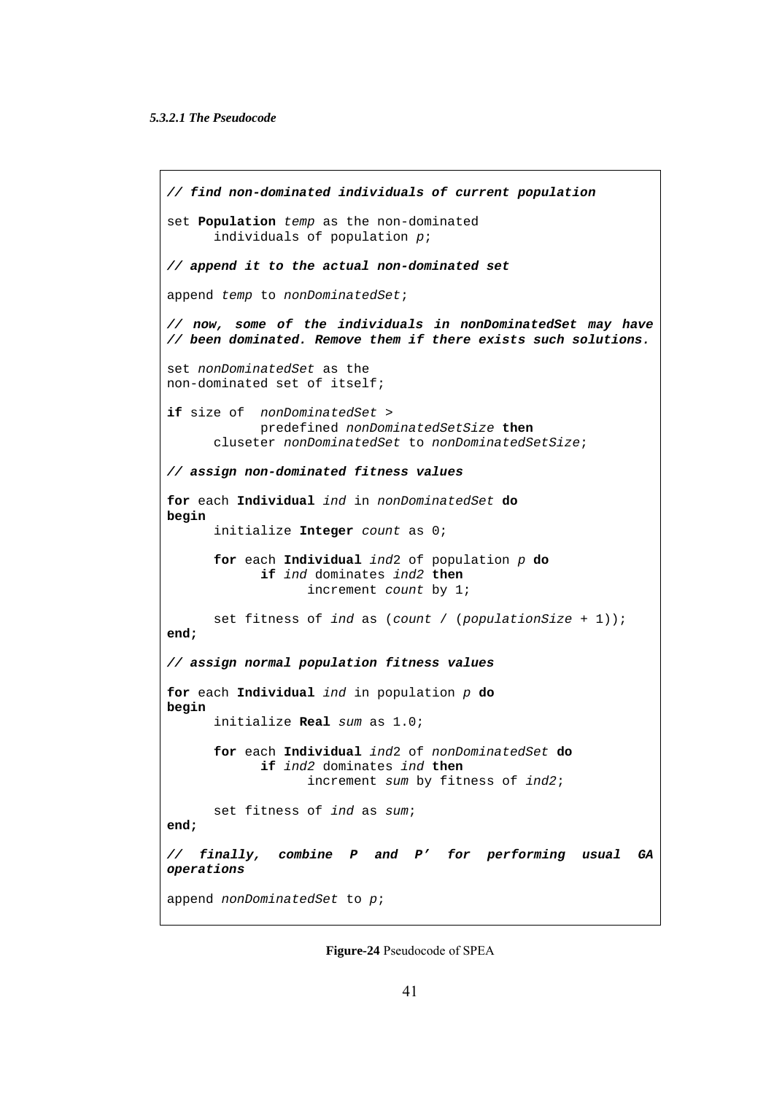```
// find non-dominated individuals of current population
set Population temp as the non-dominated 
      individuals of population p;
// append it to the actual non-dominated set
append temp to nonDominatedSet;
// now, some of the individuals in nonDominatedSet may have 
// been dominated. Remove them if there exists such solutions.
set nonDominatedSet as the 
non-dominated set of itself; 
if size of nonDominatedSet > 
           predefined nonDominatedSetSize then
      cluseter nonDominatedSet to nonDominatedSetSize;
// assign non-dominated fitness values
for each Individual ind in nonDominatedSet do
begin
      initialize Integer count as 0;
      for each Individual ind2 of population p do
            if ind dominates ind2 then
                  increment count by 1;
      set fitness of ind as (count / (populationSize + 1));
end;
// assign normal population fitness values
for each Individual ind in population p do
begin
      initialize Real sum as 1.0;
      for each Individual ind2 of nonDominatedSet do
            if ind2 dominates ind then
                  increment sum by fitness of ind2;
      set fitness of ind as sum;
end;
// finally, combine P and P' for performing usual GA 
operations
append nonDominatedSet to p;
```
**Figure-24** Pseudocode of SPEA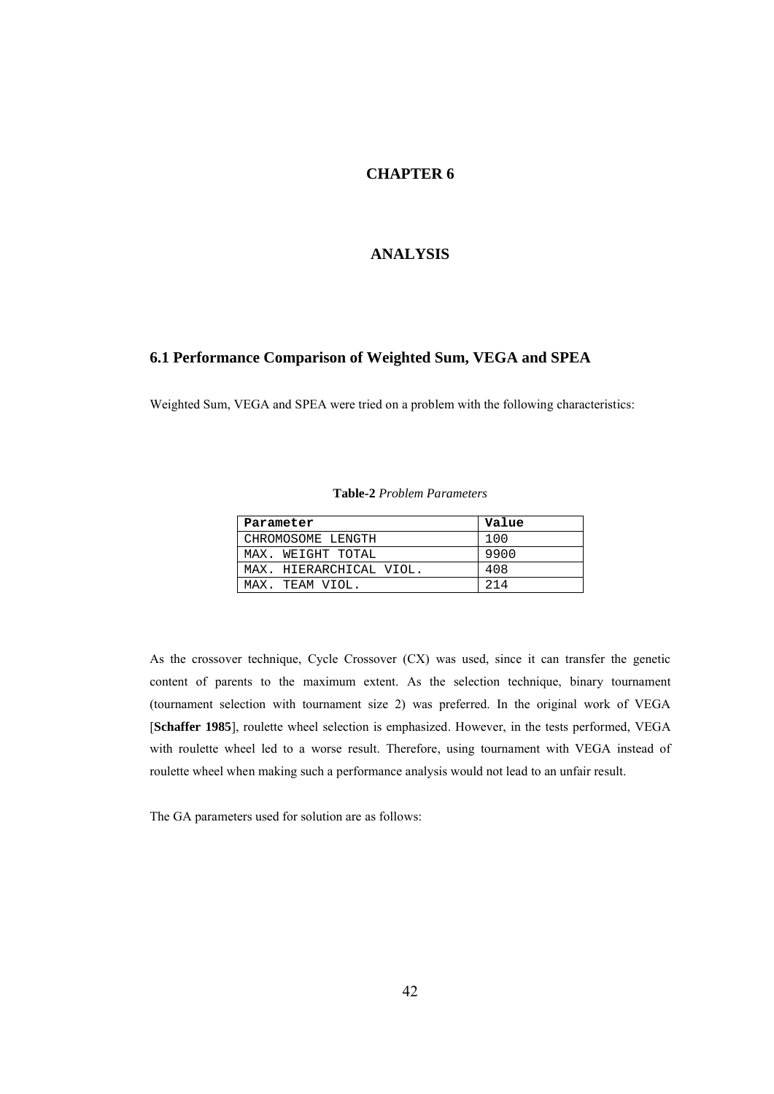# **CHAPTER 6**

# **ANALYSIS**

## **6.1 Performance Comparison of Weighted Sum, VEGA and SPEA**

Weighted Sum, VEGA and SPEA were tried on a problem with the following characteristics:

### **Table-2** *Problem Parameters*

| Parameter               | Value |
|-------------------------|-------|
| CHROMOSOME LENGTH       | 100   |
| MAX. WEIGHT TOTAL       | 9900  |
| MAX. HIERARCHICAL VIOL. | 408   |
| MAX. TEAM VIOL.         | 214   |

As the crossover technique, Cycle Crossover (CX) was used, since it can transfer the genetic content of parents to the maximum extent. As the selection technique, binary tournament (tournament selection with tournament size 2) was preferred. In the original work of VEGA [**Schaffer 1985**], roulette wheel selection is emphasized. However, in the tests performed, VEGA with roulette wheel led to a worse result. Therefore, using tournament with VEGA instead of roulette wheel when making such a performance analysis would not lead to an unfair result.

The GA parameters used for solution are as follows: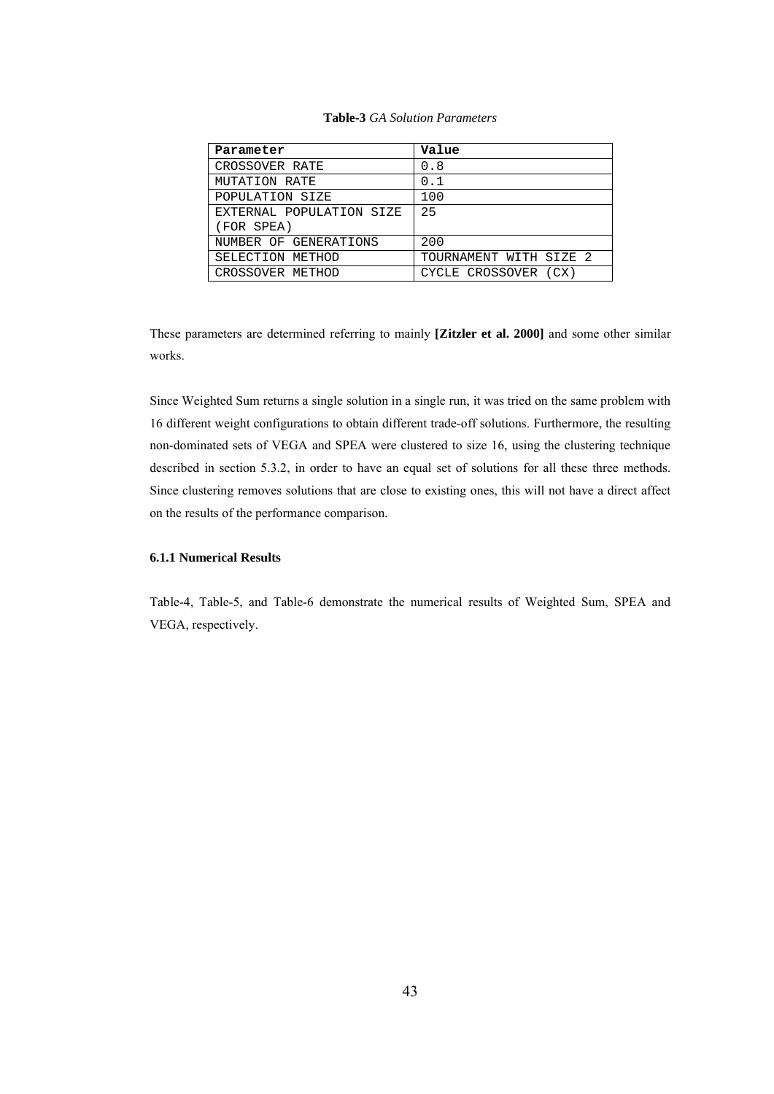### **Table-3** *GA Solution Parameters*

| Parameter                | Value                  |
|--------------------------|------------------------|
| CROSSOVER RATE           | 0.8                    |
| MUTATION RATE            | 0.1                    |
| POPULATION SIZE          | 100                    |
| EXTERNAL POPULATION SIZE | 25                     |
| (FOR SPEA)               |                        |
| NUMBER OF GENERATIONS    | 200                    |
| SELECTION METHOD         | TOURNAMENT WITH SIZE 2 |
| CROSSOVER METHOD         | CYCLE CROSSOVER (CX)   |

These parameters are determined referring to mainly **[Zitzler et al. 2000]** and some other similar works.

Since Weighted Sum returns a single solution in a single run, it was tried on the same problem with 16 different weight configurations to obtain different trade-off solutions. Furthermore, the resulting non-dominated sets of VEGA and SPEA were clustered to size 16, using the clustering technique described in section 5.3.2, in order to have an equal set of solutions for all these three methods. Since clustering removes solutions that are close to existing ones, this will not have a direct affect on the results of the performance comparison.

### **6.1.1 Numerical Results**

Table-4, Table-5, and Table-6 demonstrate the numerical results of Weighted Sum, SPEA and VEGA, respectively.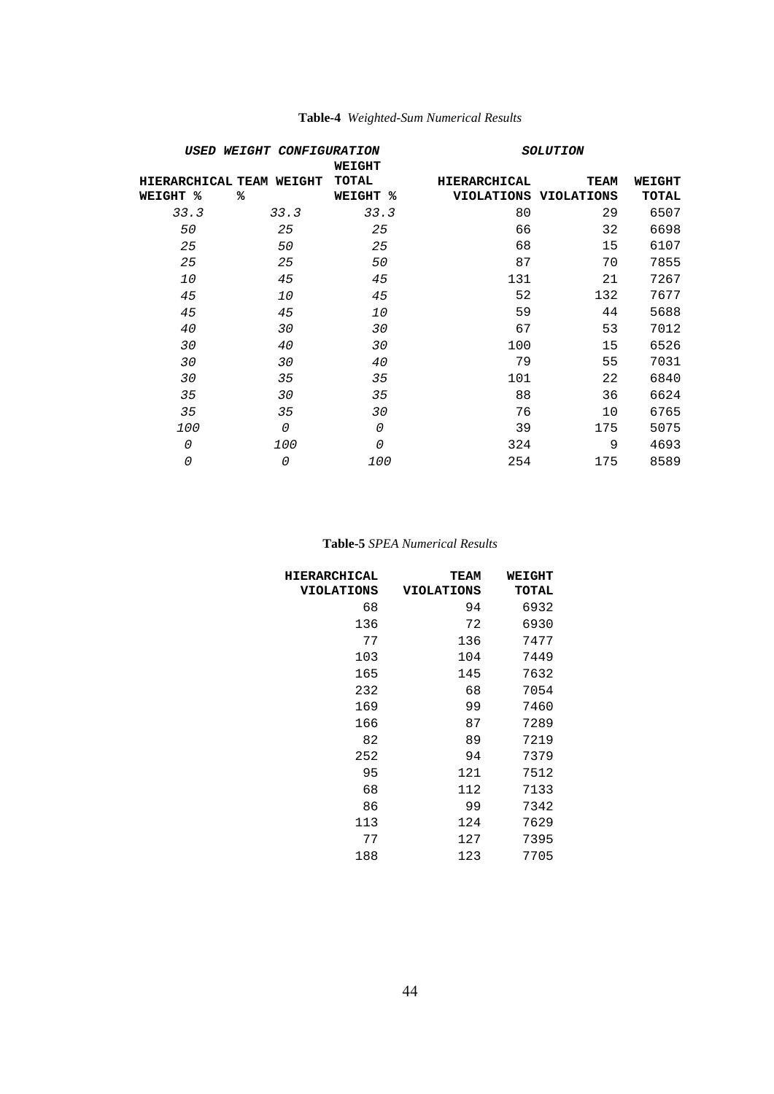|                    | USED WEIGHT CONFIGURATION     |                                    |                     | <b>SOLUTION</b>               |                        |
|--------------------|-------------------------------|------------------------------------|---------------------|-------------------------------|------------------------|
| %<br><b>WEIGHT</b> | HIERARCHICAL TEAM WEIGHT<br>℁ | WEIGHT<br>TOTAL<br><b>WEIGHT %</b> | <b>HIERARCHICAL</b> | TEAM<br>VIOLATIONS VIOLATIONS | WEIGHT<br><b>TOTAL</b> |
| 33.3               | 33.3                          | 33.3                               | 80                  | 29                            | 6507                   |
| 50                 | 25                            | 25                                 | 66                  | 32                            | 6698                   |
| 25                 | 50                            | 25                                 | 68                  | 15                            | 6107                   |
| 25                 | 25                            | 50                                 | 87                  | 70                            | 7855                   |
| 10                 | 45                            | 45                                 | 131                 | 21                            | 7267                   |
| 45                 | 10                            | 45                                 | 52                  | 132                           | 7677                   |
| 45                 | 45                            | 10                                 | 59                  | 44                            | 5688                   |
| 40                 | 30                            | 30                                 | 67                  | 53                            | 7012                   |
| 30                 | 40                            | 30                                 | 100                 | 15                            | 6526                   |
| 30                 | 30                            | 40                                 | 79                  | 55                            | 7031                   |
| 30                 | 35                            | 35                                 | 101                 | 22                            | 6840                   |
| 35                 | 30                            | 35                                 | 88                  | 36                            | 6624                   |
| 35                 | 35                            | 30                                 | 76                  | 10                            | 6765                   |
| 100                | 0                             | 0                                  | 39                  | 175                           | 5075                   |
| 0                  | 100                           | 0                                  | 324                 | 9                             | 4693                   |
| 0                  | $\Omega$                      | 100                                | 254                 | 175                           | 8589                   |

# **Table-4** *Weighted-Sum Numerical Results*

# **Table-5** *SPEA Numerical Results*

| <b>HIERARCHICAL</b> | <b>TEAM</b>       | <b>WEIGHT</b> |
|---------------------|-------------------|---------------|
| <b>VIOLATIONS</b>   | <b>VIOLATIONS</b> | <b>TOTAL</b>  |
| 68                  | 94                | 6932          |
| 136                 | 72                | 6930          |
| 77                  | 136               | 7477          |
| 103                 | 104               | 7449          |
| 165                 | 145               | 7632          |
| 232                 | 68                | 7054          |
| 169                 | 99                | 7460          |
| 166                 | 87                | 7289          |
| 82                  | 89                | 7219          |
| 252                 | 94                | 7379          |
| 95                  | 121               | 7512          |
| 68                  | 112               | 7133          |
| 86                  | 99                | 7342          |
| 113                 | 124               | 7629          |
| 77                  | 127               | 7395          |
| 188                 | 123               | 7705          |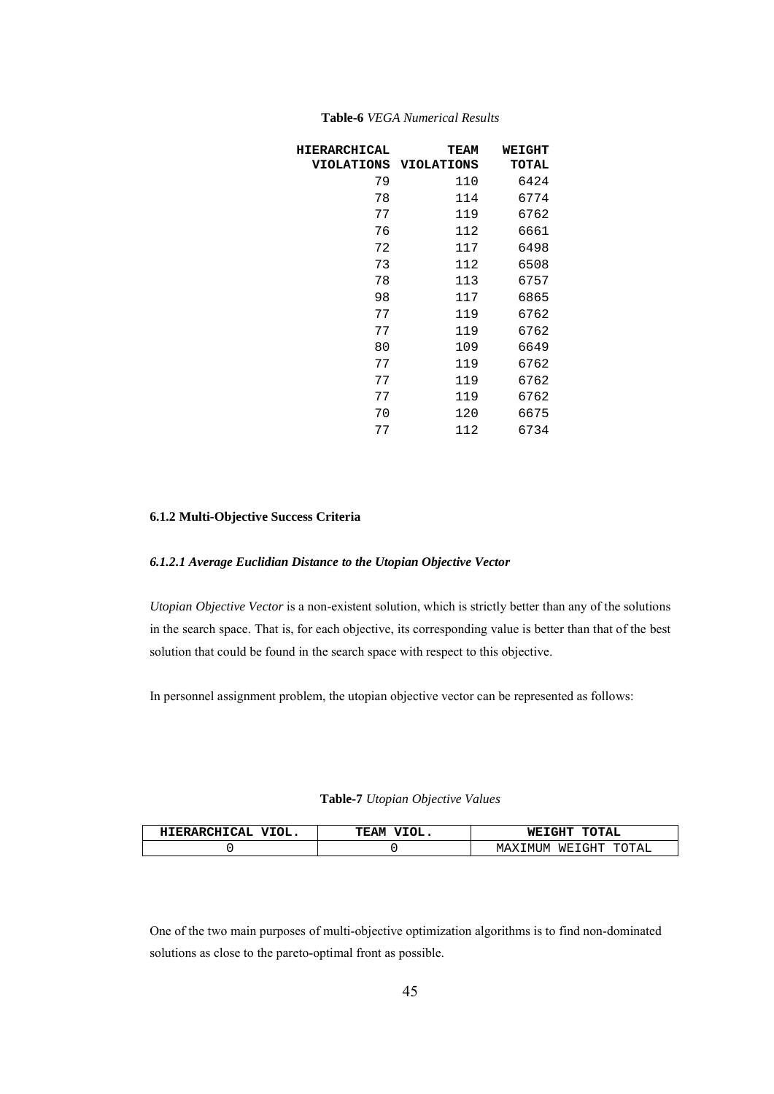| HIERARCHICAL<br><b>VIOLATIONS</b> | <b>TEAM</b><br><b>VIOLATIONS</b> | <b>WEIGHT</b><br><b>TOTAL</b> |
|-----------------------------------|----------------------------------|-------------------------------|
| 79                                | 110                              | 6424                          |
| 78                                | 114                              | 6774                          |
| 77                                | 119                              | 6762                          |
| 76                                | 112                              | 6661                          |
| 72                                | 117                              | 6498                          |
| 73                                | 112                              | 6508                          |
| 78                                | 113                              | 6757                          |
| 98                                | 117                              | 6865                          |
| 77                                | 119                              | 6762                          |
| 77                                | 119                              | 6762                          |
| 80                                | 109                              | 6649                          |
| 77                                | 119                              | 6762                          |
| 77                                | 119                              | 6762                          |
| 77                                | 119                              | 6762                          |
| 70                                | 120                              | 6675                          |
| 77                                | 112                              | 6734                          |

#### **Table-6** *VEGA Numerical Results*

### **6.1.2 Multi-Objective Success Criteria**

## *6.1.2.1 Average Euclidian Distance to the Utopian Objective Vector*

*Utopian Objective Vector* is a non-existent solution, which is strictly better than any of the solutions in the search space. That is, for each objective, its corresponding value is better than that of the best solution that could be found in the search space with respect to this objective.

In personnel assignment problem, the utopian objective vector can be represented as follows:

| HIERARCHICAL | VIOL.       | <b>WEIGHT</b>           |
|--------------|-------------|-------------------------|
| VIOL.        | <b>TEAM</b> | TOTAL                   |
|              |             | MAXIMUM WEIGHT<br>TOTAL |

One of the two main purposes of multi-objective optimization algorithms is to find non-dominated solutions as close to the pareto-optimal front as possible.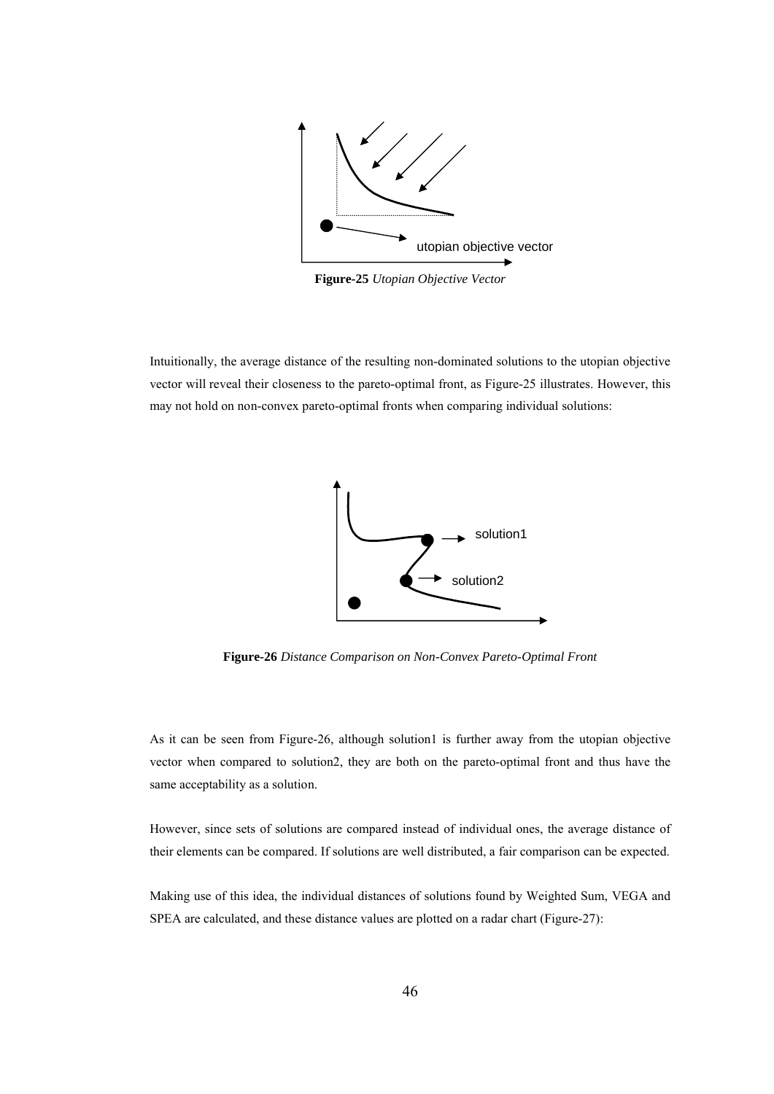

**Figure-25** *Utopian Objective Vector*

Intuitionally, the average distance of the resulting non-dominated solutions to the utopian objective vector will reveal their closeness to the pareto-optimal front, as Figure-25 illustrates. However, this may not hold on non-convex pareto-optimal fronts when comparing individual solutions:



**Figure-26** *Distance Comparison on Non-Convex Pareto-Optimal Front*

As it can be seen from Figure-26, although solution1 is further away from the utopian objective vector when compared to solution2, they are both on the pareto-optimal front and thus have the same acceptability as a solution.

However, since sets of solutions are compared instead of individual ones, the average distance of their elements can be compared. If solutions are well distributed, a fair comparison can be expected.

Making use of this idea, the individual distances of solutions found by Weighted Sum, VEGA and SPEA are calculated, and these distance values are plotted on a radar chart (Figure-27):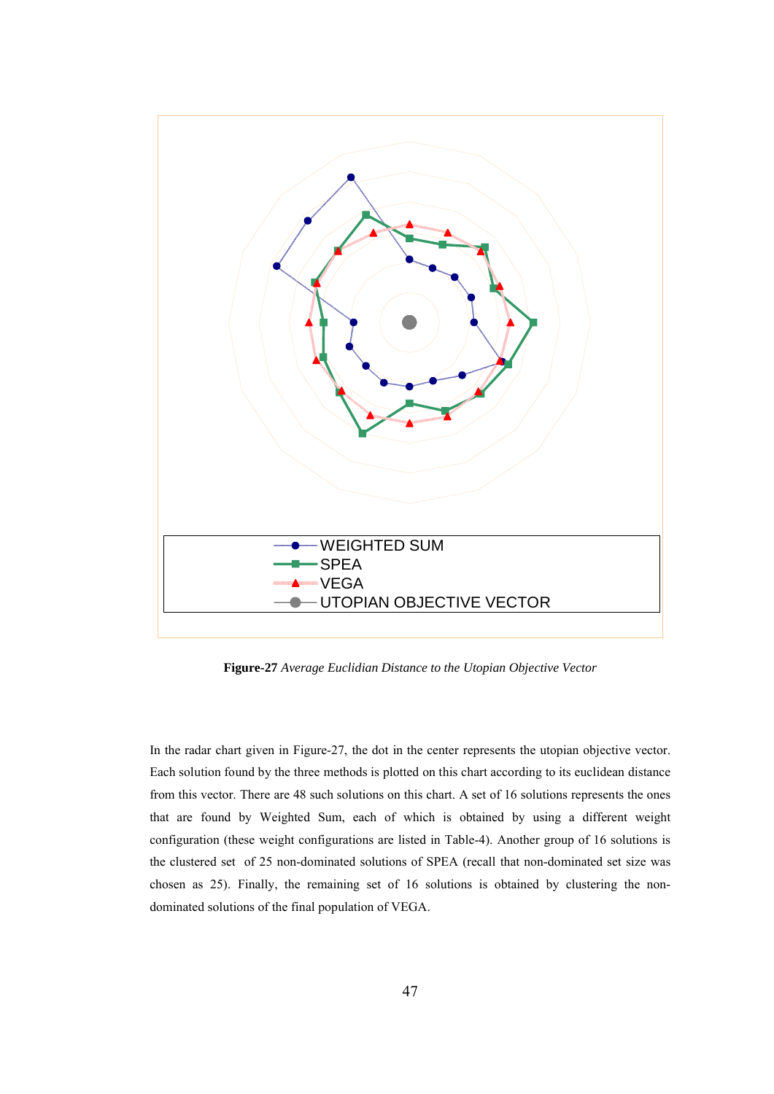

**Figure-27** *Average Euclidian Distance to the Utopian Objective Vector*

In the radar chart given in Figure-27, the dot in the center represents the utopian objective vector. Each solution found by the three methods is plotted on this chart according to its euclidean distance from this vector. There are 48 such solutions on this chart. A set of 16 solutions represents the ones that are found by Weighted Sum, each of which is obtained by using a different weight configuration (these weight configurations are listed in Table-4). Another group of 16 solutions is the clustered set of 25 non-dominated solutions of SPEA (recall that non-dominated set size was chosen as 25). Finally, the remaining set of 16 solutions is obtained by clustering the nondominated solutions of the final population of VEGA.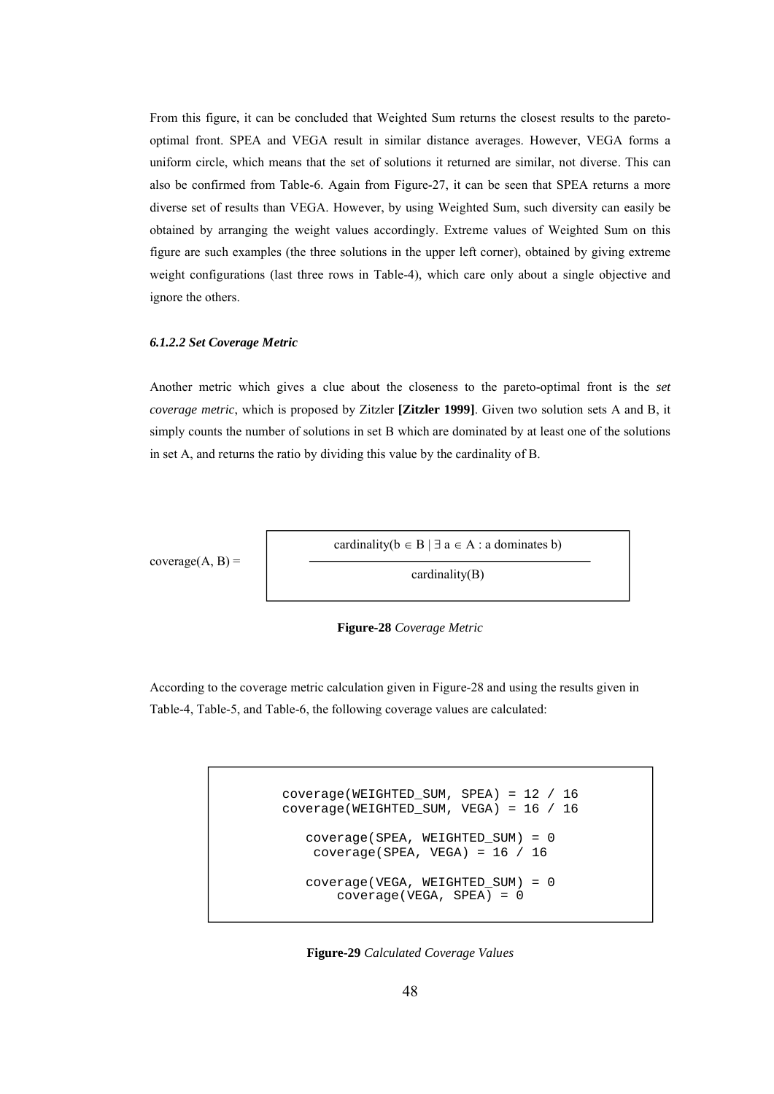From this figure, it can be concluded that Weighted Sum returns the closest results to the paretooptimal front. SPEA and VEGA result in similar distance averages. However, VEGA forms a uniform circle, which means that the set of solutions it returned are similar, not diverse. This can also be confirmed from Table-6. Again from Figure-27, it can be seen that SPEA returns a more diverse set of results than VEGA. However, by using Weighted Sum, such diversity can easily be obtained by arranging the weight values accordingly. Extreme values of Weighted Sum on this figure are such examples (the three solutions in the upper left corner), obtained by giving extreme weight configurations (last three rows in Table-4), which care only about a single objective and ignore the others.

#### *6.1.2.2 Set Coverage Metric*

Another metric which gives a clue about the closeness to the pareto-optimal front is the *set coverage metric*, which is proposed by Zitzler **[Zitzler 1999]**. Given two solution sets A and B, it simply counts the number of solutions in set B which are dominated by at least one of the solutions in set A, and returns the ratio by dividing this value by the cardinality of B.

$$
coverage(A, B) =
$$
\n
$$
cardinality(b \in B | \exists a \in A : a dominates b)
$$
\n
$$
cardinality(B)
$$

**Figure-28** *Coverage Metric*

According to the coverage metric calculation given in Figure-28 and using the results given in Table-4, Table-5, and Table-6, the following coverage values are calculated:

```
coverage(WEIGHTED_SUM, SPEA) = 12 / 16
coverage(WEIGHTED_SUM, VEGA) = 16 / 16
   coverage(SPEA, WEIGHTED_SUM) = 0
   coverage(SPEA, VEGA) = 16 / 16
   coverage(VEGA, WEIGHTED_SUM) = 0
       coverage(VEGA, SPEA) = 0
```
**Figure-29** *Calculated Coverage Values*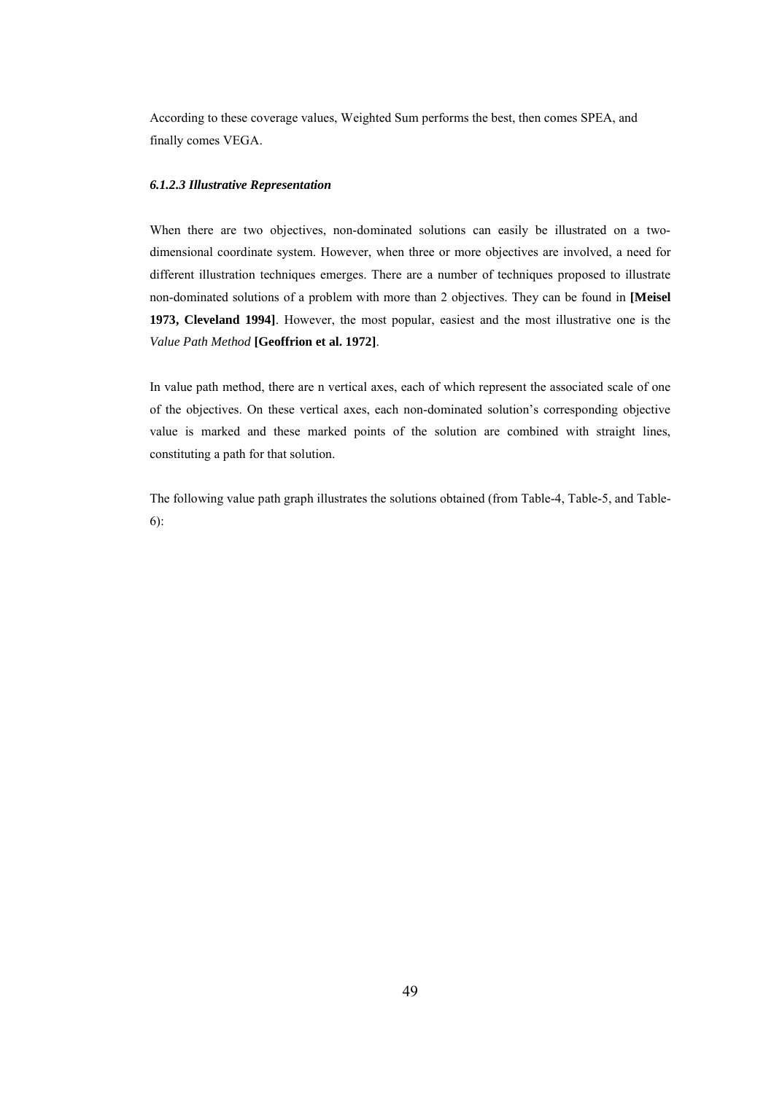According to these coverage values, Weighted Sum performs the best, then comes SPEA, and finally comes VEGA.

#### *6.1.2.3 Illustrative Representation*

When there are two objectives, non-dominated solutions can easily be illustrated on a twodimensional coordinate system. However, when three or more objectives are involved, a need for different illustration techniques emerges. There are a number of techniques proposed to illustrate non-dominated solutions of a problem with more than 2 objectives. They can be found in **[Meisel 1973, Cleveland 1994]**. However, the most popular, easiest and the most illustrative one is the *Value Path Method* **[Geoffrion et al. 1972]**.

In value path method, there are n vertical axes, each of which represent the associated scale of one of the objectives. On these vertical axes, each non-dominated solution's corresponding objective value is marked and these marked points of the solution are combined with straight lines, constituting a path for that solution.

The following value path graph illustrates the solutions obtained (from Table-4, Table-5, and Table-6):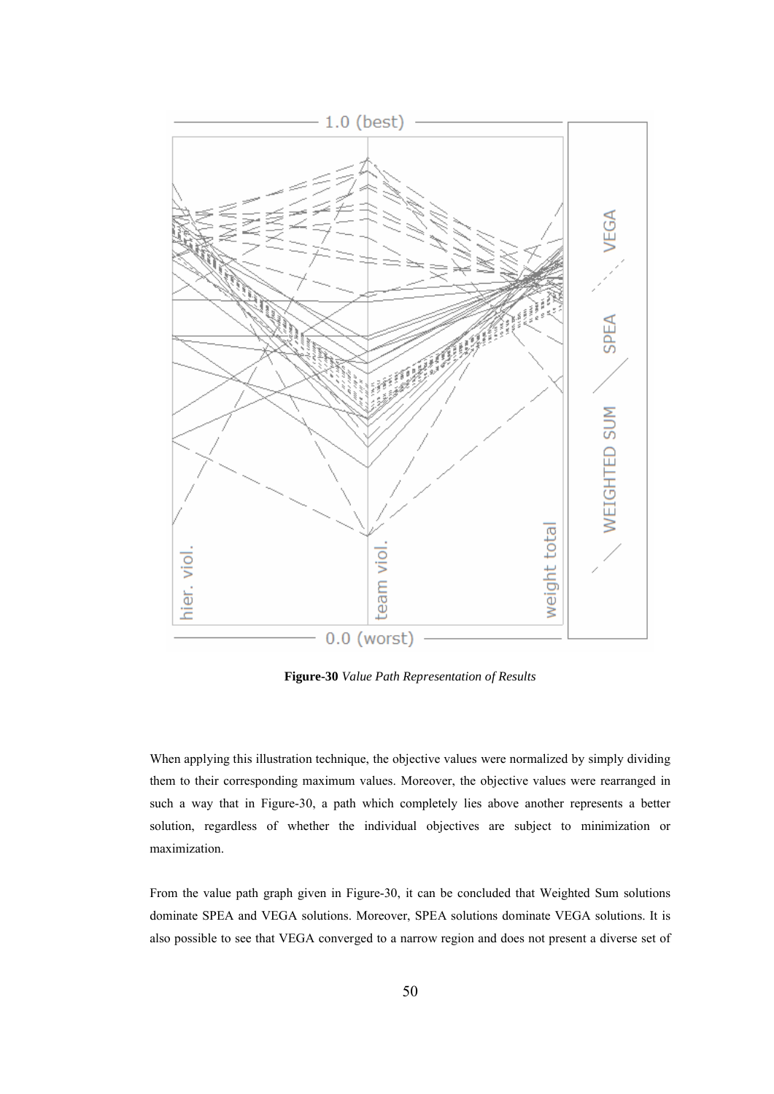

**Figure-30** *Value Path Representation of Results*

When applying this illustration technique, the objective values were normalized by simply dividing them to their corresponding maximum values. Moreover, the objective values were rearranged in such a way that in Figure-30, a path which completely lies above another represents a better solution, regardless of whether the individual objectives are subject to minimization or maximization.

From the value path graph given in Figure-30, it can be concluded that Weighted Sum solutions dominate SPEA and VEGA solutions. Moreover, SPEA solutions dominate VEGA solutions. It is also possible to see that VEGA converged to a narrow region and does not present a diverse set of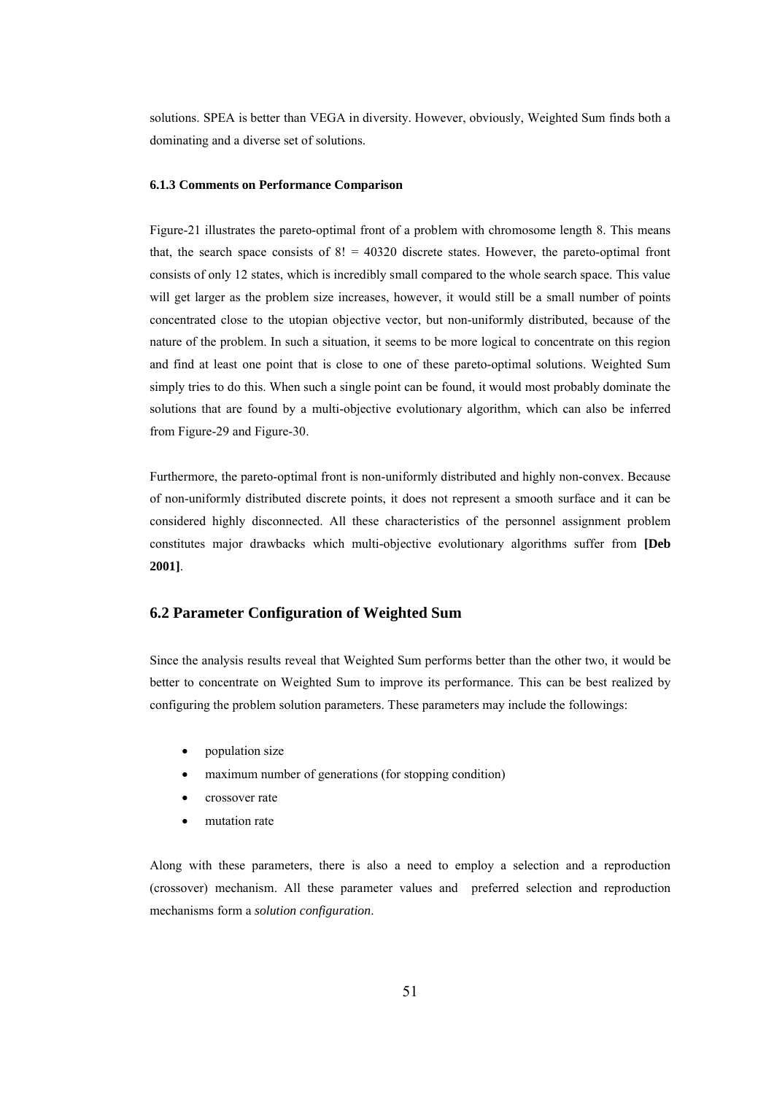solutions. SPEA is better than VEGA in diversity. However, obviously, Weighted Sum finds both a dominating and a diverse set of solutions.

#### **6.1.3 Comments on Performance Comparison**

Figure-21 illustrates the pareto-optimal front of a problem with chromosome length 8. This means that, the search space consists of  $8! = 40320$  discrete states. However, the pareto-optimal front consists of only 12 states, which is incredibly small compared to the whole search space. This value will get larger as the problem size increases, however, it would still be a small number of points concentrated close to the utopian objective vector, but non-uniformly distributed, because of the nature of the problem. In such a situation, it seems to be more logical to concentrate on this region and find at least one point that is close to one of these pareto-optimal solutions. Weighted Sum simply tries to do this. When such a single point can be found, it would most probably dominate the solutions that are found by a multi-objective evolutionary algorithm, which can also be inferred from Figure-29 and Figure-30.

Furthermore, the pareto-optimal front is non-uniformly distributed and highly non-convex. Because of non-uniformly distributed discrete points, it does not represent a smooth surface and it can be considered highly disconnected. All these characteristics of the personnel assignment problem constitutes major drawbacks which multi-objective evolutionary algorithms suffer from **[Deb 2001]**.

### **6.2 Parameter Configuration of Weighted Sum**

Since the analysis results reveal that Weighted Sum performs better than the other two, it would be better to concentrate on Weighted Sum to improve its performance. This can be best realized by configuring the problem solution parameters. These parameters may include the followings:

- population size
- maximum number of generations (for stopping condition)
- crossover rate
- mutation rate

Along with these parameters, there is also a need to employ a selection and a reproduction (crossover) mechanism. All these parameter values and preferred selection and reproduction mechanisms form a *solution configuration*.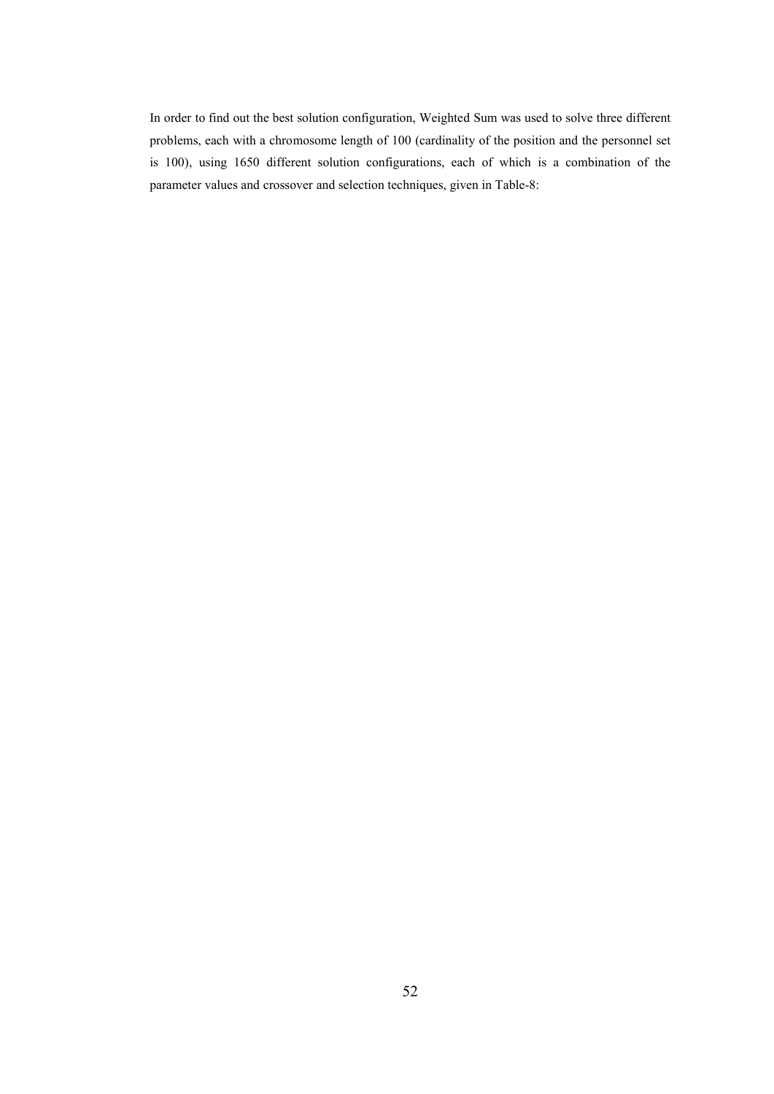In order to find out the best solution configuration, Weighted Sum was used to solve three different problems, each with a chromosome length of 100 (cardinality of the position and the personnel set is 100), using 1650 different solution configurations, each of which is a combination of the parameter values and crossover and selection techniques, given in Table-8: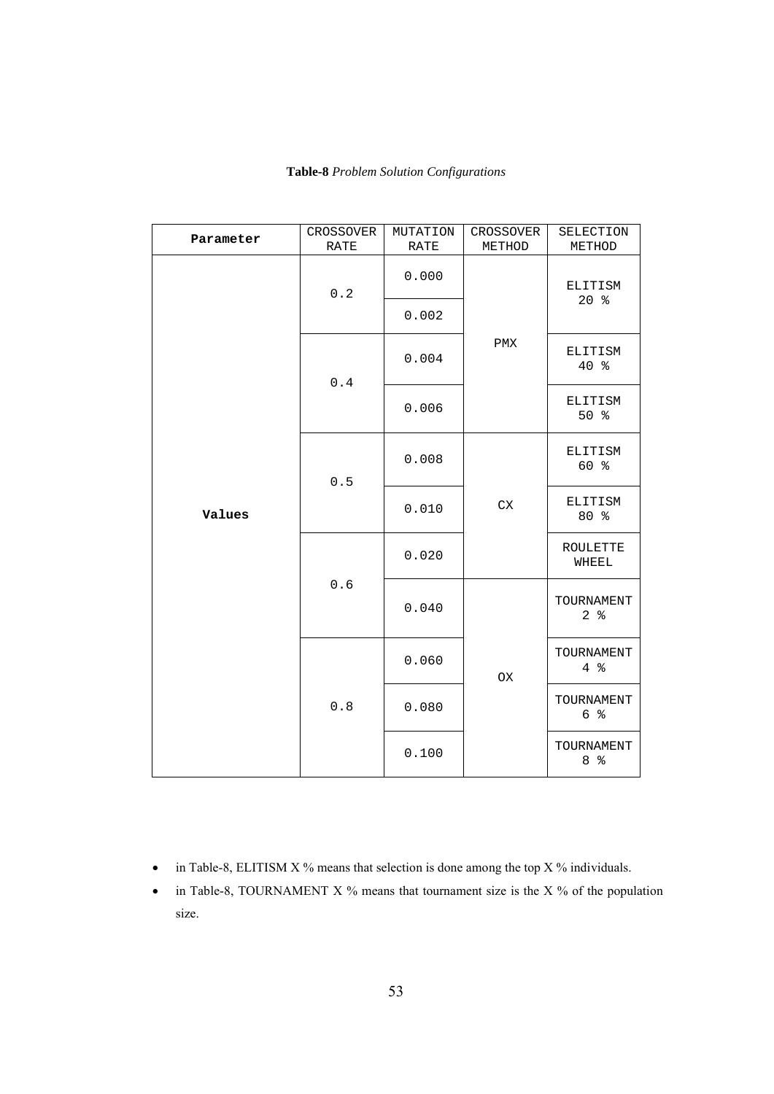| Parameter | CROSSOVER<br>$\mathtt{RATE}$ | MUTATION<br>RATE | CROSSOVER<br>METHOD | SELECTION<br>METHOD          |  |
|-----------|------------------------------|------------------|---------------------|------------------------------|--|
|           | $0.2\,$                      | 0.000            | PMX                 | ELITISM<br>20%               |  |
|           |                              | 0.002            |                     |                              |  |
|           | 0.4                          | 0.004            |                     | ELITISM<br>40 %              |  |
|           |                              | 0.006            |                     | ELITISM<br>50%               |  |
| Values    | $0.5$                        | 0.008            | ${\rm CX}$<br>OX    | ELITISM<br>60 %              |  |
|           |                              | 0.010            |                     | ELITISM<br>80 %              |  |
|           | 0.6                          | 0.020            |                     | ROULETTE<br>WHEEL            |  |
|           |                              | 0.040            |                     | TOURNAMENT<br>2 <sub>8</sub> |  |
|           | $0.8$                        | 0.060            |                     | TOURNAMENT<br>4%             |  |
|           |                              | 0.080            |                     | TOURNAMENT<br>6 %            |  |
|           |                              | 0.100            |                     | TOURNAMENT<br>8 %            |  |

• in Table-8, ELITISM  $X$ % means that selection is done among the top  $X$ % individuals.

• in Table-8, TOURNAMENT X % means that tournament size is the X % of the population size.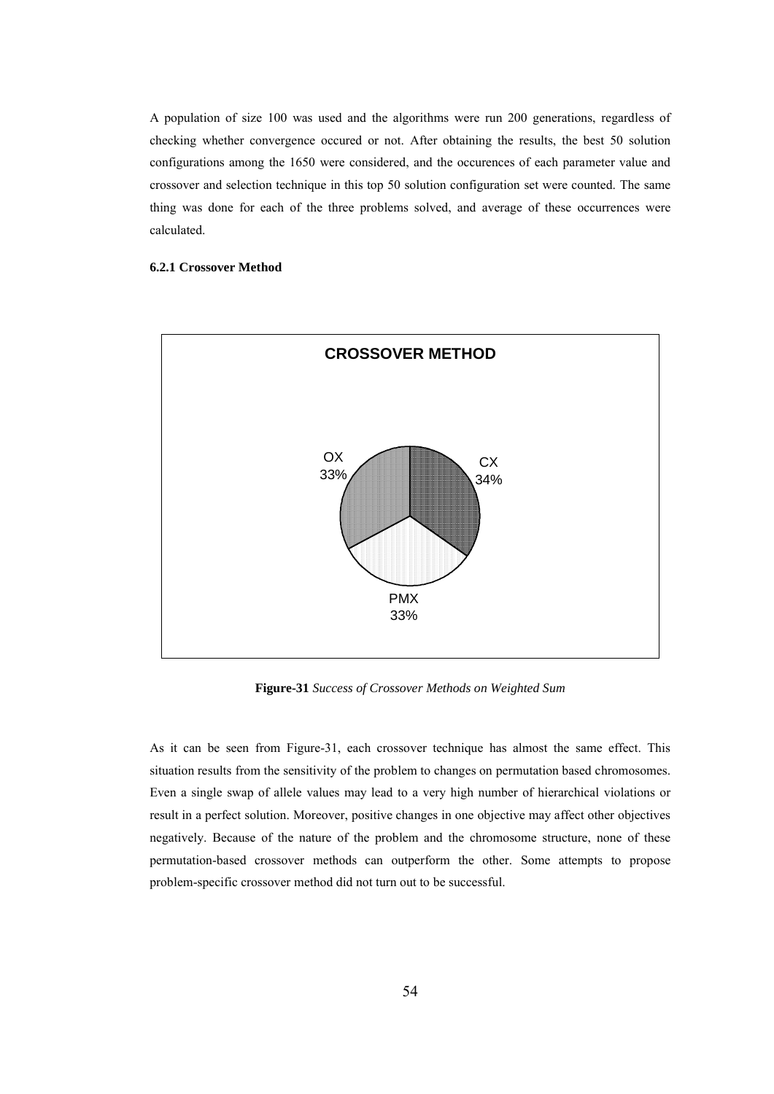A population of size 100 was used and the algorithms were run 200 generations, regardless of checking whether convergence occured or not. After obtaining the results, the best 50 solution configurations among the 1650 were considered, and the occurences of each parameter value and crossover and selection technique in this top 50 solution configuration set were counted. The same thing was done for each of the three problems solved, and average of these occurrences were calculated.

### **6.2.1 Crossover Method**



**Figure-31** *Success of Crossover Methods on Weighted Sum*

As it can be seen from Figure-31, each crossover technique has almost the same effect. This situation results from the sensitivity of the problem to changes on permutation based chromosomes. Even a single swap of allele values may lead to a very high number of hierarchical violations or result in a perfect solution. Moreover, positive changes in one objective may affect other objectives negatively. Because of the nature of the problem and the chromosome structure, none of these permutation-based crossover methods can outperform the other. Some attempts to propose problem-specific crossover method did not turn out to be successful.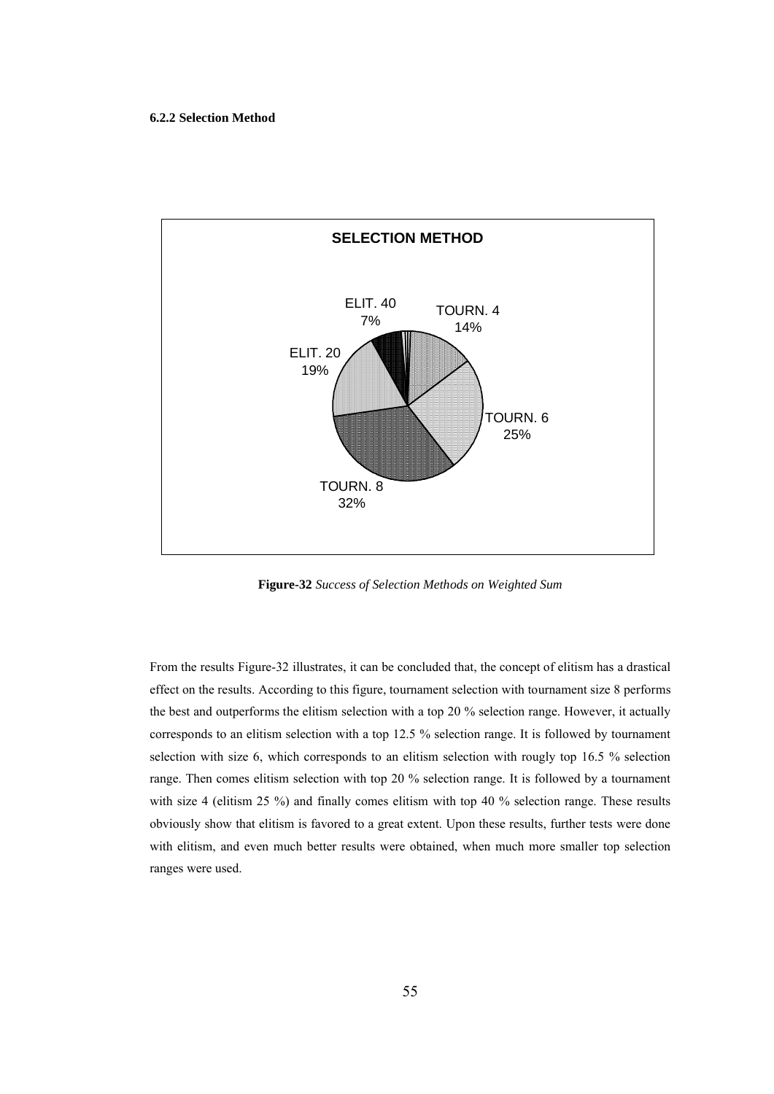### **6.2.2 Selection Method**



**Figure-32** *Success of Selection Methods on Weighted Sum*

From the results Figure-32 illustrates, it can be concluded that, the concept of elitism has a drastical effect on the results. According to this figure, tournament selection with tournament size 8 performs the best and outperforms the elitism selection with a top 20 % selection range. However, it actually corresponds to an elitism selection with a top 12.5 % selection range. It is followed by tournament selection with size 6, which corresponds to an elitism selection with rougly top 16.5 % selection range. Then comes elitism selection with top 20 % selection range. It is followed by a tournament with size 4 (elitism 25 %) and finally comes elitism with top 40 % selection range. These results obviously show that elitism is favored to a great extent. Upon these results, further tests were done with elitism, and even much better results were obtained, when much more smaller top selection ranges were used.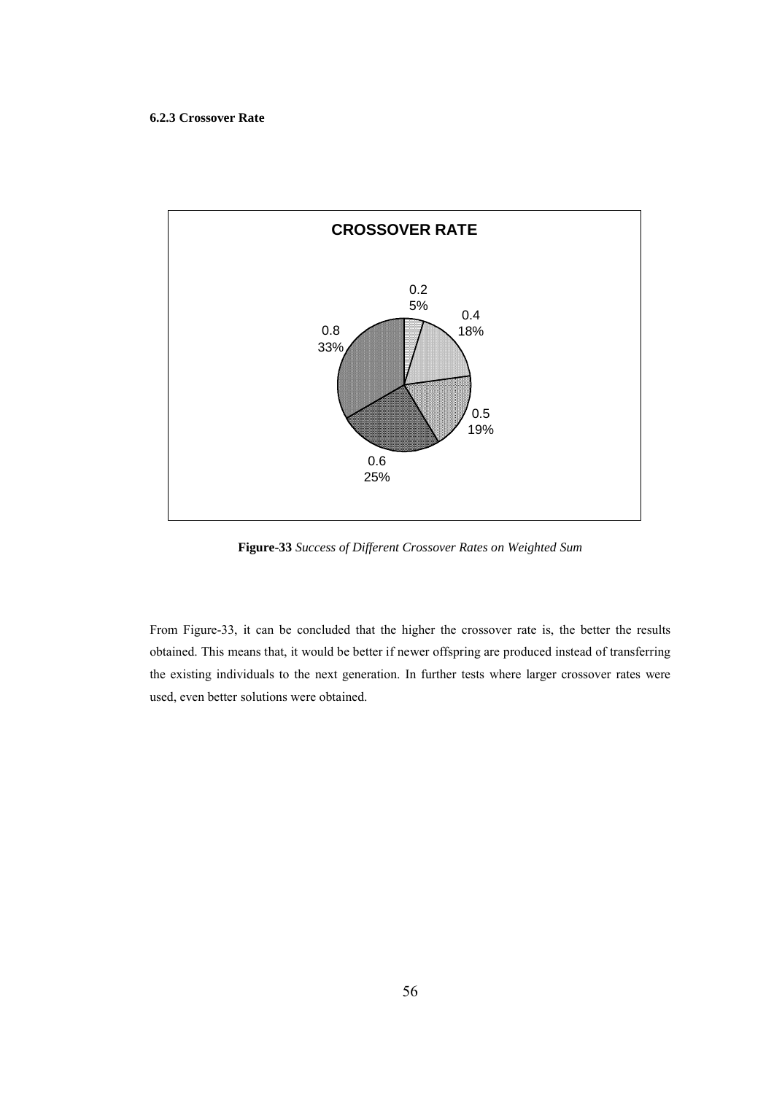#### **6.2.3 Crossover Rate**



**Figure-33** *Success of Different Crossover Rates on Weighted Sum*

From Figure-33, it can be concluded that the higher the crossover rate is, the better the results obtained. This means that, it would be better if newer offspring are produced instead of transferring the existing individuals to the next generation. In further tests where larger crossover rates were used, even better solutions were obtained.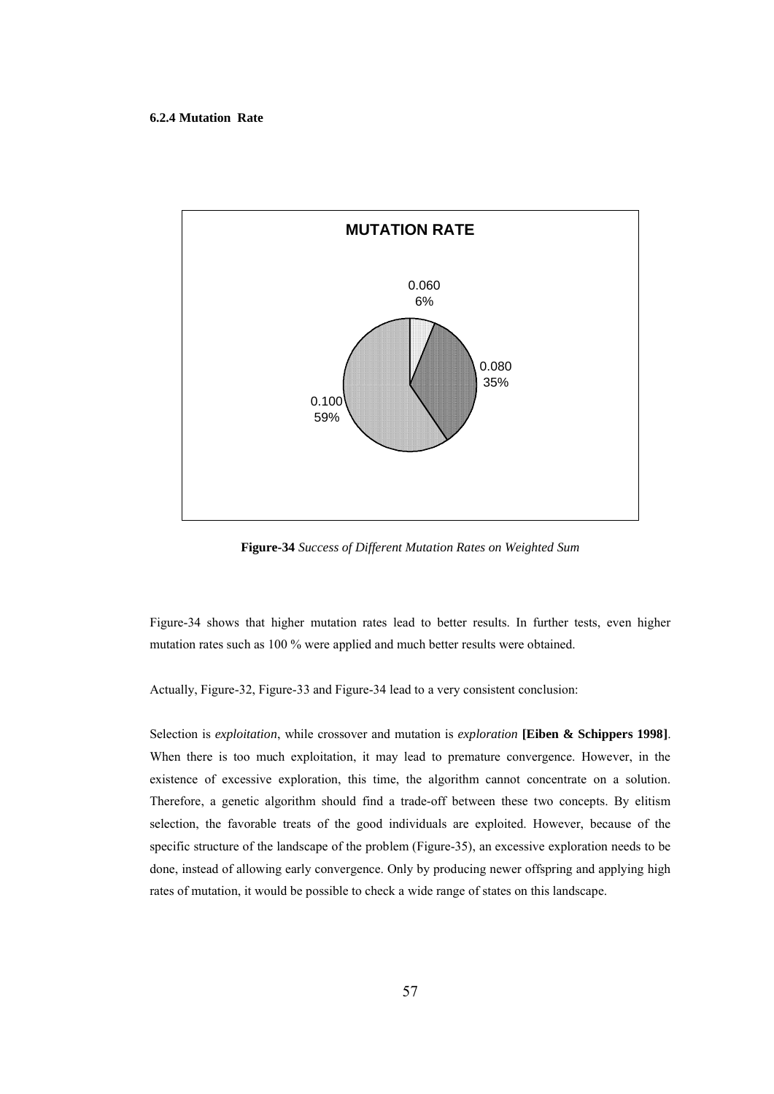### **6.2.4 Mutation Rate**



**Figure-34** *Success of Different Mutation Rates on Weighted Sum*

Figure-34 shows that higher mutation rates lead to better results. In further tests, even higher mutation rates such as 100 % were applied and much better results were obtained.

Actually, Figure-32, Figure-33 and Figure-34 lead to a very consistent conclusion:

Selection is *exploitation*, while crossover and mutation is *exploration* **[Eiben & Schippers 1998]**. When there is too much exploitation, it may lead to premature convergence. However, in the existence of excessive exploration, this time, the algorithm cannot concentrate on a solution. Therefore, a genetic algorithm should find a trade-off between these two concepts. By elitism selection, the favorable treats of the good individuals are exploited. However, because of the specific structure of the landscape of the problem (Figure-35), an excessive exploration needs to be done, instead of allowing early convergence. Only by producing newer offspring and applying high rates of mutation, it would be possible to check a wide range of states on this landscape.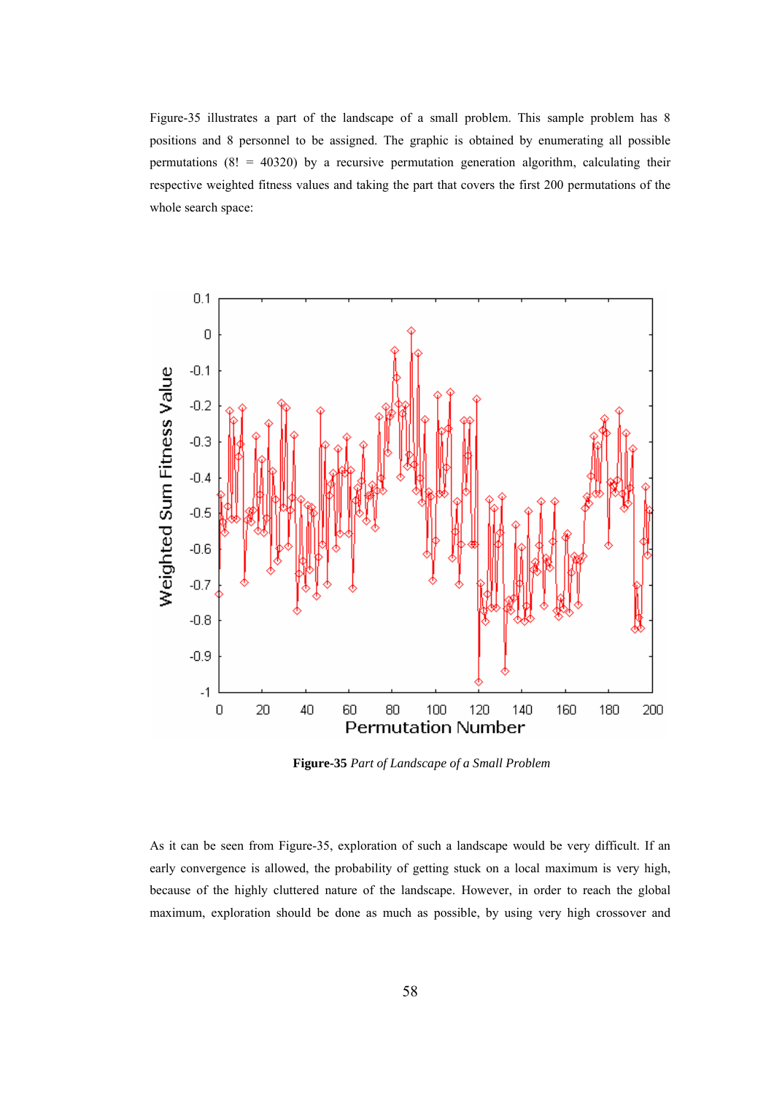Figure-35 illustrates a part of the landscape of a small problem. This sample problem has 8 positions and 8 personnel to be assigned. The graphic is obtained by enumerating all possible permutations  $(8! = 40320)$  by a recursive permutation generation algorithm, calculating their respective weighted fitness values and taking the part that covers the first 200 permutations of the whole search space:



**Figure-35** *Part of Landscape of a Small Problem*

As it can be seen from Figure-35, exploration of such a landscape would be very difficult. If an early convergence is allowed, the probability of getting stuck on a local maximum is very high, because of the highly cluttered nature of the landscape. However, in order to reach the global maximum, exploration should be done as much as possible, by using very high crossover and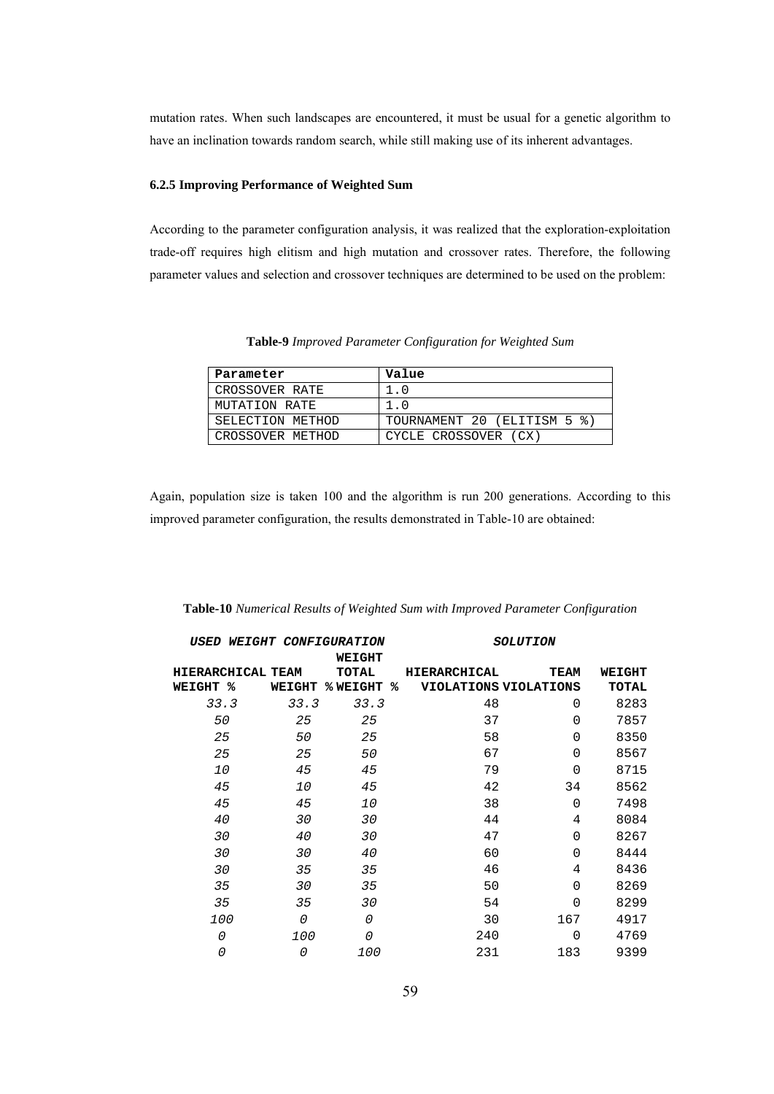mutation rates. When such landscapes are encountered, it must be usual for a genetic algorithm to have an inclination towards random search, while still making use of its inherent advantages.

### **6.2.5 Improving Performance of Weighted Sum**

According to the parameter configuration analysis, it was realized that the exploration-exploitation trade-off requires high elitism and high mutation and crossover rates. Therefore, the following parameter values and selection and crossover techniques are determined to be used on the problem:

**Table-9** *Improved Parameter Configuration for Weighted Sum*

| Parameter        | Value                       |
|------------------|-----------------------------|
| CROSSOVER RATE   | 1.0                         |
| MUTATION RATE    | 1.0                         |
| SELECTION METHOD | TOURNAMENT 20 (ELITISM 5 %) |
| CROSSOVER METHOD | CYCLE CROSSOVER (CX)        |

Again, population size is taken 100 and the algorithm is run 200 generations. According to this improved parameter configuration, the results demonstrated in Table-10 are obtained:

| USED WEIGHT CONFIGURATION |        |               |                                   | <b>SOLUTION</b> |        |
|---------------------------|--------|---------------|-----------------------------------|-----------------|--------|
|                           |        | <b>WEIGHT</b> |                                   |                 |        |
| HIERARCHICAL TEAM         |        | TOTAL         | <b>HIERARCHICAL</b>               | <b>TEAM</b>     | WEIGHT |
| <b>WEIGHT %</b>           | WEIGHT | % WEIGHT      | ℁<br><b>VIOLATIONS VIOLATIONS</b> |                 | TOTAL  |
| 33.3                      | 33.3   | 33.3          | 48                                | $\Omega$        | 8283   |
| 50                        | 25     | 25            | 37                                | $\Omega$        | 7857   |
| 25                        | 50     | 25            | 58                                | $\Omega$        | 8350   |
| 25                        | 25     | 50            | 67                                | $\Omega$        | 8567   |
| 10                        | 45     | 45            | 79                                | $\Omega$        | 8715   |
| 45                        | 10     | 45            | 42                                | 34              | 8562   |
| 45                        | 45     | 10            | 38                                | $\Omega$        | 7498   |
| 40                        | 30     | 30            | 44                                | 4               | 8084   |
| 30                        | 40     | 30            | 47                                | $\Omega$        | 8267   |
| 30                        | 30     | 40            | 60                                | $\Omega$        | 8444   |
| 30                        | 35     | 35            | 46                                | 4               | 8436   |
| 35                        | 30     | 35            | 50                                | $\Omega$        | 8269   |
| 35                        | 35     | 30            | 54                                | $\Omega$        | 8299   |
| 100                       | 0      | 0             | 30                                | 167             | 4917   |
| $\mathcal{O}$             | 100    | 0             | 240                               | $\Omega$        | 4769   |
| 0                         | 0      | 100           | 231                               | 183             | 9399   |

**Table-10** *Numerical Results of Weighted Sum with Improved Parameter Configuration*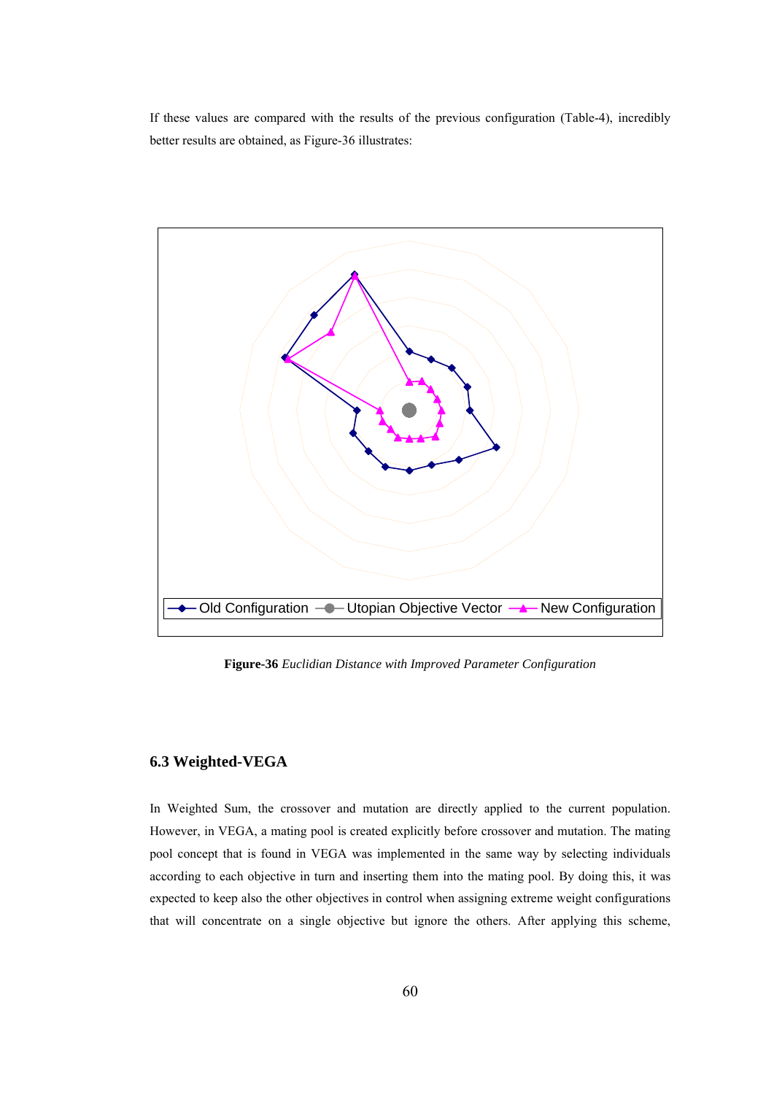If these values are compared with the results of the previous configuration (Table-4), incredibly better results are obtained, as Figure-36 illustrates:



**Figure-36** *Euclidian Distance with Improved Parameter Configuration*

### **6.3 Weighted-VEGA**

In Weighted Sum, the crossover and mutation are directly applied to the current population. However, in VEGA, a mating pool is created explicitly before crossover and mutation. The mating pool concept that is found in VEGA was implemented in the same way by selecting individuals according to each objective in turn and inserting them into the mating pool. By doing this, it was expected to keep also the other objectives in control when assigning extreme weight configurations that will concentrate on a single objective but ignore the others. After applying this scheme,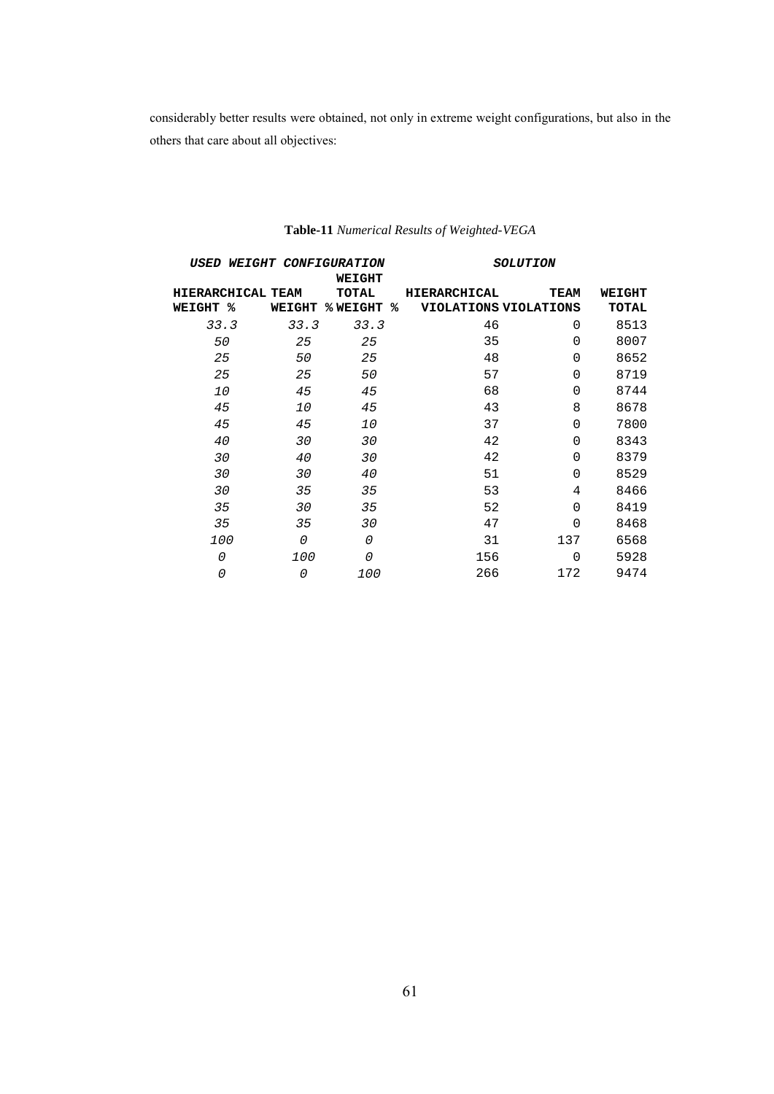considerably better results were obtained, not only in extreme weight configurations, but also in the others that care about all objectives:

| USED WEIGHT CONFIGURATION |               | <b>SOLUTION</b> |                              |             |              |
|---------------------------|---------------|-----------------|------------------------------|-------------|--------------|
|                           |               | WEIGHT          |                              |             |              |
| HIERARCHICAL TEAM         |               | <b>TOTAL</b>    | <b>HIERARCHICAL</b>          | <b>TEAM</b> | WEIGHT       |
| <b>WEIGHT %</b>           | <b>WEIGHT</b> | % WEIGHT<br>℁   | <b>VIOLATIONS VIOLATIONS</b> |             | <b>TOTAL</b> |
| 33.3                      | 33.3          | 33.3            | 46                           | $\Omega$    | 8513         |
| 50                        | 25            | 25              | 35                           | $\Omega$    | 8007         |
| 25                        | 50            | 25              | 48                           | $\Omega$    | 8652         |
| 25                        | 25            | 50              | 57                           | $\Omega$    | 8719         |
| 10                        | 45            | 45              | 68                           | $\Omega$    | 8744         |
| 45                        | 10            | 45              | 43                           | 8           | 8678         |
| 45                        | 45            | 10              | 37                           | $\Omega$    | 7800         |
| 40                        | 30            | 30              | 42                           | $\Omega$    | 8343         |
| 30                        | 40            | 30              | 42                           | $\Omega$    | 8379         |
| 30                        | 30            | 40              | 51                           | $\Omega$    | 8529         |
| 30                        | 35            | 35              | 53                           | 4           | 8466         |
| 35                        | 30            | 35              | 52                           | $\Omega$    | 8419         |
| 35                        | 35            | 30              | 47                           | $\Omega$    | 8468         |
| 100                       | 0             | 0               | 31                           | 137         | 6568         |
| $\Omega$                  | 100           | 0               | 156                          | $\Omega$    | 5928         |
| $\Omega$                  | 0             | 100             | 266                          | 172         | 9474         |

# **Table-11** *Numerical Results of Weighted-VEGA*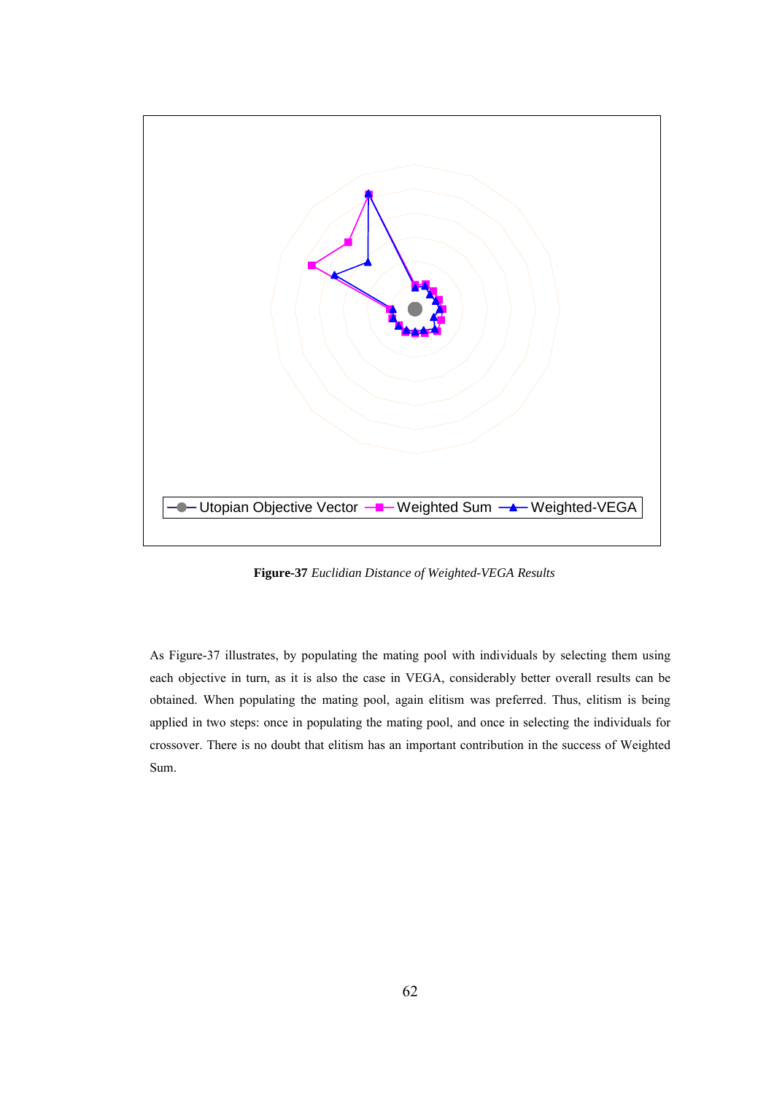

**Figure-37** *Euclidian Distance of Weighted-VEGA Results*

As Figure-37 illustrates, by populating the mating pool with individuals by selecting them using each objective in turn, as it is also the case in VEGA, considerably better overall results can be obtained. When populating the mating pool, again elitism was preferred. Thus, elitism is being applied in two steps: once in populating the mating pool, and once in selecting the individuals for crossover. There is no doubt that elitism has an important contribution in the success of Weighted Sum.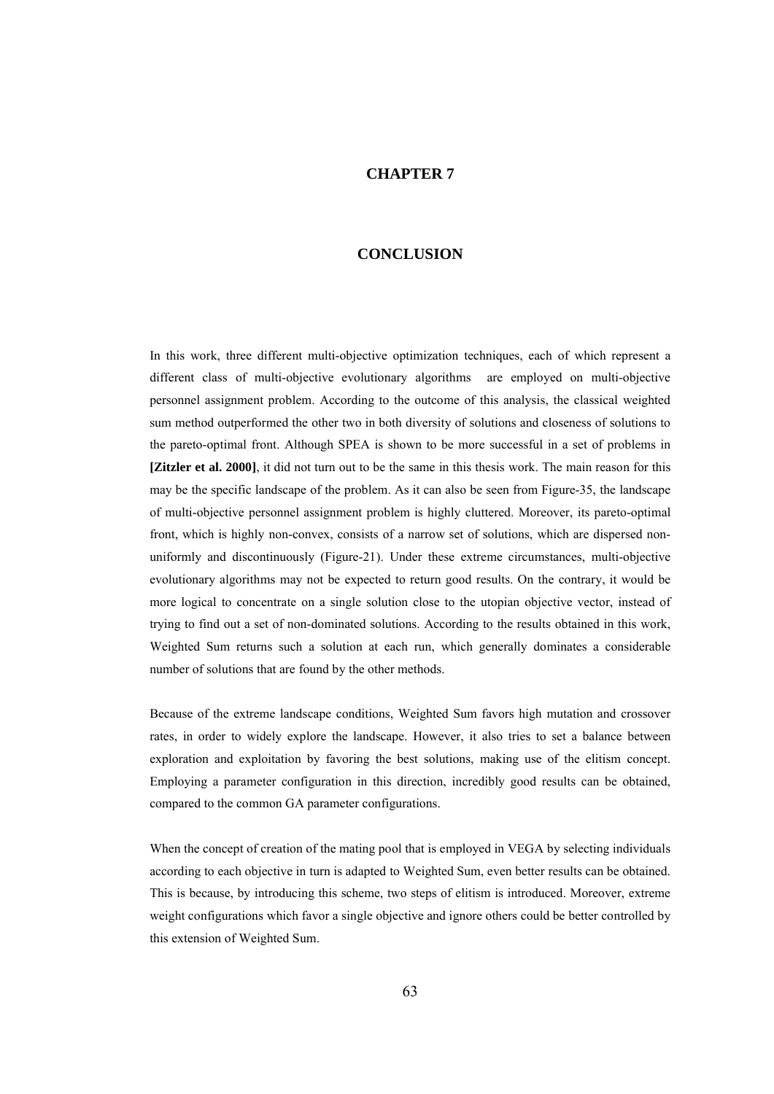### **CHAPTER 7**

## **CONCLUSION**

In this work, three different multi-objective optimization techniques, each of which represent a different class of multi-objective evolutionary algorithms are employed on multi-objective personnel assignment problem. According to the outcome of this analysis, the classical weighted sum method outperformed the other two in both diversity of solutions and closeness of solutions to the pareto-optimal front. Although SPEA is shown to be more successful in a set of problems in **[Zitzler et al. 2000]**, it did not turn out to be the same in this thesis work. The main reason for this may be the specific landscape of the problem. As it can also be seen from Figure-35, the landscape of multi-objective personnel assignment problem is highly cluttered. Moreover, its pareto-optimal front, which is highly non-convex, consists of a narrow set of solutions, which are dispersed nonuniformly and discontinuously (Figure-21). Under these extreme circumstances, multi-objective evolutionary algorithms may not be expected to return good results. On the contrary, it would be more logical to concentrate on a single solution close to the utopian objective vector, instead of trying to find out a set of non-dominated solutions. According to the results obtained in this work, Weighted Sum returns such a solution at each run, which generally dominates a considerable number of solutions that are found by the other methods.

Because of the extreme landscape conditions, Weighted Sum favors high mutation and crossover rates, in order to widely explore the landscape. However, it also tries to set a balance between exploration and exploitation by favoring the best solutions, making use of the elitism concept. Employing a parameter configuration in this direction, incredibly good results can be obtained, compared to the common GA parameter configurations.

When the concept of creation of the mating pool that is employed in VEGA by selecting individuals according to each objective in turn is adapted to Weighted Sum, even better results can be obtained. This is because, by introducing this scheme, two steps of elitism is introduced. Moreover, extreme weight configurations which favor a single objective and ignore others could be better controlled by this extension of Weighted Sum.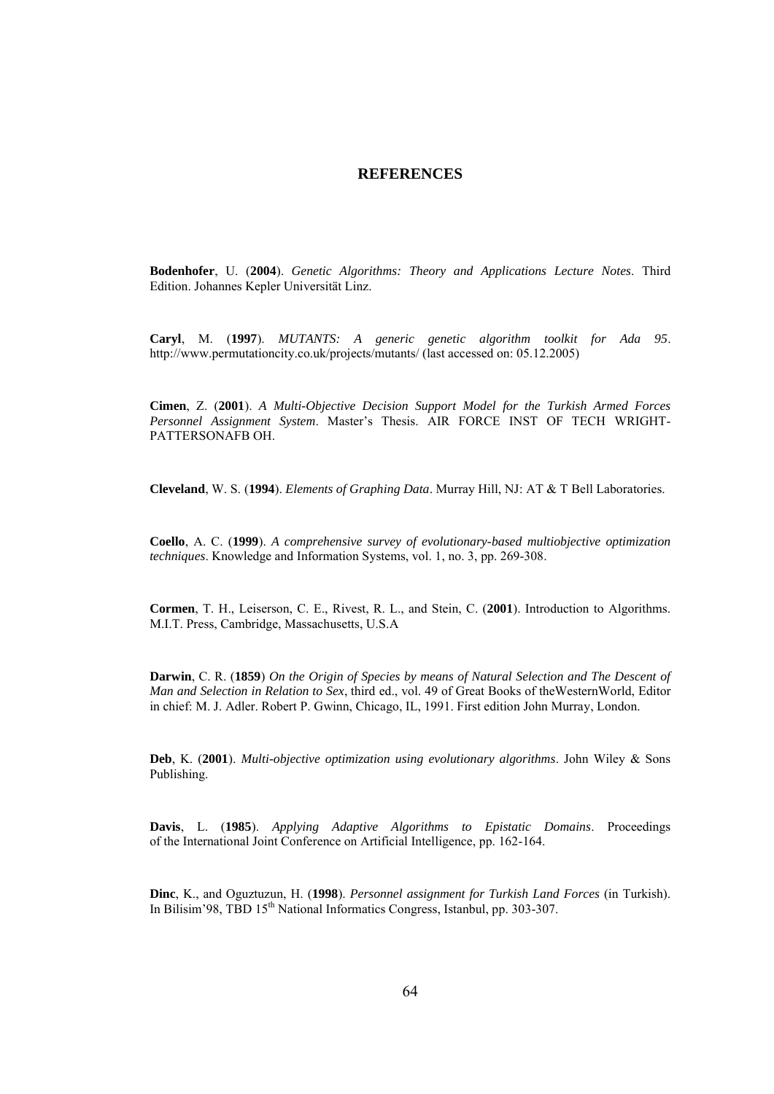#### **REFERENCES**

**Bodenhofer**, U. (**2004**). *Genetic Algorithms: Theory and Applications Lecture Notes*. Third Edition. Johannes Kepler Universität Linz.

**Caryl**, M. (**1997**). *MUTANTS: A generic genetic algorithm toolkit for Ada 95*. http://www.permutationcity.co.uk/projects/mutants/ (last accessed on: 05.12.2005)

**Cimen**, Z. (**2001**). *A Multi-Objective Decision Support Model for the Turkish Armed Forces Personnel Assignment System*. Master's Thesis. AIR FORCE INST OF TECH WRIGHT-PATTERSONAFB OH.

**Cleveland**, W. S. (**1994**). *Elements of Graphing Data*. Murray Hill, NJ: AT & T Bell Laboratories.

**Coello**, A. C. (**1999**). *A comprehensive survey of evolutionary-based multiobjective optimization techniques*. Knowledge and Information Systems, vol. 1, no. 3, pp. 269-308.

**Cormen**, T. H., Leiserson, C. E., Rivest, R. L., and Stein, C. (**2001**). Introduction to Algorithms. M.I.T. Press, Cambridge, Massachusetts, U.S.A

**Darwin**, C. R. (**1859**) *On the Origin of Species by means of Natural Selection and The Descent of Man and Selection in Relation to Sex*, third ed., vol. 49 of Great Books of theWesternWorld, Editor in chief: M. J. Adler. Robert P. Gwinn, Chicago, IL, 1991. First edition John Murray, London.

**Deb**, K. (**2001**). *Multi-objective optimization using evolutionary algorithms*. John Wiley & Sons Publishing.

**Davis**, L. (**1985**). *Applying Adaptive Algorithms to Epistatic Domains*. Proceedings of the International Joint Conference on Artificial Intelligence, pp. 162-164.

**Dinc**, K., and Oguztuzun, H. (**1998**). *Personnel assignment for Turkish Land Forces* (in Turkish). In Bilisim'98, TBD 15<sup>th</sup> National Informatics Congress, Istanbul, pp. 303-307.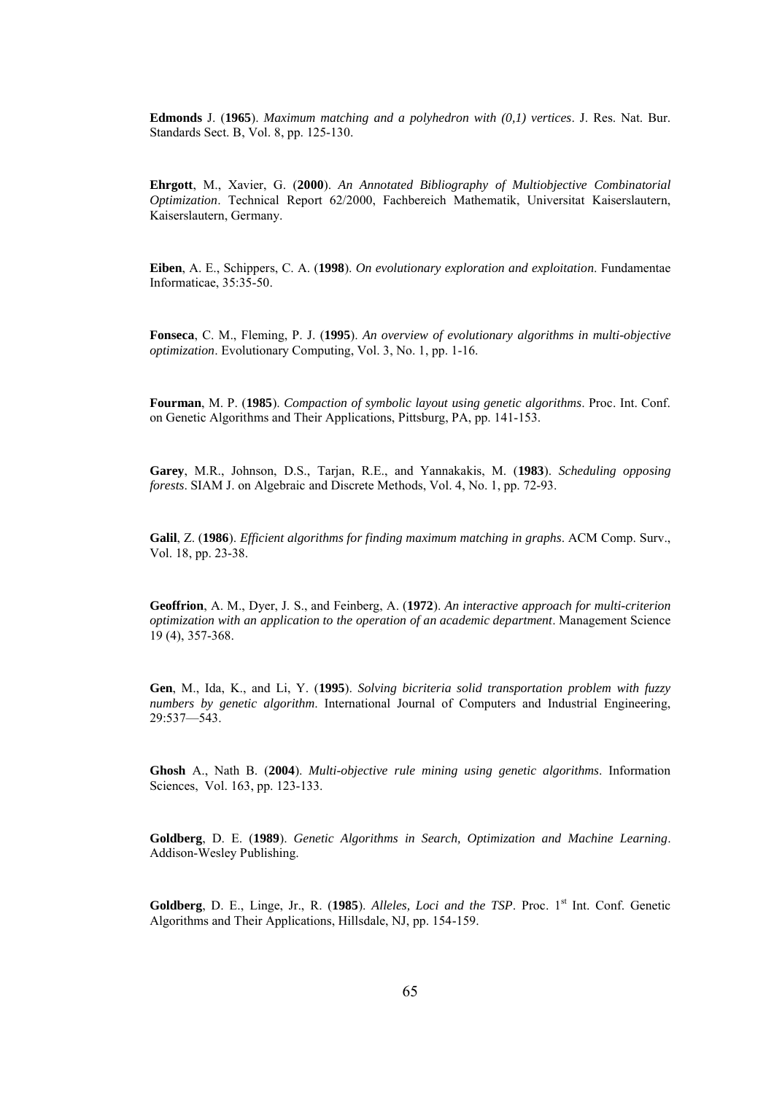**Edmonds** J. (**1965**). *Maximum matching and a polyhedron with (0,1) vertices*. J. Res. Nat. Bur. Standards Sect. B, Vol. 8, pp. 125-130.

**Ehrgott**, M., Xavier, G. (**2000**). *An Annotated Bibliography of Multiobjective Combinatorial Optimization*. Technical Report 62/2000, Fachbereich Mathematik, Universitat Kaiserslautern, Kaiserslautern, Germany.

**Eiben**, A. E., Schippers, C. A. (**1998**). *On evolutionary exploration and exploitation*. Fundamentae Informaticae, 35:35-50.

**Fonseca**, C. M., Fleming, P. J. (**1995**). *An overview of evolutionary algorithms in multi-objective optimization*. Evolutionary Computing, Vol. 3, No. 1, pp. 1-16.

**Fourman**, M. P. (**1985**). *Compaction of symbolic layout using genetic algorithms*. Proc. Int. Conf. on Genetic Algorithms and Their Applications, Pittsburg, PA, pp. 141-153.

**Garey**, M.R., Johnson, D.S., Tarjan, R.E., and Yannakakis, M. (**1983**). *Scheduling opposing forests*. SIAM J. on Algebraic and Discrete Methods, Vol. 4, No. 1, pp. 72-93.

**Galil**, Z. (**1986**). *Efficient algorithms for finding maximum matching in graphs*. ACM Comp. Surv., Vol. 18, pp. 23-38.

**Geoffrion**, A. M., Dyer, J. S., and Feinberg, A. (**1972**). *An interactive approach for multi-criterion optimization with an application to the operation of an academic department*. Management Science 19 (4), 357-368.

**Gen**, M., Ida, K., and Li, Y. (**1995**). *Solving bicriteria solid transportation problem with fuzzy numbers by genetic algorithm*. International Journal of Computers and Industrial Engineering, 29:537—543.

**Ghosh** A., Nath B. (**2004**). *Multi-objective rule mining using genetic algorithms*. Information Sciences, Vol. 163, pp. 123-133.

**Goldberg**, D. E. (**1989**). *Genetic Algorithms in Search, Optimization and Machine Learning*. Addison-Wesley Publishing.

**Goldberg**, D. E., Linge, Jr., R. (**1985**). *Alleles, Loci and the TSP*. Proc. 1st Int. Conf. Genetic Algorithms and Their Applications, Hillsdale, NJ, pp. 154-159.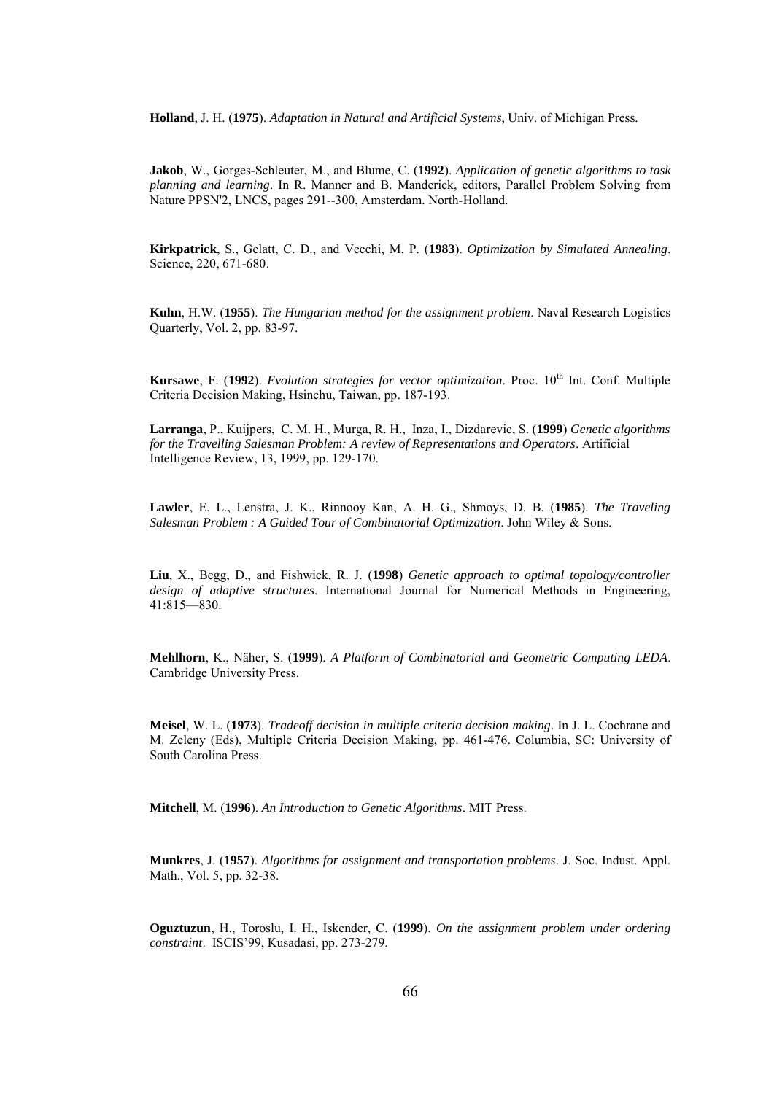**Holland**, J. H. (**1975**). *Adaptation in Natural and Artificial Systems*, Univ. of Michigan Press.

**Jakob**, W., Gorges-Schleuter, M., and Blume, C. (**1992**). *Application of genetic algorithms to task planning and learning*. In R. Manner and B. Manderick, editors, Parallel Problem Solving from Nature PPSN'2, LNCS, pages 291--300, Amsterdam. North-Holland.

**Kirkpatrick**, S., Gelatt, C. D., and Vecchi, M. P. (**1983**). *Optimization by Simulated Annealing*. Science, 220, 671-680.

**Kuhn**, H.W. (**1955**). *The Hungarian method for the assignment problem*. Naval Research Logistics Quarterly, Vol. 2, pp. 83-97.

Kursawe, F. (1992). *Evolution strategies for vector optimization*. Proc. 10<sup>th</sup> Int. Conf. Multiple Criteria Decision Making, Hsinchu, Taiwan, pp. 187-193.

**Larranga**, P., Kuijpers, C. M. H., Murga, R. H., Inza, I., Dizdarevic, S. (**1999**) *Genetic algorithms for the Travelling Salesman Problem: A review of Representations and Operators*. Artificial Intelligence Review, 13, 1999, pp. 129-170.

**Lawler**, E. L., Lenstra, J. K., Rinnooy Kan, A. H. G., Shmoys, D. B. (**1985**). *The Traveling Salesman Problem : A Guided Tour of Combinatorial Optimization*. John Wiley & Sons.

**Liu**, X., Begg, D., and Fishwick, R. J. (**1998**) *Genetic approach to optimal topology/controller design of adaptive structures*. International Journal for Numerical Methods in Engineering, 41:815—830.

**Mehlhorn**, K., Näher, S. (**1999**). *A Platform of Combinatorial and Geometric Computing LEDA*. Cambridge University Press.

**Meisel**, W. L. (**1973**). *Tradeoff decision in multiple criteria decision making*. In J. L. Cochrane and M. Zeleny (Eds), Multiple Criteria Decision Making, pp. 461-476. Columbia, SC: University of South Carolina Press.

**Mitchell**, M. (**1996**). *An Introduction to Genetic Algorithms*. MIT Press.

**Munkres**, J. (**1957**). *Algorithms for assignment and transportation problems*. J. Soc. Indust. Appl. Math., Vol. 5, pp. 32-38.

**Oguztuzun**, H., Toroslu, I. H., Iskender, C. (**1999**). *On the assignment problem under ordering constraint*. ISCIS'99, Kusadasi, pp. 273-279.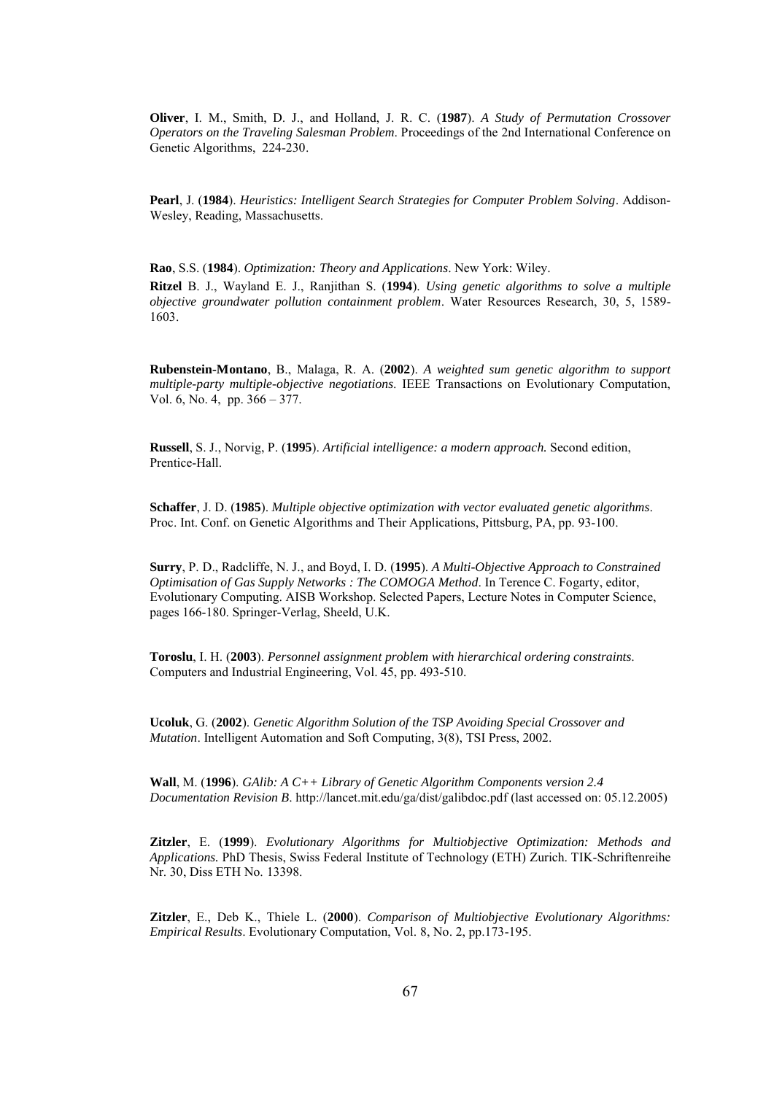**Oliver**, I. M., Smith, D. J., and Holland, J. R. C. (**1987**). *A Study of Permutation Crossover Operators on the Traveling Salesman Problem*. Proceedings of the 2nd International Conference on Genetic Algorithms, 224-230.

**Pearl**, J. (**1984**). *Heuristics: Intelligent Search Strategies for Computer Problem Solving*. Addison-Wesley, Reading, Massachusetts.

**Rao**, S.S. (**1984**). *Optimization: Theory and Applications*. New York: Wiley.

**Ritzel** B. J., Wayland E. J., Ranjithan S. (**1994**). *Using genetic algorithms to solve a multiple objective groundwater pollution containment problem*. Water Resources Research, 30, 5, 1589- 1603.

**Rubenstein-Montano**, B., Malaga, R. A. (**2002**). *A weighted sum genetic algorithm to support multiple-party multiple-objective negotiations*. IEEE Transactions on Evolutionary Computation, Vol. 6, No. 4, pp. 366 – 377.

**Russell**, S. J., Norvig, P. (**1995**). *Artificial intelligence: a modern approach.* Second edition, Prentice-Hall.

**Schaffer**, J. D. (**1985**). *Multiple objective optimization with vector evaluated genetic algorithms*. Proc. Int. Conf. on Genetic Algorithms and Their Applications, Pittsburg, PA, pp. 93-100.

**Surry**, P. D., Radcliffe, N. J., and Boyd, I. D. (**1995**). *A Multi-Objective Approach to Constrained Optimisation of Gas Supply Networks : The COMOGA Method*. In Terence C. Fogarty, editor, Evolutionary Computing. AISB Workshop. Selected Papers, Lecture Notes in Computer Science, pages 166-180. Springer-Verlag, Sheeld, U.K.

**Toroslu**, I. H. (**2003**). *Personnel assignment problem with hierarchical ordering constraints*. Computers and Industrial Engineering, Vol. 45, pp. 493-510.

**Ucoluk**, G. (**2002**). *Genetic Algorithm Solution of the TSP Avoiding Special Crossover and Mutation*. Intelligent Automation and Soft Computing, 3(8), TSI Press, 2002.

**Wall**, M. (**1996**). *GAlib: A C++ Library of Genetic Algorithm Components version 2.4 Documentation Revision B*. http://lancet.mit.edu/ga/dist/galibdoc.pdf (last accessed on: 05.12.2005)

**Zitzler**, E. (**1999**). *Evolutionary Algorithms for Multiobjective Optimization: Methods and Applications.* PhD Thesis, Swiss Federal Institute of Technology (ETH) Zurich. TIK-Schriftenreihe Nr. 30, Diss ETH No. 13398.

**Zitzler**, E., Deb K., Thiele L. (**2000**). *Comparison of Multiobjective Evolutionary Algorithms: Empirical Results*. Evolutionary Computation, Vol. 8, No. 2, pp.173-195.